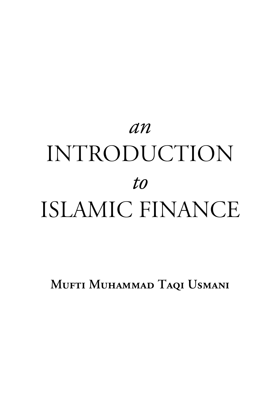# *an* **INTRODUCTION** *to* Islamic Finance

**MUFTI MUHAMMAD TAQI USMANI**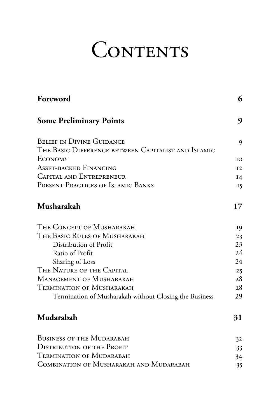# CONTENTS

| Foreword                                                                                | 6  |
|-----------------------------------------------------------------------------------------|----|
| <b>Some Preliminary Points</b>                                                          | 9  |
| <b>BELIEF IN DIVINE GUIDANCE</b><br>THE BASIC DIFFERENCE BETWEEN CAPITALIST AND ISLAMIC | 9  |
| <b>ECONOMY</b>                                                                          | IO |
| ASSET-BACKED FINANCING                                                                  | 12 |
| CAPITAL AND ENTREPRENEUR                                                                | I4 |
| PRESENT PRACTICES OF ISLAMIC BANKS                                                      | 15 |
| Musharakah                                                                              | 17 |
| THE CONCEPT OF MUSHARAKAH                                                               | 19 |
| THE BASIC RULES OF MUSHARAKAH                                                           | 23 |
| Distribution of Profit                                                                  | 23 |
| Ratio of Profit                                                                         | 24 |
| Sharing of Loss                                                                         | 24 |
| THE NATURE OF THE CAPITAL                                                               | 25 |
| MANAGEMENT OF MUSHARAKAH                                                                | 28 |
| <b>TERMINATION OF MUSHARAKAH</b>                                                        | 28 |
| Termination of Musharakah without Closing the Business                                  | 29 |
| Mudarabah                                                                               | 31 |
| <b>BUSINESS OF THE MUDARABAH</b>                                                        | 32 |
| <b>DISTRIBUTION OF THE PROFIT</b>                                                       | 33 |
| <b>TERMINATION OF MUDARABAH</b>                                                         | 34 |
| <b>COMBINATION OF MUSHARAKAH AND MUDARABAH</b>                                          | 35 |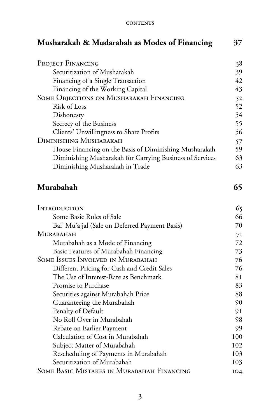| Musharakah & Mudarabah as Modes of Financing             | 37  |
|----------------------------------------------------------|-----|
| <b>PROJECT FINANCING</b>                                 | 38  |
| Securitization of Musharakah                             | 39  |
| Financing of a Single Transaction                        | 42  |
| Financing of the Working Capital                         | 43  |
| <b>SOME OBJECTIONS ON MUSHARAKAH FINANCING</b>           | 52  |
| Risk of Loss                                             | 52  |
| Dishonesty                                               | 54  |
| Secrecy of the Business                                  | 55  |
| Clients' Unwillingness to Share Profits                  | 56  |
| <b>DIMINISHING MUSHARAKAH</b>                            | 57  |
| House Financing on the Basis of Diminishing Musharakah   | 59  |
| Diminishing Musharakah for Carrying Business of Services | 63  |
| Diminishing Musharakah in Trade                          | 63  |
| Murabahah                                                | 65  |
| <b>INTRODUCTION</b>                                      | 65  |
| Some Basic Rules of Sale                                 | 66  |
| Bai' Mu'ajjal (Sale on Deferred Payment Basis)           | 70  |
| Murabahah                                                | 71  |
| Murabahah as a Mode of Financing                         | 72  |
| Basic Features of Murabahah Financing                    | 73  |
| <b>SOME ISSUES INVOLVED IN MURABAHAH</b>                 | 76  |
| Different Pricing for Cash and Credit Sales              | 76  |
| The Use of Interest-Rate as Benchmark                    | 81  |
| Promise to Purchase                                      | 83  |
| Securities against Murabahah Price                       | 88  |
| Guaranteeing the Murabahah                               | 90  |
| Penalty of Default                                       | 91  |
| No Roll Over in Murabahah                                | 98  |
| Rebate on Earlier Payment                                | 99  |
| Calculation of Cost in Murabahah                         | 100 |
| Subject Matter of Murabahah                              | 102 |
| Rescheduling of Payments in Murabahah                    | 103 |
| Securitization of Murabahah                              | 103 |
| SOME BASIC MISTAKES IN MURABAHAH FINANCING               | 104 |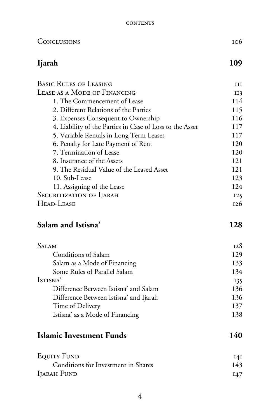#### CONCLUSIONS 106

# **[Ijarah 109](#page-108-0)**

| <b>BASIC RULES OF LEASING</b>                            | ш    |
|----------------------------------------------------------|------|
| Lease as a Mode of Financing                             | II3  |
| 1. The Commencement of Lease                             | 114  |
| 2. Different Relations of the Parties                    | 115  |
| 3. Expenses Consequent to Ownership                      | 116  |
| 4. Liability of the Parties in Case of Loss to the Asset | 117  |
| 5. Variable Rentals in Long Term Leases                  | 117  |
| 6. Penalty for Late Payment of Rent                      | 120  |
| 7. Termination of Lease                                  | 120  |
| 8. Insurance of the Assets                               | 121  |
| 9. The Residual Value of the Leased Asset                | 121  |
| 10. Sub-Lease                                            | 123  |
| 11. Assigning of the Lease                               | 124  |
| SECURITIZATION OF IJARAH                                 | 125  |
| HEAD-LEASE                                               | 12.6 |
|                                                          |      |

# **[Salam and Istisna' 128](#page-127-0)**

| <b>SALAM</b>                           | 128 |
|----------------------------------------|-----|
| Conditions of Salam                    | 129 |
| Salam as a Mode of Financing           | 133 |
| Some Rules of Parallel Salam           | 134 |
| ISTISNA <sup>'</sup>                   | 135 |
| Difference Between Istisna' and Salam  | 136 |
| Difference Between Istisna' and Ijarah | 136 |
| Time of Delivery                       | 137 |
| Istisna' as a Mode of Financing        | 138 |

#### **Islamic Investment Funds** 140

| EQUITY FUND                         | 141 |
|-------------------------------------|-----|
| Conditions for Investment in Shares | 143 |
| IJARAH FUND                         | I47 |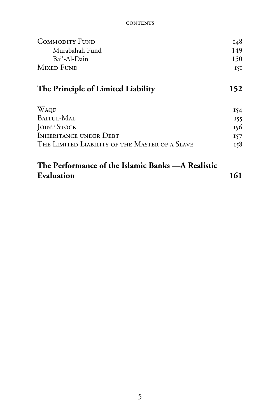| COMMODITY FUND | 148 |
|----------------|-----|
| Murabahah Fund | 149 |
| Bai'-Al-Dain   | 150 |
| MIXED FUND     | 151 |

# **[The Principle of Limited Liability 152](#page-151-0)**

| 154        |
|------------|
| 155        |
| 156        |
| <b>IS7</b> |
| 158        |
|            |

## **[The Performance of the Islamic Banks](#page-160-0) [—A Realistic](#page-160-0)** [Evaluation 161](#page-160-0)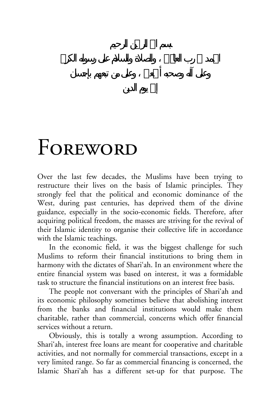# <span id="page-5-0"></span>FOREWORD

Over the last few decades, the Muslims have been trying to restructure their lives on the basis of Islamic principles. They strongly feel that the political and economic dominance of the West, during past centuries, has deprived them of the divine guidance, especially in the socio-economic fields. Therefore, after acquiring political freedom, the masses are striving for the revival of their Islamic identity to organise their collective life in accordance with the Islamic teachings.

In the economic field, it was the biggest challenge for such Muslims to reform their financial institutions to bring them in harmony with the dictates of Shari'ah. In an environment where the entire financial system was based on interest, it was a formidable task to structure the financial institutions on an interest free basis.

The people not conversant with the principles of Shari'ah and its economic philosophy sometimes believe that abolishing interest from the banks and financial institutions would make them charitable, rather than commercial, concerns which offer financial services without a return.

Obviously, this is totally a wrong assumption. According to Shari'ah, interest free loans are meant for cooperative and charitable activities, and not normally for commercial transactions, except in a very limited range. So far as commercial financing is concerned, the Islamic Shari'ah has a different set-up for that purpose. The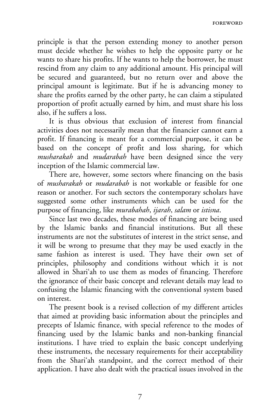principle is that the person extending money to another person must decide whether he wishes to help the opposite party or he wants to share his profits. If he wants to help the borrower, he must rescind from any claim to any additional amount. His principal will be secured and guaranteed, but no return over and above the principal amount is legitimate. But if he is advancing money to share the profits earned by the other party, he can claim a stipulated proportion of profit actually earned by him, and must share his loss also, if he suffers a loss.

It is thus obvious that exclusion of interest from financial activities does not necessarily mean that the financier cannot earn a profit. If financing is meant for a commercial purpose, it can be based on the concept of profit and loss sharing, for which *musharakah* and *mudarabah* have been designed since the very inception of the Islamic commercial law.

There are, however, some sectors where financing on the basis of *musharakah* or *mudarabah* is not workable or feasible for one reason or another. For such sectors the contemporary scholars have suggested some other instruments which can be used for the purpose of financing, like *murabahah*, *ijarah*, *salam* or *istisna*.

Since last two decades, these modes of financing are being used by the Islamic banks and financial institutions. But all these instruments are not the substitutes of interest in the strict sense, and it will be wrong to presume that they may be used exactly in the same fashion as interest is used. They have their own set of principles, philosophy and conditions without which it is not allowed in Shari'ah to use them as modes of financing. Therefore the ignorance of their basic concept and relevant details may lead to confusing the Islamic financing with the conventional system based on interest.

The present book is a revised collection of my different articles that aimed at providing basic information about the principles and precepts of Islamic finance, with special reference to the modes of financing used by the Islamic banks and non-banking financial institutions. I have tried to explain the basic concept underlying these instruments, the necessary requirements for their acceptability from the Shari'ah standpoint, and the correct method of their application. I have also dealt with the practical issues involved in the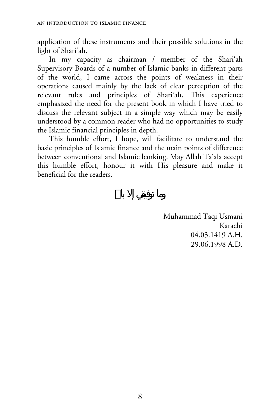application of these instruments and their possible solutions in the light of Shari'ah.

In my capacity as chairman / member of the Shari'ah Supervisory Boards of a number of Islamic banks in different parts of the world, I came across the points of weakness in their operations caused mainly by the lack of clear perception of the relevant rules and principles of Shari'ah. This experience emphasized the need for the present book in which I have tried to discuss the relevant subject in a simple way which may be easily understood by a common reader who had no opportunities to study the Islamic financial principles in depth.

This humble effort, I hope, will facilitate to understand the basic principles of Islamic finance and the main points of difference between conventional and Islamic banking. May Allah Ta'ala accept this humble effort, honour it with His pleasure and make it beneficial for the readers.

> Muhammad Taqi Usmani Karachi 04.03.1419 A.H. 29.06.1998 A.D.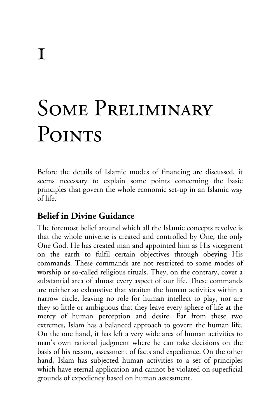# <span id="page-8-0"></span>SOME PRELIMINARY POINTS

Before the details of Islamic modes of financing are discussed, it seems necessary to explain some points concerning the basic principles that govern the whole economic set-up in an Islamic way of life.

## **Belief in Divine Guidance**

The foremost belief around which all the Islamic concepts revolve is that the whole universe is created and controlled by One, the only One God. He has created man and appointed him as His vicegerent on the earth to fulfil certain objectives through obeying His commands. These commands are not restricted to some modes of worship or so-called religious rituals. They, on the contrary, cover a substantial area of almost every aspect of our life. These commands are neither so exhaustive that straiten the human activities within a narrow circle, leaving no role for human intellect to play, nor are they so little or ambiguous that they leave every sphere of life at the mercy of human perception and desire. Far from these two extremes, Islam has a balanced approach to govern the human life. On the one hand, it has left a very wide area of human activities to man's own rational judgment where he can take decisions on the basis of his reason, assessment of facts and expedience. On the other hand, Islam has subjected human activities to a set of principles which have eternal application and cannot be violated on superficial grounds of expediency based on human assessment.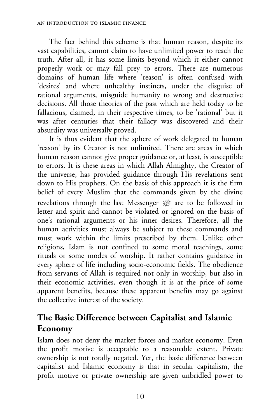<span id="page-9-0"></span>The fact behind this scheme is that human reason, despite its vast capabilities, cannot claim to have unlimited power to reach the truth. After all, it has some limits beyond which it either cannot properly work or may fall prey to errors. There are numerous domains of human life where 'reason' is often confused with 'desires' and where unhealthy instincts, under the disguise of rational arguments, misguide humanity to wrong and destructive decisions. All those theories of the past which are held today to be fallacious, claimed, in their respective times, to be 'rational' but it was after centuries that their fallacy was discovered and their absurdity was universally proved.

It is thus evident that the sphere of work delegated to human 'reason' by its Creator is not unlimited. There are areas in which human reason cannot give proper guidance or, at least, is susceptible to errors. It is these areas in which Allah Almighty, the Creator of the universe, has provided guidance through His revelations sent down to His prophets. On the basis of this approach it is the firm belief of every Muslim that the commands given by the divine revelations through the last Messenger  $\frac{1}{2}$  are to be followed in letter and spirit and cannot be violated or ignored on the basis of one's rational arguments or his inner desires. Therefore, all the human activities must always be subject to these commands and must work within the limits prescribed by them. Unlike other religions, Islam is not confined to some moral teachings, some rituals or some modes of worship. It rather contains guidance in every sphere of life including socio-economic fields. The obedience from servants of Allah is required not only in worship, but also in their economic activities, even though it is at the price of some apparent benefits, because these apparent benefits may go against the collective interest of the society.

## **The Basic Difference between Capitalist and Islamic Economy**

Islam does not deny the market forces and market economy. Even the profit motive is acceptable to a reasonable extent. Private ownership is not totally negated. Yet, the basic difference between capitalist and Islamic economy is that in secular capitalism, the profit motive or private ownership are given unbridled power to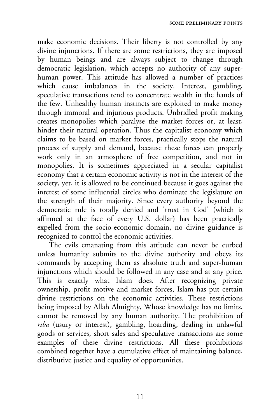make economic decisions. Their liberty is not controlled by any divine injunctions. If there are some restrictions, they are imposed by human beings and are always subject to change through democratic legislation, which accepts no authority of any superhuman power. This attitude has allowed a number of practices which cause imbalances in the society. Interest, gambling, speculative transactions tend to concentrate wealth in the hands of the few. Unhealthy human instincts are exploited to make money through immoral and injurious products. Unbridled profit making creates monopolies which paralyse the market forces or, at least, hinder their natural operation. Thus the capitalist economy which claims to be based on market forces, practically stops the natural process of supply and demand, because these forces can properly work only in an atmosphere of free competition, and not in monopolies. It is sometimes appreciated in a secular capitalist economy that a certain economic activity is not in the interest of the society, yet, it is allowed to be continued because it goes against the interest of some influential circles who dominate the legislature on the strength of their majority. Since every authority beyond the democratic rule is totally denied and 'trust in God' (which is affirmed at the face of every U.S. dollar) has been practically expelled from the socio-economic domain, no divine guidance is recognized to control the economic activities.

The evils emanating from this attitude can never be curbed unless humanity submits to the divine authority and obeys its commands by accepting them as absolute truth and super-human injunctions which should be followed in any case and at any price. This is exactly what Islam does. After recognizing private ownership, profit motive and market forces, Islam has put certain divine restrictions on the economic activities. These restrictions being imposed by Allah Almighty, Whose knowledge has no limits, cannot be removed by any human authority. The prohibition of *riba* (usury or interest), gambling, hoarding, dealing in unlawful goods or services, short sales and speculative transactions are some examples of these divine restrictions. All these prohibitions combined together have a cumulative effect of maintaining balance, distributive justice and equality of opportunities.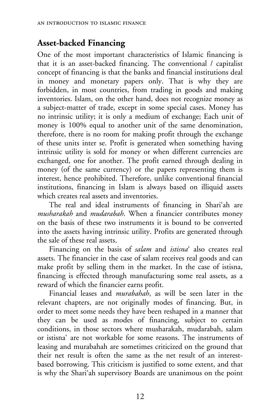#### <span id="page-11-0"></span>**Asset-backed Financing**

One of the most important characteristics of Islamic financing is that it is an asset-backed financing. The conventional / capitalist concept of financing is that the banks and financial institutions deal in money and monetary papers only. That is why they are forbidden, in most countries, from trading in goods and making inventories. Islam, on the other hand, does not recognize money as a subject-matter of trade, except in some special cases. Money has no intrinsic utility; it is only a medium of exchange; Each unit of money is 100% equal to another unit of the same denomination, therefore, there is no room for making profit through the exchange of these units inter se. Profit is generated when something having intrinsic utility is sold for money or when different currencies are exchanged, one for another. The profit earned through dealing in money (of the same currency) or the papers representing them is interest, hence prohibited. Therefore, unlike conventional financial institutions, financing in Islam is always based on illiquid assets which creates real assets and inventories.

The real and ideal instruments of financing in Shari'ah are *musharakah* and *mudarabah*. When a financier contributes money on the basis of these two instruments it is bound to be converted into the assets having intrinsic utility. Profits are generated through the sale of these real assets.

Financing on the basis of *salam* and *istisna*' also creates real assets. The financier in the case of salam receives real goods and can make profit by selling them in the market. In the case of istisna, financing is effected through manufacturing some real assets, as a reward of which the financier earns profit.

Financial leases and *murabahah*, as will be seen later in the relevant chapters, are not originally modes of financing. But, in order to meet some needs they have been reshaped in a manner that they can be used as modes of financing, subject to certain conditions, in those sectors where musharakah, mudarabah, salam or istisna' are not workable for some reasons. The instruments of leasing and murabahah are sometimes criticized on the ground that their net result is often the same as the net result of an interestbased borrowing. This criticism is justified to some extent, and that is why the Shari'ah supervisory Boards are unanimous on the point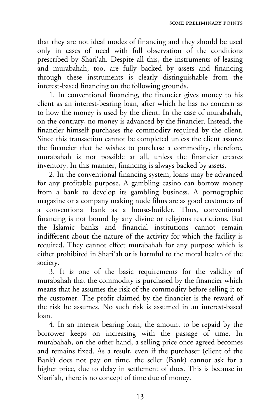that they are not ideal modes of financing and they should be used only in cases of need with full observation of the conditions prescribed by Shari'ah. Despite all this, the instruments of leasing and murabahah, too, are fully backed by assets and financing through these instruments is clearly distinguishable from the interest-based financing on the following grounds.

1. In conventional financing, the financier gives money to his client as an interest-bearing loan, after which he has no concern as to how the money is used by the client. In the case of murabahah, on the contrary, no money is advanced by the financier. Instead, the financier himself purchases the commodity required by the client. Since this transaction cannot be completed unless the client assures the financier that he wishes to purchase a commodity, therefore, murabahah is not possible at all, unless the financier creates inventory. In this manner, financing is always backed by assets.

2. In the conventional financing system, loans may be advanced for any profitable purpose. A gambling casino can borrow money from a bank to develop its gambling business. A pornographic magazine or a company making nude films are as good customers of a conventional bank as a house-builder. Thus, conventional financing is not bound by any divine or religious restrictions. But the Islamic banks and financial institutions cannot remain indifferent about the nature of the activity for which the facility is required. They cannot effect murabahah for any purpose which is either prohibited in Shari'ah or is harmful to the moral health of the society.

3. It is one of the basic requirements for the validity of murabahah that the commodity is purchased by the financier which means that he assumes the risk of the commodity before selling it to the customer. The profit claimed by the financier is the reward of the risk he assumes. No such risk is assumed in an interest-based loan.

4. In an interest bearing loan, the amount to be repaid by the borrower keeps on increasing with the passage of time. In murabahah, on the other hand, a selling price once agreed becomes and remains fixed. As a result, even if the purchaser (client of the Bank) does not pay on time, the seller (Bank) cannot ask for a higher price, due to delay in settlement of dues. This is because in Shari'ah, there is no concept of time due of money.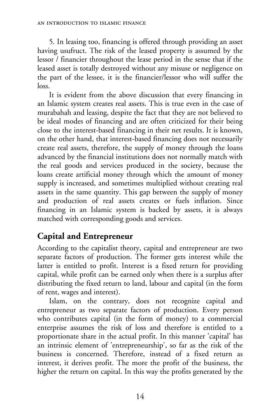<span id="page-13-0"></span>5. In leasing too, financing is offered through providing an asset having usufruct. The risk of the leased property is assumed by the lessor / financier throughout the lease period in the sense that if the leased asset is totally destroyed without any misuse or negligence on the part of the lessee, it is the financier/lessor who will suffer the loss.

It is evident from the above discussion that every financing in an Islamic system creates real assets. This is true even in the case of murabahah and leasing, despite the fact that they are not believed to be ideal modes of financing and are often criticized for their being close to the interest-based financing in their net results. It is known, on the other hand, that interest-based financing does not necessarily create real assets, therefore, the supply of money through the loans advanced by the financial institutions does not normally match with the real goods and services produced in the society, because the loans create artificial money through which the amount of money supply is increased, and sometimes multiplied without creating real assets in the same quantity. This gap between the supply of money and production of real assets creates or fuels inflation. Since financing in an Islamic system is backed by assets, it is always matched with corresponding goods and services.

## **Capital and Entrepreneur**

According to the capitalist theory, capital and entrepreneur are two separate factors of production. The former gets interest while the latter is entitled to profit. Interest is a fixed return for providing capital, while profit can be earned only when there is a surplus after distributing the fixed return to land, labour and capital (in the form of rent, wages and interest).

Islam, on the contrary, does not recognize capital and entrepreneur as two separate factors of production. Every person who contributes capital (in the form of money) to a commercial enterprise assumes the risk of loss and therefore is entitled to a proportionate share in the actual profit. In this manner 'capital' has an intrinsic element of 'entrepreneurship', so far as the risk of the business is concerned. Therefore, instead of a fixed return as interest, it derives profit. The more the profit of the business, the higher the return on capital. In this way the profits generated by the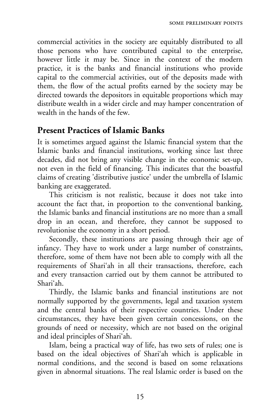<span id="page-14-0"></span>commercial activities in the society are equitably distributed to all those persons who have contributed capital to the enterprise, however little it may be. Since in the context of the modern practice, it is the banks and financial institutions who provide capital to the commercial activities, out of the deposits made with them, the flow of the actual profits earned by the society may be directed towards the depositors in equitable proportions which may distribute wealth in a wider circle and may hamper concentration of wealth in the hands of the few.

#### **Present Practices of Islamic Banks**

It is sometimes argued against the Islamic financial system that the Islamic banks and financial institutions, working since last three decades, did not bring any visible change in the economic set-up, not even in the field of financing. This indicates that the boastful claims of creating 'distributive justice' under the umbrella of Islamic banking are exaggerated.

This criticism is not realistic, because it does not take into account the fact that, in proportion to the conventional banking, the Islamic banks and financial institutions are no more than a small drop in an ocean, and therefore, they cannot be supposed to revolutionise the economy in a short period.

Secondly, these institutions are passing through their age of infancy. They have to work under a large number of constraints, therefore, some of them have not been able to comply with all the requirements of Shari'ah in all their transactions, therefore, each and every transaction carried out by them cannot be attributed to Shari'ah.

Thirdly, the Islamic banks and financial institutions are not normally supported by the governments, legal and taxation system and the central banks of their respective countries. Under these circumstances, they have been given certain concessions, on the grounds of need or necessity, which are not based on the original and ideal principles of Shari'ah.

Islam, being a practical way of life, has two sets of rules; one is based on the ideal objectives of Shari'ah which is applicable in normal conditions, and the second is based on some relaxations given in abnormal situations. The real Islamic order is based on the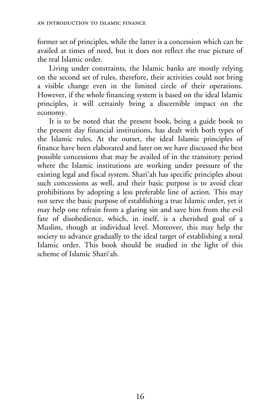former set of principles, while the latter is a concession which can be availed at times of need, but it does not reflect the true picture of the real Islamic order.

Living under constraints, the Islamic banks are mostly relying on the second set of rules, therefore, their activities could not bring a visible change even in the limited circle of their operations. However, if the whole financing system is based on the ideal Islamic principles, it will certainly bring a discernible impact on the economy.

It is to be noted that the present book, being a guide book to the present day financial institutions, has dealt with both types of the Islamic rules. At the outset, the ideal Islamic principles of finance have been elaborated and later on we have discussed the best possible concessions that may be availed of in the transitory period where the Islamic institutions are working under pressure of the existing legal and fiscal system. Shari'ah has specific principles about such concessions as well, and their basic purpose is to avoid clear prohibitions by adopting a less preferable line of action. This may not serve the basic purpose of establishing a true Islamic order, yet it may help one refrain from a glaring sin and save him from the evil fate of disobedience, which, in itself, is a cherished goal of a Muslim, though at individual level. Moreover, this may help the society to advance gradually to the ideal target of establishing a total Islamic order. This book should be studied in the light of this scheme of Islamic Shari'ah.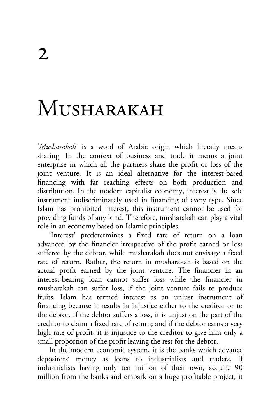# <span id="page-16-0"></span>MUSHARAKAH

'*Musharakah'* is a word of Arabic origin which literally means sharing. In the context of business and trade it means a joint enterprise in which all the partners share the profit or loss of the joint venture. It is an ideal alternative for the interest-based financing with far reaching effects on both production and distribution. In the modern capitalist economy, interest is the sole instrument indiscriminately used in financing of every type. Since Islam has prohibited interest, this instrument cannot be used for providing funds of any kind. Therefore, musharakah can play a vital role in an economy based on Islamic principles.

'Interest' predetermines a fixed rate of return on a loan advanced by the financier irrespective of the profit earned or loss suffered by the debtor, while musharakah does not envisage a fixed rate of return. Rather, the return in musharakah is based on the actual profit earned by the joint venture. The financier in an interest-bearing loan cannot suffer loss while the financier in musharakah can suffer loss, if the joint venture fails to produce fruits. Islam has termed interest as an unjust instrument of financing because it results in injustice either to the creditor or to the debtor. If the debtor suffers a loss, it is unjust on the part of the creditor to claim a fixed rate of return; and if the debtor earns a very high rate of profit, it is injustice to the creditor to give him only a small proportion of the profit leaving the rest for the debtor.

In the modern economic system, it is the banks which advance depositors' money as loans to industrialists and traders. If industrialists having only ten million of their own, acquire 90 million from the banks and embark on a huge profitable project, it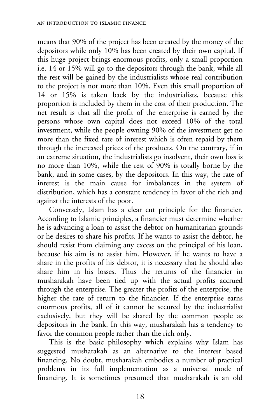means that 90% of the project has been created by the money of the depositors while only 10% has been created by their own capital. If this huge project brings enormous profits, only a small proportion i.e. 14 or 15% will go to the depositors through the bank, while all the rest will be gained by the industrialists whose real contribution to the project is not more than 10%. Even this small proportion of 14 or 15% is taken back by the industrialists, because this proportion is included by them in the cost of their production. The net result is that all the profit of the enterprise is earned by the persons whose own capital does not exceed 10% of the total investment, while the people owning 90% of the investment get no more than the fixed rate of interest which is often repaid by them through the increased prices of the products. On the contrary, if in an extreme situation, the industrialists go insolvent, their own loss is no more than 10%, while the rest of 90% is totally borne by the bank, and in some cases, by the depositors. In this way, the rate of interest is the main cause for imbalances in the system of distribution, which has a constant tendency in favor of the rich and against the interests of the poor.

Conversely, Islam has a clear cut principle for the financier. According to Islamic principles, a financier must determine whether he is advancing a loan to assist the debtor on humanitarian grounds or he desires to share his profits. If he wants to assist the debtor, he should resist from claiming any excess on the principal of his loan, because his aim is to assist him. However, if he wants to have a share in the profits of his debtor, it is necessary that he should also share him in his losses. Thus the returns of the financier in musharakah have been tied up with the actual profits accrued through the enterprise. The greater the profits of the enterprise, the higher the rate of return to the financier. If the enterprise earns enormous profits, all of it cannot be secured by the industrialist exclusively, but they will be shared by the common people as depositors in the bank. In this way, musharakah has a tendency to favor the common people rather than the rich only.

This is the basic philosophy which explains why Islam has suggested musharakah as an alternative to the interest based financing. No doubt, musharakah embodies a number of practical problems in its full implementation as a universal mode of financing. It is sometimes presumed that musharakah is an old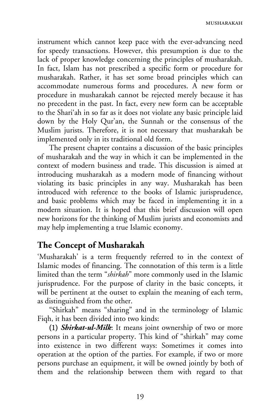<span id="page-18-0"></span>instrument which cannot keep pace with the ever-advancing need for speedy transactions. However, this presumption is due to the lack of proper knowledge concerning the principles of musharakah. In fact, Islam has not prescribed a specific form or procedure for musharakah. Rather, it has set some broad principles which can accommodate numerous forms and procedures. A new form or procedure in musharakah cannot be rejected merely because it has no precedent in the past. In fact, every new form can be acceptable to the Shari'ah in so far as it does not violate any basic principle laid down by the Holy Qur'an, the Sunnah or the consensus of the Muslim jurists. Therefore, it is not necessary that musharakah be implemented only in its traditional old form.

The present chapter contains a discussion of the basic principles of musharakah and the way in which it can be implemented in the context of modern business and trade. This discussion is aimed at introducing musharakah as a modern mode of financing without violating its basic principles in any way. Musharakah has been introduced with reference to the books of Islamic jurisprudence, and basic problems which may be faced in implementing it in a modern situation. It is hoped that this brief discussion will open new horizons for the thinking of Muslim jurists and economists and may help implementing a true Islamic economy.

#### **The Concept of Musharakah**

'Musharakah' is a term frequently referred to in the context of Islamic modes of financing. The connotation of this term is a little limited than the term "*shirkah*" more commonly used in the Islamic jurisprudence. For the purpose of clarity in the basic concepts, it will be pertinent at the outset to explain the meaning of each term, as distinguished from the other.

"Shirkah" means "sharing" and in the terminology of Islamic Fiqh, it has been divided into two kinds:

(1) *Shirkat-ul-Milk*: It means joint ownership of two or more persons in a particular property. This kind of "shirkah" may come into existence in two different ways: Sometimes it comes into operation at the option of the parties. For example, if two or more persons purchase an equipment, it will be owned jointly by both of them and the relationship between them with regard to that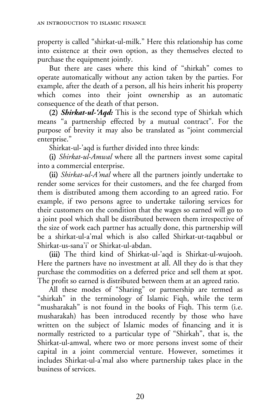property is called "shirkat-ul-milk." Here this relationship has come into existence at their own option, as they themselves elected to purchase the equipment jointly.

But there are cases where this kind of "shirkah" comes to operate automatically without any action taken by the parties. For example, after the death of a person, all his heirs inherit his property which comes into their joint ownership as an automatic consequence of the death of that person.

(2) *Shirkat-ul-'Aqd:* This is the second type of Shirkah which means "a partnership effected by a mutual contract". For the purpose of brevity it may also be translated as "joint commercial enterprise."

Shirkat-ul-'aqd is further divided into three kinds:

(i) *Shirkat-ul-Amwal* where all the partners invest some capital into a commercial enterprise.

(ii) *Shirkat-ul-A'mal* where all the partners jointly undertake to render some services for their customers, and the fee charged from them is distributed among them according to an agreed ratio. For example, if two persons agree to undertake tailoring services for their customers on the condition that the wages so earned will go to a joint pool which shall be distributed between them irrespective of the size of work each partner has actually done, this partnership will be a shirkat-ul-a'mal which is also called Shirkat-ut-taqabbul or Shirkat-us-sana'i' or Shirkat-ul-abdan.

(iii) The third kind of Shirkat-ul-'aqd is Shirkat-ul-wujooh. Here the partners have no investment at all. All they do is that they purchase the commodities on a deferred price and sell them at spot. The profit so earned is distributed between them at an agreed ratio.

All these modes of "Sharing" or partnership are termed as "shirkah" in the terminology of Islamic Fiqh, while the term "musharakah" is not found in the books of Fiqh. This term (i.e. musharakah) has been introduced recently by those who have written on the subject of Islamic modes of financing and it is normally restricted to a particular type of "Shirkah", that is, the Shirkat-ul-amwal, where two or more persons invest some of their capital in a joint commercial venture. However, sometimes it includes Shirkat-ul-a'mal also where partnership takes place in the business of services.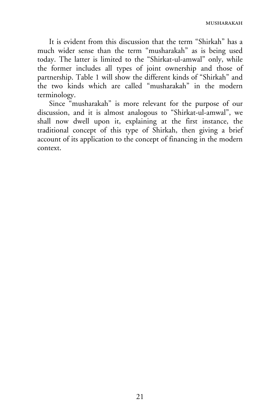It is evident from this discussion that the term "Shirkah" has a much wider sense than the term "musharakah" as is being used today. The latter is limited to the "Shirkat-ul-amwal" only, while the former includes all types of joint ownership and those of partnership. Table 1 will show the different kinds of "Shirkah" and the two kinds which are called "musharakah" in the modern terminology.

Since "musharakah" is more relevant for the purpose of our discussion, and it is almost analogous to "Shirkat-ul-amwal", we shall now dwell upon it, explaining at the first instance, the traditional concept of this type of Shirkah, then giving a brief account of its application to the concept of financing in the modern context.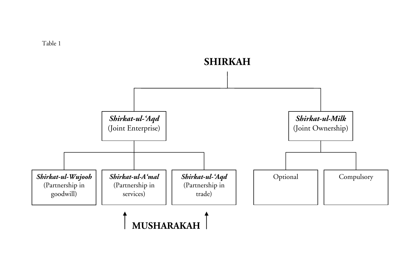

Table 1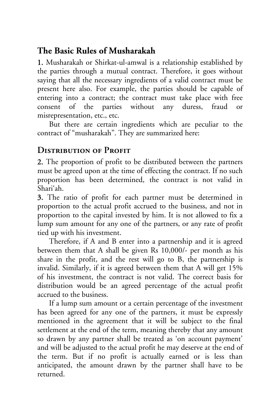### <span id="page-22-0"></span>**The Basic Rules of Musharakah**

1. Musharakah or Shirkat-ul-amwal is a relationship established by the parties through a mutual contract. Therefore, it goes without saying that all the necessary ingredients of a valid contract must be present here also. For example, the parties should be capable of entering into a contract; the contract must take place with free consent of the parties without any duress, fraud or misrepresentation, etc., etc.

But there are certain ingredients which are peculiar to the contract of "musharakah". They are summarized here:

#### **DISTRIBUTION OF PROFIT**

2. The proportion of profit to be distributed between the partners must be agreed upon at the time of effecting the contract. If no such proportion has been determined, the contract is not valid in Shari'ah.

3. The ratio of profit for each partner must be determined in proportion to the actual profit accrued to the business, and not in proportion to the capital invested by him. It is not allowed to fix a lump sum amount for any one of the partners, or any rate of profit tied up with his investment.

Therefore, if A and B enter into a partnership and it is agreed between them that A shall be given Rs 10,000/- per month as his share in the profit, and the rest will go to B, the partnership is invalid. Similarly, if it is agreed between them that A will get 15% of his investment, the contract is not valid. The correct basis for distribution would be an agreed percentage of the actual profit accrued to the business.

If a lump sum amount or a certain percentage of the investment has been agreed for any one of the partners, it must be expressly mentioned in the agreement that it will be subject to the final settlement at the end of the term, meaning thereby that any amount so drawn by any partner shall be treated as 'on account payment' and will be adjusted to the actual profit he may deserve at the end of the term. But if no profit is actually earned or is less than anticipated, the amount drawn by the partner shall have to be returned.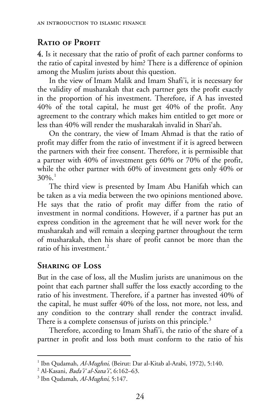#### <span id="page-23-0"></span>**RATIO OF PROFIT**

4. Is it necessary that the ratio of profit of each partner conforms to the ratio of capital invested by him? There is a difference of opinion among the Muslim jurists about this question.

In the view of Imam Malik and Imam Shafi'i, it is necessary for the validity of musharakah that each partner gets the profit exactly in the proportion of his investment. Therefore, if A has invested 40% of the total capital, he must get 40% of the profit. Any agreement to the contrary which makes him entitled to get more or less than 40% will render the musharakah invalid in Shari'ah.

On the contrary, the view of Imam Ahmad is that the ratio of profit may differ from the ratio of investment if it is agreed between the partners with their free consent. Therefore, it is permissible that a partner with 40% of investment gets 60% or 70% of the profit, while the other partner with 60% of investment gets only 40% or  $30\%$ <sup>[1](#page-23-0)</sup>

The third view is presented by Imam Abu Hanifah which can be taken as a via media between the two opinions mentioned above. He says that the ratio of profit may differ from the ratio of investment in normal conditions. However, if a partner has put an express condition in the agreement that he will never work for the musharakah and will remain a sleeping partner throughout the term of musharakah, then his share of profit cannot be more than the ratio of his investment.<sup>[2](#page-23-0)</sup>

#### **SHARING OF LOSS**

But in the case of loss, all the Muslim jurists are unanimous on the point that each partner shall suffer the loss exactly according to the ratio of his investment. Therefore, if a partner has invested 40% of the capital, he must suffer 40% of the loss, not more, not less, and any condition to the contrary shall render the contract invalid. There is a complete consensus of jurists on this principle.<sup>[3](#page-23-0)</sup>

Therefore, according to Imam Shafi'i, the ratio of the share of a partner in profit and loss both must conform to the ratio of his

<sup>&</sup>lt;sup>1</sup> Ibn Qudamah, *Al-Mughni*, (Beirut: Dar al-Kitab al-Arabi, 1972), 5:140.<br><sup>2</sup> Al-Kesani, *Bada'i' al-Sana'i', 6*:162, 63.

<sup>&</sup>lt;sup>2</sup> Al-Kasani, *Bada'i' al-Sana'i'*, 6:162–63.

<sup>&</sup>lt;sup>3</sup> Ibn Qudamah, Al-Mughni, 5:147.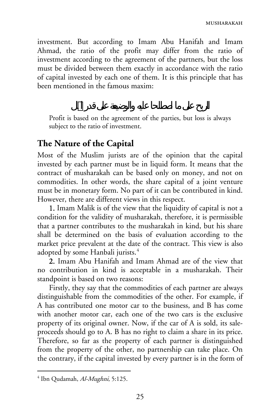**MUSHARAKAH** 

<span id="page-24-0"></span>investment. But according to Imam Abu Hanifah and Imam Ahmad, the ratio of the profit may differ from the ratio of investment according to the agreement of the partners, but the loss must be divided between them exactly in accordance with the ratio of capital invested by each one of them. It is this principle that has been mentioned in the famous maxim:

Profit is based on the agreement of the parties, but loss is always subject to the ratio of investment.

#### **The Nature of the Capital**

Most of the Muslim jurists are of the opinion that the capital invested by each partner must be in liquid form. It means that the contract of musharakah can be based only on money, and not on commodities. In other words, the share capital of a joint venture must be in monetary form. No part of it can be contributed in kind. However, there are different views in this respect.

1. Imam Malik is of the view that the liquidity of capital is not a condition for the validity of musharakah, therefore, it is permissible that a partner contributes to the musharakah in kind, but his share shall be determined on the basis of evaluation according to the market price prevalent at the date of the contract. This view is also adopted by some Hanbali jurists.<sup>[4](#page-24-0)</sup>

2. Imam Abu Hanifah and Imam Ahmad are of the view that no contribution in kind is acceptable in a musharakah. Their standpoint is based on two reasons:

Firstly, they say that the commodities of each partner are always distinguishable from the commodities of the other. For example, if A has contributed one motor car to the business, and B has come with another motor car, each one of the two cars is the exclusive property of its original owner. Now, if the car of A is sold, its saleproceeds should go to A. B has no right to claim a share in its price. Therefore, so far as the property of each partner is distinguished from the property of the other, no partnership can take place. On the contrary, if the capital invested by every partner is in the form of

<sup>&</sup>lt;sup>4</sup> Ibn Qudamah, *Al-Mughni*, 5:125.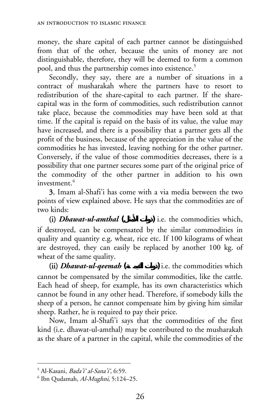<span id="page-25-0"></span>money, the share capital of each partner cannot be distinguished from that of the other, because the units of money are not distinguishable, therefore, they will be deemed to form a common pool, and thus the partnership comes into existence.<sup>[5](#page-25-0)</sup>

Secondly, they say, there are a number of situations in a contract of musharakah where the partners have to resort to redistribution of the share-capital to each partner. If the sharecapital was in the form of commodities, such redistribution cannot take place, because the commodities may have been sold at that time. If the capital is repaid on the basis of its value, the value may have increased, and there is a possibility that a partner gets all the profit of the business, because of the appreciation in the value of the commodities he has invested, leaving nothing for the other partner. Conversely, if the value of those commodities decreases, there is a possibility that one partner secures some part of the original price of the commodity of the other partner in addition to his own  $in$ vestment $^6$  $^6$ 

3. Imam al-Shafi'i has come with a via media between the two points of view explained above. He says that the commodities are of two kinds:

(i) *Dhawat-ul-amthal* ( ) i.e. the commodities which, if destroyed, can be compensated by the similar commodities in quality and quantity e.g. wheat, rice etc. If 100 kilograms of wheat are destroyed, they can easily be replaced by another 100 kg. of wheat of the same quality.

**(ii)** *Dhawat-ul-qeemah* **()** i.e. the commodities which cannot be compensated by the similar commodities, like the cattle. Each head of sheep, for example, has its own characteristics which cannot be found in any other head. Therefore, if somebody kills the sheep of a person, he cannot compensate him by giving him similar sheep. Rather, he is required to pay their price.

Now, Imam al-Shafi'i says that the commodities of the first kind (i.e. dhawat-ul-amthal) may be contributed to the musharakah as the share of a partner in the capital, while the commodities of the

<sup>&</sup>lt;sup>5</sup> Al-Kasani, *Bada'i' al-Sana'i'*, 6:59.<br><sup>6</sup> Ibn Qudamah, *Al Mugbni*, 5:124.

 $\,^6$  Ibn Qudamah, Al-Mughni, 5:124–25.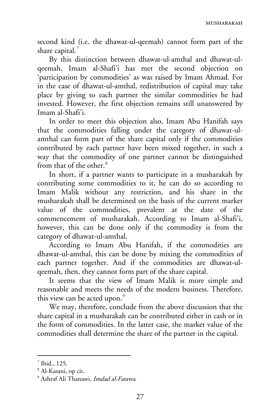<span id="page-26-0"></span>second kind (i.e. the dhawat-ul-qeemah) cannot form part of the share capital.<sup>[7](#page-26-0)</sup>

By this distinction between dhawat-ul-amthal and dhawat-ulqeemah, Imam al-Shafi'i has met the second objection on 'participation by commodities' as was raised by Imam Ahmad. For in the case of dhawat-ul-amthal, redistribution of capital may take place by giving to each partner the similar commodities he had invested. However, the first objection remains still unanswered by Imam al-Shafi'i.

In order to meet this objection also, Imam Abu Hanifah says that the commodities falling under the category of dhawat-ulamthal can form part of the share capital only if the commodities contributed by each partner have been mixed together, in such a way that the commodity of one partner cannot be distinguished from that of the other.<sup>[8](#page-26-0)</sup>

In short, if a partner wants to participate in a musharakah by contributing some commodities to it, he can do so according to Imam Malik without any restriction, and his share in the musharakah shall be determined on the basis of the current market value of the commodities, prevalent at the date of the commencement of musharakah. According to Imam al-Shafi'i, however, this can be done only if the commodity is from the category of dhawat-ul-amthal.

According to Imam Abu Hanifah, if the commodities are dhawat-ul-amthal, this can be done by mixing the commodities of each partner together. And if the commodities are dhawat-ulqeemah, then, they cannot form part of the share capital.

It seems that the view of Imam Malik is more simple and reasonable and meets the needs of the modern business. Therefore, this view can be acted upon.<sup>[9](#page-26-0)</sup>

We may, therefore, conclude from the above discussion that the share capital in a musharakah can be contributed either in cash or in the form of commodities. In the latter case, the market value of the commodities shall determine the share of the partner in the capital.

<sup>7</sup> Ibid., 125.

<sup>8</sup> Al-Kasani, op cit.

<sup>&</sup>lt;sup>9</sup> Ashraf Ali Thanawi, *Imdad al-Fatawa*.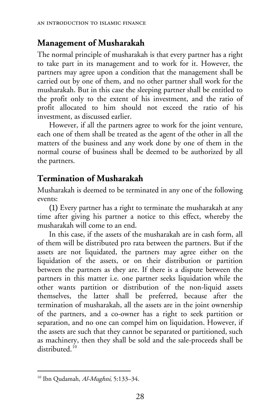#### <span id="page-27-0"></span>**Management of Musharakah**

The normal principle of musharakah is that every partner has a right to take part in its management and to work for it. However, the partners may agree upon a condition that the management shall be carried out by one of them, and no other partner shall work for the musharakah. But in this case the sleeping partner shall be entitled to the profit only to the extent of his investment, and the ratio of profit allocated to him should not exceed the ratio of his investment, as discussed earlier.

However, if all the partners agree to work for the joint venture, each one of them shall be treated as the agent of the other in all the matters of the business and any work done by one of them in the normal course of business shall be deemed to be authorized by all the partners.

# **Termination of Musharakah**

Musharakah is deemed to be terminated in any one of the following events:

(1) Every partner has a right to terminate the musharakah at any time after giving his partner a notice to this effect, whereby the musharakah will come to an end.

In this case, if the assets of the musharakah are in cash form, all of them will be distributed pro rata between the partners. But if the assets are not liquidated, the partners may agree either on the liquidation of the assets, or on their distribution or partition between the partners as they are. If there is a dispute between the partners in this matter i.e. one partner seeks liquidation while the other wants partition or distribution of the non-liquid assets themselves, the latter shall be preferred, because after the termination of musharakah, all the assets are in the joint ownership of the partners, and a co-owner has a right to seek partition or separation, and no one can compel him on liquidation. However, if the assets are such that they cannot be separated or partitioned, such as machinery, then they shall be sold and the sale-proceeds shall be distributed.<sup>[10](#page-27-0)</sup>

 $10$  Ibn Qudamah, Al-Mughni, 5:133-34.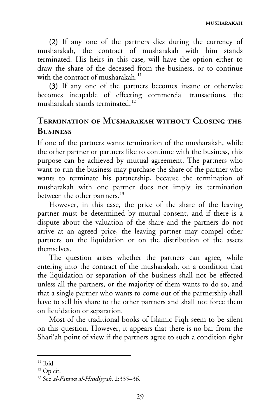**MUSHARAKAH** 

<span id="page-28-0"></span>(2) If any one of the partners dies during the currency of musharakah, the contract of musharakah with him stands terminated. His heirs in this case, will have the option either to draw the share of the deceased from the business, or to continue with the contract of musharakah.<sup>[11](#page-28-0)</sup>

(3) If any one of the partners becomes insane or otherwise becomes incapable of effecting commercial transactions, the musharakah stands terminated.[12](#page-28-0)

#### Termination of Musharakah without Closing the **BUSINESS**

If one of the partners wants termination of the musharakah, while the other partner or partners like to continue with the business, this purpose can be achieved by mutual agreement. The partners who want to run the business may purchase the share of the partner who wants to terminate his partnership, because the termination of musharakah with one partner does not imply its termination between the other partners.<sup>[13](#page-28-0)</sup>

However, in this case, the price of the share of the leaving partner must be determined by mutual consent, and if there is a dispute about the valuation of the share and the partners do not arrive at an agreed price, the leaving partner may compel other partners on the liquidation or on the distribution of the assets themselves.

The question arises whether the partners can agree, while entering into the contract of the musharakah, on a condition that the liquidation or separation of the business shall not be effected unless all the partners, or the majority of them wants to do so, and that a single partner who wants to come out of the partnership shall have to sell his share to the other partners and shall not force them on liquidation or separation.

Most of the traditional books of Islamic Fiqh seem to be silent on this question. However, it appears that there is no bar from the Shari'ah point of view if the partners agree to such a condition right

 $11$  Ibid.

 $12$  Op cit.

<sup>&</sup>lt;sup>13</sup> See *al-Fatawa al-Hindiyyah*, 2:335–36.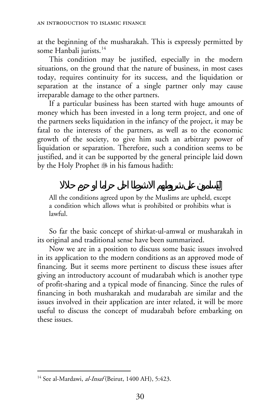<span id="page-29-0"></span>at the beginning of the musharakah. This is expressly permitted by some Hanbali jurists.<sup>[14](#page-29-0)</sup>

This condition may be justified, especially in the modern situations, on the ground that the nature of business, in most cases today, requires continuity for its success, and the liquidation or separation at the instance of a single partner only may cause irreparable damage to the other partners.

If a particular business has been started with huge amounts of money which has been invested in a long term project, and one of the partners seeks liquidation in the infancy of the project, it may be fatal to the interests of the partners, as well as to the economic growth of the society, to give him such an arbitrary power of liquidation or separation. Therefore, such a condition seems to be justified, and it can be supported by the general principle laid down by the Holy Prophet *M* in his famous hadith:

All the conditions agreed upon by the Muslims are upheld, except a condition which allows what is prohibited or prohibits what is lawful.

So far the basic concept of shirkat-ul-amwal or musharakah in its original and traditional sense have been summarized.

Now we are in a position to discuss some basic issues involved in its application to the modern conditions as an approved mode of financing. But it seems more pertinent to discuss these issues after giving an introductory account of mudarabah which is another type of profit-sharing and a typical mode of financing. Since the rules of financing in both musharakah and mudarabah are similar and the issues involved in their application are inter related, it will be more useful to discuss the concept of mudarabah before embarking on these issues.

<sup>&</sup>lt;sup>14</sup> See al-Mardawi, *al-Insaf* (Beirut, 1400 AH), 5:423.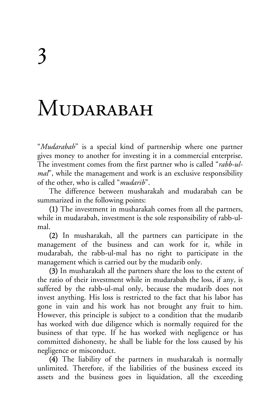# <span id="page-30-0"></span>MUDARABAH

"*Mudarabah*" is a special kind of partnership where one partner gives money to another for investing it in a commercial enterprise. The investment comes from the first partner who is called "*rabb-ulmal*", while the management and work is an exclusive responsibility of the other, who is called "*mudarib*".

The difference between musharakah and mudarabah can be summarized in the following points:

(1) The investment in musharakah comes from all the partners, while in mudarabah, investment is the sole responsibility of rabb-ulmal.

(2) In musharakah, all the partners can participate in the management of the business and can work for it, while in mudarabah, the rabb-ul-mal has no right to participate in the management which is carried out by the mudarib only.

(3) In musharakah all the partners share the loss to the extent of the ratio of their investment while in mudarabah the loss, if any, is suffered by the rabb-ul-mal only, because the mudarib does not invest anything. His loss is restricted to the fact that his labor has gone in vain and his work has not brought any fruit to him. However, this principle is subject to a condition that the mudarib has worked with due diligence which is normally required for the business of that type. If he has worked with negligence or has committed dishonesty, he shall be liable for the loss caused by his negligence or misconduct.

(4) The liability of the partners in musharakah is normally unlimited. Therefore, if the liabilities of the business exceed its assets and the business goes in liquidation, all the exceeding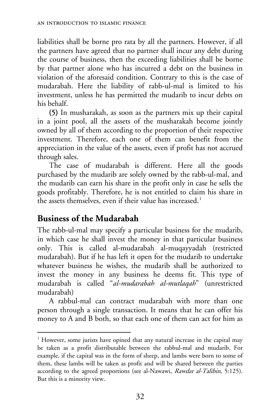<span id="page-31-0"></span>liabilities shall be borne pro rata by all the partners. However, if all the partners have agreed that no partner shall incur any debt during the course of business, then the exceeding liabilities shall be borne by that partner alone who has incurred a debt on the business in violation of the aforesaid condition. Contrary to this is the case of mudarabah. Here the liability of rabb-ul-mal is limited to his investment, unless he has permitted the mudarib to incur debts on his behalf.

(5) In musharakah, as soon as the partners mix up their capital in a joint pool, all the assets of the musharakah become jointly owned by all of them according to the proportion of their respective investment. Therefore, each one of them can benefit from the appreciation in the value of the assets, even if profit has not accrued through sales.

The case of mudarabah is different. Here all the goods purchased by the mudarib are solely owned by the rabb-ul-mal, and the mudarib can earn his share in the profit only in case he sells the goods profitably. Therefore, he is not entitled to claim his share in the assets themselves, even if their value has increased.<sup>[1](#page-31-0)</sup>

## **Business of the Mudarabah**

 $\overline{a}$ 

The rabb-ul-mal may specify a particular business for the mudarib, in which case he shall invest the money in that particular business only. This is called al-mudarabah al-muqayyadah (restricted mudarabah). But if he has left it open for the mudarib to undertake whatever business he wishes, the mudarib shall be authorized to invest the money in any business he deems fit. This type of mudarabah is called "*al-mudarabah al-mutlaqah*" (unrestricted mudarabah)

A rabbul-mal can contract mudarabah with more than one person through a single transaction. It means that he can offer his money to A and B both, so that each one of them can act for him as

<sup>&</sup>lt;sup>1</sup> However, some jurists have opined that any natural increase in the capital may be taken as a profit distributable between the rabbul-mal and mudarib. For example, if the capital was in the form of sheep, and lambs were born to some of them, these lambs will be taken as profit and will be shared between the parties according to the agreed proportions (see al-Nawawi, Rawdat al-Talibin, 5:125). But this is a minority view.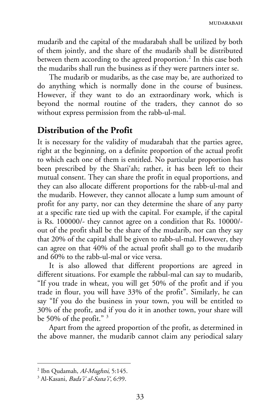<span id="page-32-0"></span>mudarib and the capital of the mudarabah shall be utilized by both of them jointly, and the share of the mudarib shall be distributed between them according to the agreed proportion.<sup>[2](#page-32-0)</sup> In this case both the mudaribs shall run the business as if they were partners inter se.

The mudarib or mudaribs, as the case may be, are authorized to do anything which is normally done in the course of business. However, if they want to do an extraordinary work, which is beyond the normal routine of the traders, they cannot do so without express permission from the rabb-ul-mal.

#### **Distribution of the Profit**

It is necessary for the validity of mudarabah that the parties agree, right at the beginning, on a definite proportion of the actual profit to which each one of them is entitled. No particular proportion has been prescribed by the Shari'ah; rather, it has been left to their mutual consent. They can share the profit in equal proportions, and they can also allocate different proportions for the rabb-ul-mal and the mudarib. However, they cannot allocate a lump sum amount of profit for any party, nor can they determine the share of any party at a specific rate tied up with the capital. For example, if the capital is Rs. 100000/- they cannot agree on a condition that Rs. 10000/ out of the profit shall be the share of the mudarib, nor can they say that 20% of the capital shall be given to rabb-ul-mal. However, they can agree on that 40% of the actual profit shall go to the mudarib and 60% to the rabb-ul-mal or vice versa.

It is also allowed that different proportions are agreed in different situations. For example the rabbul-mal can say to mudarib, "If you trade in wheat, you will get 50% of the profit and if you trade in flour, you will have 33% of the profit". Similarly, he can say "If you do the business in your town, you will be entitled to 30% of the profit, and if you do it in another town, your share will be 50% of the profit." [3](#page-32-0)

Apart from the agreed proportion of the profit, as determined in the above manner, the mudarib cannot claim any periodical salary

<sup>&</sup>lt;sup>2</sup> Ibn Qudamah, *Al-Mughni*, 5:145.<br><sup>3</sup> Al Kasani, *Bada'i' al Sana'i' 6:*99.

 $3$  Al-Kasani, *Bada'i' al-Sana'i'*, 6:99.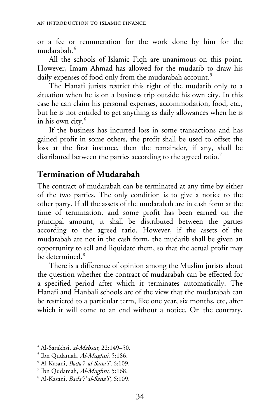<span id="page-33-0"></span>or a fee or remuneration for the work done by him for the mudarabah.[4](#page-33-0)

All the schools of Islamic Fiqh are unanimous on this point. However, Imam Ahmad has allowed for the mudarib to draw his daily expenses of food only from the mudarabah account.<sup>[5](#page-33-0)</sup>

The Hanafi jurists restrict this right of the mudarib only to a situation when he is on a business trip outside his own city. In this case he can claim his personal expenses, accommodation, food, etc., but he is not entitled to get anything as daily allowances when he is in his own city.<sup>[6](#page-33-0)</sup>

If the business has incurred loss in some transactions and has gained profit in some others, the profit shall be used to offset the loss at the first instance, then the remainder, if any, shall be distributed between the parties according to the agreed ratio.<sup>[7](#page-33-0)</sup>

#### **Termination of Mudarabah**

The contract of mudarabah can be terminated at any time by either of the two parties. The only condition is to give a notice to the other party. If all the assets of the mudarabah are in cash form at the time of termination, and some profit has been earned on the principal amount, it shall be distributed between the parties according to the agreed ratio. However, if the assets of the mudarabah are not in the cash form, the mudarib shall be given an opportunity to sell and liquidate them, so that the actual profit may be determined.<sup>[8](#page-33-0)</sup>

There is a difference of opinion among the Muslim jurists about the question whether the contract of mudarabah can be effected for a specified period after which it terminates automatically. The Hanafi and Hanbali schools are of the view that the mudarabah can be restricted to a particular term, like one year, six months, etc, after which it will come to an end without a notice. On the contrary,

<sup>&</sup>lt;sup>4</sup> Al-Sarakhsi, *al-Mabsut*, 22:149–50.<br><sup>5</sup> Jbn Qudamah - Al-Mughni, 5:186.

 $<sup>5</sup>$  Ibn Qudamah, Al-Mughni, 5:186.</sup>

 $6$  Al-Kasani, *Bada'i' al-Sana'i'*, 6:109.

<sup>&</sup>lt;sup>7</sup> Ibn Qudamah, *Al-Mughni*, 5:168.

<sup>&</sup>lt;sup>8</sup> Al-Kasani, *Bada'i' al-Sana'i'*, 6:109.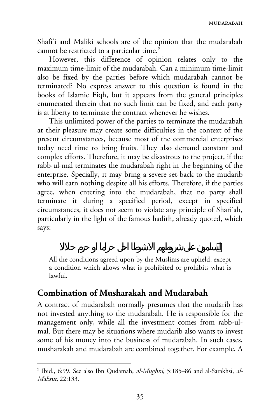<span id="page-34-0"></span>Shafi'i and Maliki schools are of the opinion that the mudarabah cannot be restricted to a particular time. $\frac{5}{3}$ 

However, this difference of opinion relates only to the maximum time-limit of the mudarabah. Can a minimum time-limit also be fixed by the parties before which mudarabah cannot be terminated? No express answer to this question is found in the books of Islamic Fiqh, but it appears from the general principles enumerated therein that no such limit can be fixed, and each party is at liberty to terminate the contract whenever he wishes.

This unlimited power of the parties to terminate the mudarabah at their pleasure may create some difficulties in the context of the present circumstances, because most of the commercial enterprises today need time to bring fruits. They also demand constant and complex efforts. Therefore, it may be disastrous to the project, if the rabb-ul-mal terminates the mudarabah right in the beginning of the enterprise. Specially, it may bring a severe set-back to the mudarib who will earn nothing despite all his efforts. Therefore, if the parties agree, when entering into the mudarabah, that no party shall terminate it during a specified period, except in specified circumstances, it does not seem to violate any principle of Shari'ah, particularly in the light of the famous hadith, already quoted, which says:

All the conditions agreed upon by the Muslims are upheld, except a condition which allows what is prohibited or prohibits what is lawful.

#### **Combination of Musharakah and Mudarabah**

 $\overline{a}$ 

A contract of mudarabah normally presumes that the mudarib has not invested anything to the mudarabah. He is responsible for the management only, while all the investment comes from rabb-ulmal. But there may be situations where mudarib also wants to invest some of his money into the business of mudarabah. In such cases, musharakah and mudarabah are combined together. For example, A

<sup>&</sup>lt;sup>9</sup> Ibid., 6:99. See also Ibn Qudamah, *al-Mughni*, 5:185–86 and al-Sarakhsi, *al-*Mabsut, 22:133.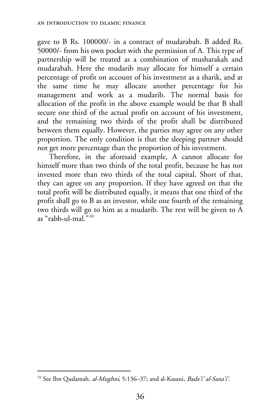<span id="page-35-0"></span>gave to B Rs. 100000/- in a contract of mudarabah. B added Rs. 50000/- from his own pocket with the permission of A. This type of partnership will be treated as a combination of musharakah and mudarabah. Here the mudarib may allocate for himself a certain percentage of profit on account of his investment as a sharik, and at the same time he may allocate another percentage for his management and work as a mudarib. The normal basis for allocation of the profit in the above example would be that B shall secure one third of the actual profit on account of his investment, and the remaining two thirds of the profit shall be distributed between them equally. However, the parties may agree on any other proportion. The only condition is that the sleeping partner should not get more percentage than the proportion of his investment.

Therefore, in the aforesaid example, A cannot allocate for himself more than two thirds of the total profit, because he has not invested more than two thirds of the total capital. Short of that, they can agree on any proportion. If they have agreed on that the total profit will be distributed equally, it means that one third of the profit shall go to B as an investor, while one fourth of the remaining two thirds will go to him as a mudarib. The rest will be given to A as "rabb-ul-mal $\frac{1}{2}$ "<sup>[10](#page-35-0)</sup>

<sup>&</sup>lt;sup>10</sup> See Ibn Qudamah, *al-Mughni*, 5:136-37; and al-Kasani, *Bada'i' al-Sana'i'*.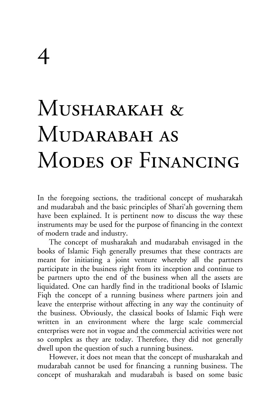# MUSHARAKAH & MUDARABAH AS MODES OF FINANCING

In the foregoing sections, the traditional concept of musharakah and mudarabah and the basic principles of Shari'ah governing them have been explained. It is pertinent now to discuss the way these instruments may be used for the purpose of financing in the context of modern trade and industry.

The concept of musharakah and mudarabah envisaged in the books of Islamic Fiqh generally presumes that these contracts are meant for initiating a joint venture whereby all the partners participate in the business right from its inception and continue to be partners upto the end of the business when all the assets are liquidated. One can hardly find in the traditional books of Islamic Fiqh the concept of a running business where partners join and leave the enterprise without affecting in any way the continuity of the business. Obviously, the classical books of Islamic Fiqh were written in an environment where the large scale commercial enterprises were not in vogue and the commercial activities were not so complex as they are today. Therefore, they did not generally dwell upon the question of such a running business.

However, it does not mean that the concept of musharakah and mudarabah cannot be used for financing a running business. The concept of musharakah and mudarabah is based on some basic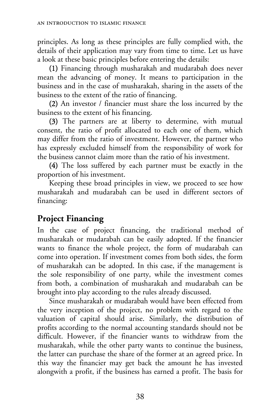principles. As long as these principles are fully complied with, the details of their application may vary from time to time. Let us have a look at these basic principles before entering the details:

(1) Financing through musharakah and mudarabah does never mean the advancing of money. It means to participation in the business and in the case of musharakah, sharing in the assets of the business to the extent of the ratio of financing.

(2) An investor / financier must share the loss incurred by the business to the extent of his financing.

(3) The partners are at liberty to determine, with mutual consent, the ratio of profit allocated to each one of them, which may differ from the ratio of investment. However, the partner who has expressly excluded himself from the responsibility of work for the business cannot claim more than the ratio of his investment.

(4) The loss suffered by each partner must be exactly in the proportion of his investment.

Keeping these broad principles in view, we proceed to see how musharakah and mudarabah can be used in different sectors of financing:

## **Project Financing**

In the case of project financing, the traditional method of musharakah or mudarabah can be easily adopted. If the financier wants to finance the whole project, the form of mudarabah can come into operation. If investment comes from both sides, the form of musharakah can be adopted. In this case, if the management is the sole responsibility of one party, while the investment comes from both, a combination of musharakah and mudarabah can be brought into play according to the rules already discussed.

Since musharakah or mudarabah would have been effected from the very inception of the project, no problem with regard to the valuation of capital should arise. Similarly, the distribution of profits according to the normal accounting standards should not be difficult. However, if the financier wants to withdraw from the musharakah, while the other party wants to continue the business, the latter can purchase the share of the former at an agreed price. In this way the financier may get back the amount he has invested alongwith a profit, if the business has earned a profit. The basis for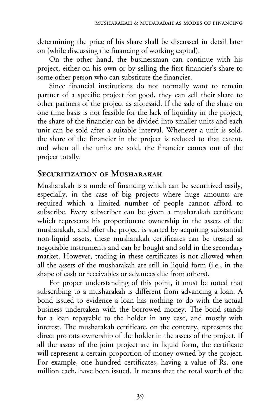determining the price of his share shall be discussed in detail later on (while discussing the financing of working capital).

On the other hand, the businessman can continue with his project, either on his own or by selling the first financier's share to some other person who can substitute the financier.

Since financial institutions do not normally want to remain partner of a specific project for good, they can sell their share to other partners of the project as aforesaid. If the sale of the share on one time basis is not feasible for the lack of liquidity in the project, the share of the financier can be divided into smaller units and each unit can be sold after a suitable interval. Whenever a unit is sold, the share of the financier in the project is reduced to that extent, and when all the units are sold, the financier comes out of the project totally.

#### Securitization of Musharakah

Musharakah is a mode of financing which can be securitized easily, especially, in the case of big projects where huge amounts are required which a limited number of people cannot afford to subscribe. Every subscriber can be given a musharakah certificate which represents his proportionate ownership in the assets of the musharakah, and after the project is started by acquiring substantial non-liquid assets, these musharakah certificates can be treated as negotiable instruments and can be bought and sold in the secondary market. However, trading in these certificates is not allowed when all the assets of the musharakah are still in liquid form (i.e., in the shape of cash or receivables or advances due from others).

For proper understanding of this point, it must be noted that subscribing to a musharakah is different from advancing a loan. A bond issued to evidence a loan has nothing to do with the actual business undertaken with the borrowed money. The bond stands for a loan repayable to the holder in any case, and mostly with interest. The musharakah certificate, on the contrary, represents the direct pro rata ownership of the holder in the assets of the project. If all the assets of the joint project are in liquid form, the certificate will represent a certain proportion of money owned by the project. For example, one hundred certificates, having a value of Rs. one million each, have been issued. It means that the total worth of the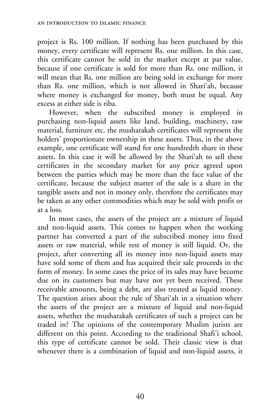project is Rs. 100 million. If nothing has been purchased by this money, every certificate will represent Rs. one million. In this case, this certificate cannot be sold in the market except at par value, because if one certificate is sold for more than Rs. one million, it will mean that Rs. one million are being sold in exchange for more than Rs. one million, which is not allowed in Shari'ah, because where money is exchanged for money, both must be equal. Any excess at either side is riba.

However, when the subscribed money is employed in purchasing non-liquid assets like land, building, machinery, raw material, furniture etc. the musharakah certificates will represent the holders' proportionate ownership in these assets. Thus, in the above example, one certificate will stand for one hundredth share in these assets. In this case it will be allowed by the Shari'ah to sell these certificates in the secondary market for any price agreed upon between the parties which may be more than the face value of the certificate, because the subject matter of the sale is a share in the tangible assets and not in money only, therefore the certificates may be taken as any other commodities which may be sold with profit or at a loss.

In most cases, the assets of the project are a mixture of liquid and non-liquid assets. This comes to happen when the working partner has converted a part of the subscribed money into fixed assets or raw material, while rest of money is still liquid. Or, the project, after converting all its money into non-liquid assets may have sold some of them and has acquired their sale proceeds in the form of money. In some cases the price of its sales may have become due on its customers but may have not yet been received. These receivable amounts, being a debt, are also treated as liquid money. The question arises about the rule of Shari'ah in a situation where the assets of the project are a mixture of liquid and non-liquid assets, whether the musharakah certificates of such a project can be traded in? The opinions of the contemporary Muslim jurists are different on this point. According to the traditional Shafi'i school, this type of certificate cannot be sold. Their classic view is that whenever there is a combination of liquid and non-liquid assets, it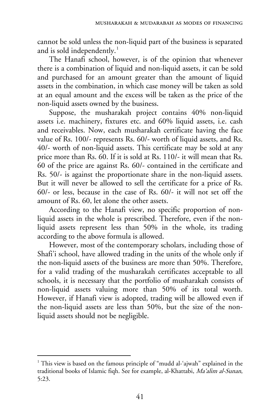<span id="page-40-0"></span>cannot be sold unless the non-liquid part of the business is separated and is sold independently.<sup>[1](#page-40-0)</sup>

The Hanafi school, however, is of the opinion that whenever there is a combination of liquid and non-liquid assets, it can be sold and purchased for an amount greater than the amount of liquid assets in the combination, in which case money will be taken as sold at an equal amount and the excess will be taken as the price of the non-liquid assets owned by the business.

Suppose, the musharakah project contains 40% non-liquid assets i.e. machinery, fixtures etc. and 60% liquid assets, i.e. cash and receivables. Now, each musharakah certificate having the face value of Rs. 100/- represents Rs. 60/- worth of liquid assets, and Rs. 40/- worth of non-liquid assets. This certificate may be sold at any price more than Rs. 60. If it is sold at Rs. 110/- it will mean that Rs. 60 of the price are against Rs. 60/- contained in the certificate and Rs. 50/- is against the proportionate share in the non-liquid assets. But it will never be allowed to sell the certificate for a price of Rs. 60/- or less, because in the case of Rs. 60/- it will not set off the amount of Rs. 60, let alone the other assets.

According to the Hanafi view, no specific proportion of nonliquid assets in the whole is prescribed. Therefore, even if the nonliquid assets represent less than 50% in the whole, its trading according to the above formula is allowed.

However, most of the contemporary scholars, including those of Shafi'i school, have allowed trading in the units of the whole only if the non-liquid assets of the business are more than 50%. Therefore, for a valid trading of the musharakah certificates acceptable to all schools, it is necessary that the portfolio of musharakah consists of non-liquid assets valuing more than 50% of its total worth. However, if Hanafi view is adopted, trading will be allowed even if the non-liquid assets are less than 50%, but the size of the nonliquid assets should not be negligible.

<sup>&</sup>lt;sup>1</sup> This view is based on the famous principle of "mudd al-'ajwah" explained in the traditional books of Islamic fiqh. See for example, al-Khattabi, Ma'alim al-Sunan, 5:23.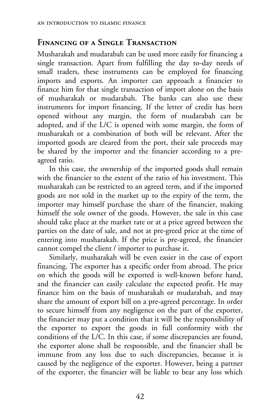#### **FINANCING OF A SINGLE TRANSACTION**

Musharakah and mudarabah can be used more easily for financing a single transaction. Apart from fulfilling the day to-day needs of small traders, these instruments can be employed for financing imports and exports. An importer can approach a financier to finance him for that single transaction of import alone on the basis of musharakah or mudarabah. The banks can also use these instruments for import financing. If the letter of credit has been opened without any margin, the form of mudarabah can be adopted, and if the L/C is opened with some margin, the form of musharakah or a combination of both will be relevant. After the imported goods are cleared from the port, their sale proceeds may be shared by the importer and the financier according to a preagreed ratio.

In this case, the ownership of the imported goods shall remain with the financier to the extent of the ratio of his investment. This musharakah can be restricted to an agreed term, and if the imported goods are not sold in the market up to the expiry of the term, the importer may himself purchase the share of the financier, making himself the sole owner of the goods. However, the sale in this case should take place at the market rate or at a price agreed between the parties on the date of sale, and not at pre-greed price at the time of entering into musharakah. If the price is pre-agreed, the financier cannot compel the client / importer to purchase it.

Similarly, musharakah will be even easier in the case of export financing. The exporter has a specific order from abroad. The price on which the goods will be exported is well-known before hand, and the financier can easily calculate the expected profit. He may finance him on the basis of musharakah or mudarabah, and may share the amount of export bill on a pre-agreed percentage. In order to secure himself from any negligence on the part of the exporter, the financier may put a condition that it will be the responsibility of the exporter to export the goods in full conformity with the conditions of the L/C. In this case, if some discrepancies are found, the exporter alone shall be responsible, and the financier shall be immune from any loss due to such discrepancies, because it is caused by the negligence of the exporter. However, being a partner of the exporter, the financier will be liable to bear any loss which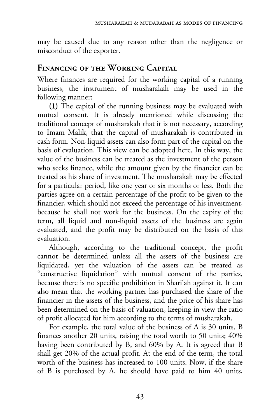may be caused due to any reason other than the negligence or misconduct of the exporter.

#### **FINANCING OF THE WORKING CAPITAL**

Where finances are required for the working capital of a running business, the instrument of musharakah may be used in the following manner:

(1) The capital of the running business may be evaluated with mutual consent. It is already mentioned while discussing the traditional concept of musharakah that it is not necessary, according to Imam Malik, that the capital of musharakah is contributed in cash form. Non-liquid assets can also form part of the capital on the basis of evaluation. This view can be adopted here. In this way, the value of the business can be treated as the investment of the person who seeks finance, while the amount given by the financier can be treated as his share of investment. The musharakah may be effected for a particular period, like one year or six months or less. Both the parties agree on a certain percentage of the profit to be given to the financier, which should not exceed the percentage of his investment, because he shall not work for the business. On the expiry of the term, all liquid and non-liquid assets of the business are again evaluated, and the profit may be distributed on the basis of this evaluation.

Although, according to the traditional concept, the profit cannot be determined unless all the assets of the business are liquidated, yet the valuation of the assets can be treated as "constructive liquidation" with mutual consent of the parties, because there is no specific prohibition in Shari'ah against it. It can also mean that the working partner has purchased the share of the financier in the assets of the business, and the price of his share has been determined on the basis of valuation, keeping in view the ratio of profit allocated for him according to the terms of musharakah.

For example, the total value of the business of A is 30 units. B finances another 20 units, raising the total worth to 50 units; 40% having been contributed by B, and 60% by A. It is agreed that B shall get 20% of the actual profit. At the end of the term, the total worth of the business has increased to 100 units. Now, if the share of B is purchased by A, he should have paid to him 40 units,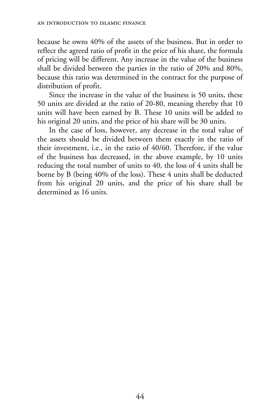because he owns 40% of the assets of the business. But in order to reflect the agreed ratio of profit in the price of his share, the formula of pricing will be different. Any increase in the value of the business shall be divided between the parties in the ratio of 20% and 80%, because this ratio was determined in the contract for the purpose of distribution of profit.

Since the increase in the value of the business is 50 units, these 50 units are divided at the ratio of 20-80, meaning thereby that 10 units will have been earned by B. These 10 units will be added to his original 20 units, and the price of his share will be 30 units.

In the case of loss, however, any decrease in the total value of the assets should be divided between them exactly in the ratio of their investment, i.e., in the ratio of 40/60. Therefore, if the value of the business has decreased, in the above example, by 10 units reducing the total number of units to 40, the loss of 4 units shall be borne by B (being 40% of the loss). These 4 units shall be deducted from his original 20 units, and the price of his share shall be determined as 16 units.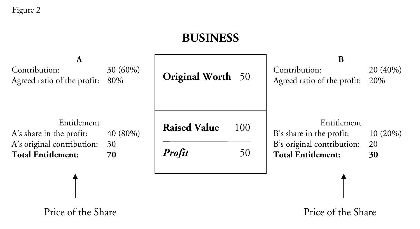#### **BUSINESS**

| A<br>Contribution:<br>Agreed ratio of the profit:                                                  | 30 (60%)<br>80%        | Original Worth 50                    |           | B<br>Contribution:<br>Agreed ratio of the profit:                                                  | 20 (40%)<br>20%        |
|----------------------------------------------------------------------------------------------------|------------------------|--------------------------------------|-----------|----------------------------------------------------------------------------------------------------|------------------------|
| Entitlement<br>A's share in the profit:<br>A's original contribution:<br><b>Total Entitlement:</b> | $40(80\%)$<br>30<br>70 | <b>Raised Value</b><br><b>Profit</b> | 100<br>50 | Entitlement<br>B's share in the profit:<br>B's original contribution:<br><b>Total Entitlement:</b> | $10(20\%)$<br>20<br>30 |
|                                                                                                    |                        |                                      |           |                                                                                                    |                        |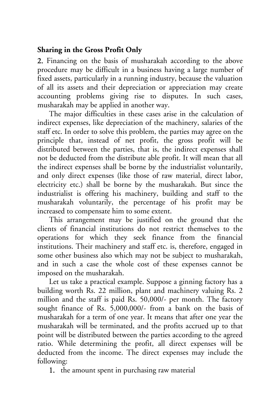#### **Sharing in the Gross Profit Only**

2. Financing on the basis of musharakah according to the above procedure may be difficult in a business having a large number of fixed assets, particularly in a running industry, because the valuation of all its assets and their depreciation or appreciation may create accounting problems giving rise to disputes. In such cases, musharakah may be applied in another way.

The major difficulties in these cases arise in the calculation of indirect expenses, like depreciation of the machinery, salaries of the staff etc. In order to solve this problem, the parties may agree on the principle that, instead of net profit, the gross profit will be distributed between the parties, that is, the indirect expenses shall not be deducted from the distribute able profit. It will mean that all the indirect expenses shall be borne by the industrialist voluntarily, and only direct expenses (like those of raw material, direct labor, electricity etc.) shall be borne by the musharakah. But since the industrialist is offering his machinery, building and staff to the musharakah voluntarily, the percentage of his profit may be increased to compensate him to some extent.

This arrangement may be justified on the ground that the clients of financial institutions do not restrict themselves to the operations for which they seek finance from the financial institutions. Their machinery and staff etc. is, therefore, engaged in some other business also which may not be subject to musharakah, and in such a case the whole cost of these expenses cannot be imposed on the musharakah.

Let us take a practical example. Suppose a ginning factory has a building worth Rs. 22 million, plant and machinery valuing Rs. 2 million and the staff is paid Rs. 50,000/- per month. The factory sought finance of Rs. 5,000,000/- from a bank on the basis of musharakah for a term of one year. It means that after one year the musharakah will be terminated, and the profits accrued up to that point will be distributed between the parties according to the agreed ratio. While determining the profit, all direct expenses will be deducted from the income. The direct expenses may include the following:

1. the amount spent in purchasing raw material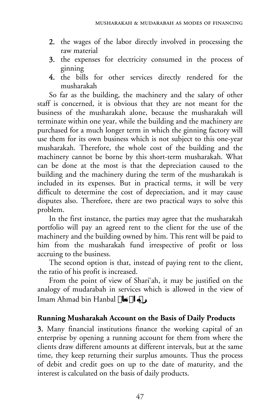- 2. the wages of the labor directly involved in processing the raw material
- 3. the expenses for electricity consumed in the process of ginning
- 4. the bills for other services directly rendered for the musharakah

So far as the building, the machinery and the salary of other staff is concerned, it is obvious that they are not meant for the business of the musharakah alone, because the musharakah will terminate within one year, while the building and the machinery are purchased for a much longer term in which the ginning factory will use them for its own business which is not subject to this one-year musharakah. Therefore, the whole cost of the building and the machinery cannot be borne by this short-term musharakah. What can be done at the most is that the depreciation caused to the building and the machinery during the term of the musharakah is included in its expenses. But in practical terms, it will be very difficult to determine the cost of depreciation, and it may cause disputes also. Therefore, there are two practical ways to solve this problem.

In the first instance, the parties may agree that the musharakah portfolio will pay an agreed rent to the client for the use of the machinery and the building owned by him. This rent will be paid to him from the musharakah fund irrespective of profit or loss accruing to the business.

The second option is that, instead of paying rent to the client, the ratio of his profit is increased.

From the point of view of Shari'ah, it may be justified on the analogy of mudarabah in services which is allowed in the view of **Imam Ahmad bin Hanbal** 

#### **Running Musharakah Account on the Basis of Daily Products**

3. Many financial institutions finance the working capital of an enterprise by opening a running account for them from where the clients draw different amounts at different intervals, but at the same time, they keep returning their surplus amounts. Thus the process of debit and credit goes on up to the date of maturity, and the interest is calculated on the basis of daily products.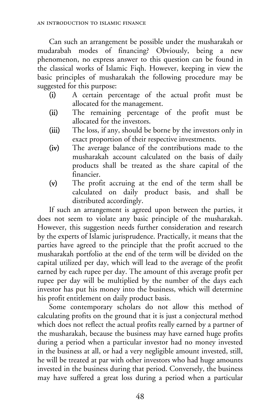Can such an arrangement be possible under the musharakah or mudarabah modes of financing? Obviously, being a new phenomenon, no express answer to this question can be found in the classical works of Islamic Fiqh. However, keeping in view the basic principles of musharakah the following procedure may be suggested for this purpose:

- (i) A certain percentage of the actual profit must be allocated for the management.
- (ii) The remaining percentage of the profit must be allocated for the investors.
- (iii) The loss, if any, should be borne by the investors only in exact proportion of their respective investments.
- (iv) The average balance of the contributions made to the musharakah account calculated on the basis of daily products shall be treated as the share capital of the financier.
- (v) The profit accruing at the end of the term shall be calculated on daily product basis, and shall be distributed accordingly.

If such an arrangement is agreed upon between the parties, it does not seem to violate any basic principle of the musharakah. However, this suggestion needs further consideration and research by the experts of Islamic jurisprudence. Practically, it means that the parties have agreed to the principle that the profit accrued to the musharakah portfolio at the end of the term will be divided on the capital utilized per day, which will lead to the average of the profit earned by each rupee per day. The amount of this average profit per rupee per day will be multiplied by the number of the days each investor has put his money into the business, which will determine his profit entitlement on daily product basis.

Some contemporary scholars do not allow this method of calculating profits on the ground that it is just a conjectural method which does not reflect the actual profits really earned by a partner of the musharakah, because the business may have earned huge profits during a period when a particular investor had no money invested in the business at all, or had a very negligible amount invested, still, he will be treated at par with other investors who had huge amounts invested in the business during that period. Conversely, the business may have suffered a great loss during a period when a particular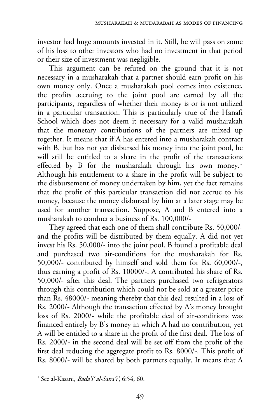<span id="page-48-0"></span>investor had huge amounts invested in it. Still, he will pass on some of his loss to other investors who had no investment in that period or their size of investment was negligible.

This argument can be refuted on the ground that it is not necessary in a musharakah that a partner should earn profit on his own money only. Once a musharakah pool comes into existence, the profits accruing to the joint pool are earned by all the participants, regardless of whether their money is or is not utilized in a particular transaction. This is particularly true of the Hanafi School which does not deem it necessary for a valid musharakah that the monetary contributions of the partners are mixed up together. It means that if A has entered into a musharakah contract with B, but has not yet disbursed his money into the joint pool, he will still be entitled to a share in the profit of the transactions effected by B for the musharakah through his own money.<sup>[1](#page-48-0)</sup> Although his entitlement to a share in the profit will be subject to the disbursement of money undertaken by him, yet the fact remains that the profit of this particular transaction did not accrue to his money, because the money disbursed by him at a later stage may be used for another transaction. Suppose, A and B entered into a musharakah to conduct a business of Rs. 100,000/-

They agreed that each one of them shall contribute Rs. 50,000/ and the profits will be distributed by them equally. A did not yet invest his Rs. 50,000/- into the joint pool. B found a profitable deal and purchased two air-conditions for the musharakah for Rs. 50,000/- contributed by himself and sold them for Rs. 60,000/-, thus earning a profit of Rs. 10000/-. A contributed his share of Rs. 50,000/- after this deal. The partners purchased two refrigerators through this contribution which could not be sold at a greater price than Rs. 48000/- meaning thereby that this deal resulted in a loss of Rs. 2000/- Although the transaction effected by A's money brought loss of Rs. 2000/- while the profitable deal of air-conditions was financed entirely by B's money in which A had no contribution, yet A will be entitled to a share in the profit of the first deal. The loss of Rs. 2000/- in the second deal will be set off from the profit of the first deal reducing the aggregate profit to Rs. 8000/-. This profit of Rs. 8000/- will be shared by both partners equally. It means that A

<sup>&</sup>lt;sup>1</sup> See al-Kasani, *Bada'i' al-Sana'i'*, 6:54, 60.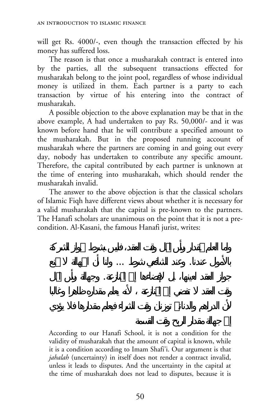will get Rs. 4000/-, even though the transaction effected by his money has suffered loss.

The reason is that once a musharakah contract is entered into by the parties, all the subsequent transactions effected for musharakah belong to the joint pool, regardless of whose individual money is utilized in them. Each partner is a party to each transaction by virtue of his entering into the contract of musharakah.

A possible objection to the above explanation may be that in the above example, A had undertaken to pay Rs. 50,000/- and it was known before hand that he will contribute a specified amount to the musharakah. But in the proposed running account of musharakah where the partners are coming in and going out every day, nobody has undertaken to contribute any specific amount. Therefore, the capital contributed by each partner is unknown at the time of entering into musharakah, which should render the musharakah invalid.

The answer to the above objection is that the classical scholars of Islamic Fiqh have different views about whether it is necessary for a valid musharakah that the capital is pre-known to the partners. The Hanafi scholars are unanimous on the point that it is not a precondition. Al-Kasani, the famous Hanafi jurist, writes:

بالأموال عندنا. وعند الشافعي شرط ... ولنا أن الجهالة تمنع

جواز العقد لعينها، بل لإفضاءها إلى المنازعة. وجهالة رأس المال

According to our Hanafi School, it is not a condition for the validity of musharakah that the amount of capital is known, while it is a condition according to Imam Shafi'i. Our argument is that *jahalah* (uncertainty) in itself does not render a contract invalid, unless it leads to disputes. And the uncertainty in the capital at the time of musharakah does not lead to disputes, because it is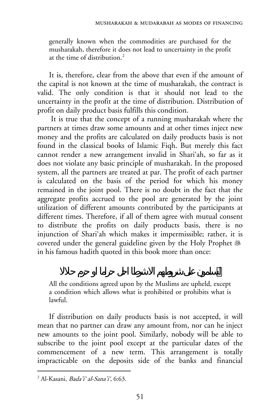<span id="page-50-0"></span>generally known when the commodities are purchased for the musharakah, therefore it does not lead to uncertainty in the profit at the time of distribution.<sup>[2](#page-50-0)</sup>

It is, therefore, clear from the above that even if the amount of the capital is not known at the time of musharakah, the contract is valid. The only condition is that it should not lead to the uncertainty in the profit at the time of distribution. Distribution of profit on daily product basis fulfills this condition.

 It is true that the concept of a running musharakah where the partners at times draw some amounts and at other times inject new money and the profits are calculated on daily products basis is not found in the classical books of Islamic Fiqh. But merely this fact cannot render a new arrangement invalid in Shari'ah, so far as it does not violate any basic principle of musharakah. In the proposed system, all the partners are treated at par. The profit of each partner is calculated on the basis of the period for which his money remained in the joint pool. There is no doubt in the fact that the aggregate profits accrued to the pool are generated by the joint utilization of different amounts contributed by the participants at different times. Therefore, if all of them agree with mutual consent to distribute the profits on daily products basis, there is no injunction of Shari'ah which makes it impermissible; rather, it is covered under the general guideline given by the Holy Prophet *M* in his famous hadith quoted in this book more than once:

All the conditions agreed upon by the Muslims are upheld, except a condition which allows what is prohibited or prohibits what is lawful.

If distribution on daily products basis is not accepted, it will mean that no partner can draw any amount from, nor can he inject new amounts to the joint pool. Similarly, nobody will be able to subscribe to the joint pool except at the particular dates of the commencement of a new term. This arrangement is totally impracticable on the deposits side of the banks and financial

<sup>&</sup>lt;sup>2</sup> Al-Kasani, *Bada'i' al-Sana'i'*, 6:63.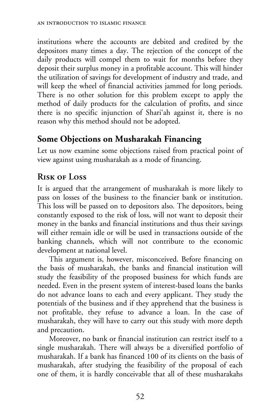institutions where the accounts are debited and credited by the depositors many times a day. The rejection of the concept of the daily products will compel them to wait for months before they deposit their surplus money in a profitable account. This will hinder the utilization of savings for development of industry and trade, and will keep the wheel of financial activities jammed for long periods. There is no other solution for this problem except to apply the method of daily products for the calculation of profits, and since there is no specific injunction of Shari'ah against it, there is no reason why this method should not be adopted.

## **Some Objections on Musharakah Financing**

Let us now examine some objections raised from practical point of view against using musharakah as a mode of financing.

## **RISK OF LOSS**

It is argued that the arrangement of musharakah is more likely to pass on losses of the business to the financier bank or institution. This loss will be passed on to depositors also. The depositors, being constantly exposed to the risk of loss, will not want to deposit their money in the banks and financial institutions and thus their savings will either remain idle or will be used in transactions outside of the banking channels, which will not contribute to the economic development at national level.

This argument is, however, misconceived. Before financing on the basis of musharakah, the banks and financial institution will study the feasibility of the proposed business for which funds are needed. Even in the present system of interest-based loans the banks do not advance loans to each and every applicant. They study the potentials of the business and if they apprehend that the business is not profitable, they refuse to advance a loan. In the case of musharakah, they will have to carry out this study with more depth and precaution.

Moreover, no bank or financial institution can restrict itself to a single musharakah. There will always be a diversified portfolio of musharakah. If a bank has financed 100 of its clients on the basis of musharakah, after studying the feasibility of the proposal of each one of them, it is hardly conceivable that all of these musharakahs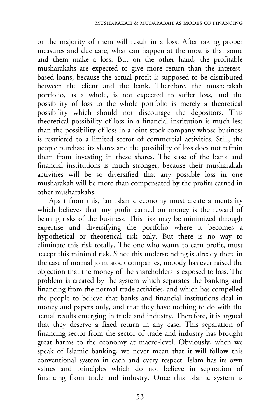or the majority of them will result in a loss. After taking proper measures and due care, what can happen at the most is that some and them make a loss. But on the other hand, the profitable musharakahs are expected to give more return than the interestbased loans, because the actual profit is supposed to be distributed between the client and the bank. Therefore, the musharakah portfolio, as a whole, is not expected to suffer loss, and the possibility of loss to the whole portfolio is merely a theoretical possibility which should not discourage the depositors. This theoretical possibility of loss in a financial institution is much less than the possibility of loss in a joint stock company whose business is restricted to a limited sector of commercial activities. Still, the people purchase its shares and the possibility of loss does not refrain them from investing in these shares. The case of the bank and financial institutions is much stronger, because their musharakah activities will be so diversified that any possible loss in one musharakah will be more than compensated by the profits earned in other musharakahs.

Apart from this, 'an Islamic economy must create a mentality which believes that any profit earned on money is the reward of bearing risks of the business. This risk may be minimized through expertise and diversifying the portfolio where it becomes a hypothetical or theoretical risk only. But there is no way to eliminate this risk totally. The one who wants to earn profit, must accept this minimal risk. Since this understanding is already there in the case of normal joint stock companies, nobody has ever raised the objection that the money of the shareholders is exposed to loss. The problem is created by the system which separates the banking and financing from the normal trade activities, and which has compelled the people to believe that banks and financial institutions deal in money and papers only, and that they have nothing to do with the actual results emerging in trade and industry. Therefore, it is argued that they deserve a fixed return in any case. This separation of financing sector from the sector of trade and industry has brought great harms to the economy at macro-level. Obviously, when we speak of Islamic banking, we never mean that it will follow this conventional system in each and every respect. Islam has its own values and principles which do not believe in separation of financing from trade and industry. Once this Islamic system is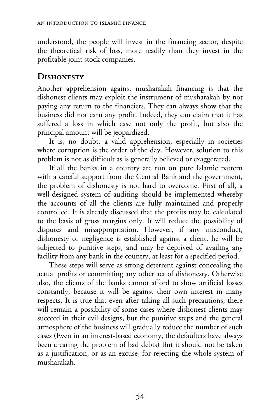understood, the people will invest in the financing sector, despite the theoretical risk of loss, more readily than they invest in the profitable joint stock companies.

## Dish**onesty**

Another apprehension against musharakah financing is that the dishonest clients may exploit the instrument of musharakah by not paying any return to the financiers. They can always show that the business did not earn any profit. Indeed, they can claim that it has suffered a loss in which case not only the profit, but also the principal amount will be jeopardized.

It is, no doubt, a valid apprehension, especially in societies where corruption is the order of the day. However, solution to this problem is not as difficult as is generally believed or exaggerated.

If all the banks in a country are run on pure Islamic pattern with a careful support from the Central Bank and the government, the problem of dishonesty is not hard to overcome. First of all, a well-designed system of auditing should be implemented whereby the accounts of all the clients are fully maintained and properly controlled. It is already discussed that the profits may be calculated to the basis of gross margins only. It will reduce the possibility of disputes and misappropriation. However, if any misconduct, dishonesty or negligence is established against a client, he will be subjected to punitive steps, and may be deprived of availing any facility from any bank in the country, at least for a specified period.

These steps will serve as strong deterrent against concealing the actual profits or committing any other act of dishonesty. Otherwise also, the clients of the banks cannot afford to show artificial losses constantly, because it will be against their own interest in many respects. It is true that even after taking all such precautions, there will remain a possibility of some cases where dishonest clients may succeed in their evil designs, but the punitive steps and the general atmosphere of the business will gradually reduce the number of such cases (Even in an interest-based economy, the defaulters have always been creating the problem of bad debts) But it should not be taken as a justification, or as an excuse, for rejecting the whole system of musharakah.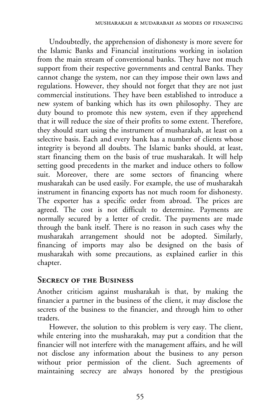Undoubtedly, the apprehension of dishonesty is more severe for the Islamic Banks and Financial institutions working in isolation from the main stream of conventional banks. They have not much support from their respective governments and central Banks. They cannot change the system, nor can they impose their own laws and regulations. However, they should not forget that they are not just commercial institutions. They have been established to introduce a new system of banking which has its own philosophy. They are duty bound to promote this new system, even if they apprehend that it will reduce the size of their profits to some extent. Therefore, they should start using the instrument of musharakah, at least on a selective basis. Each and every bank has a number of clients whose integrity is beyond all doubts. The Islamic banks should, at least, start financing them on the basis of true musharakah. It will help setting good precedents in the market and induce others to follow suit. Moreover, there are some sectors of financing where musharakah can be used easily. For example, the use of musharakah instrument in financing exports has not much room for dishonesty. The exporter has a specific order from abroad. The prices are agreed. The cost is not difficult to determine. Payments are normally secured by a letter of credit. The payments are made through the bank itself. There is no reason in such cases why the musharakah arrangement should not be adopted. Similarly, financing of imports may also be designed on the basis of musharakah with some precautions, as explained earlier in this chapter.

#### **SECRECY OF THE BUSINESS**

Another criticism against musharakah is that, by making the financier a partner in the business of the client, it may disclose the secrets of the business to the financier, and through him to other traders.

However, the solution to this problem is very easy. The client, while entering into the musharakah, may put a condition that the financier will not interfere with the management affairs, and he will not disclose any information about the business to any person without prior permission of the client. Such agreements of maintaining secrecy are always honored by the prestigious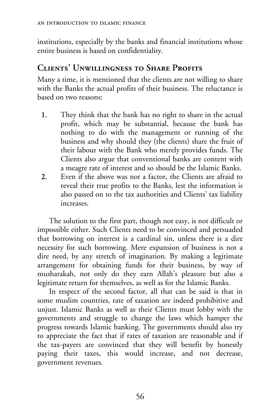institutions, especially by the banks and financial institutions whose entire business is based on confidentiality.

## CLIENTS<sup>'</sup> UNWILLINGNESS TO SHARE PROFITS

Many a time, it is mentioned that the clients are not willing to share with the Banks the actual profits of their business. The reluctance is based on two reasons:

- 1. They think that the bank has no right to share in the actual profit, which may be substantial, because the bank has nothing to do with the management or running of the business and why should they (the clients) share the fruit of their labour with the Bank who merely provides funds. The Clients also argue that conventional banks are content with a meagre rate of interest and so should be the Islamic Banks.
- 2. Even if the above was not a factor, the Clients are afraid to reveal their true profits to the Banks, lest the information is also passed on to the tax authorities and Clients' tax liability increases.

The solution to the first part, though not easy, is not difficult or impossible either. Such Clients need to be convinced and persuaded that borrowing on interest is a cardinal sin, unless there is a dire necessity for such borrowing. Mere expansion of business is not a dire need, by any stretch of imagination. By making a legitimate arrangement for obtaining funds for their business, by way of musharakah, not only do they earn Allah's pleasure but also a legitimate return for themselves, as well as for the Islamic Banks.

In respect of the second factor, all that can be said is that in some muslim countries, rate of taxation are indeed prohibitive and unjust. Islamic Banks as well as their Clients must lobby with the governments and struggle to change the laws which hamper the progress towards Islamic banking. The governments should also try to appreciate the fact that if rates of taxation are reasonable and if the tax-payers are convinced that they will benefit by honestly paying their taxes, this would increase, and not decrease, government revenues.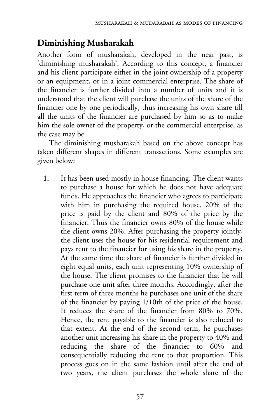## **Diminishing Musharakah**

Another form of musharakah, developed in the near past, is 'diminishing musharakah'. According to this concept, a financier and his client participate either in the joint ownership of a property or an equipment, or in a joint commercial enterprise. The share of the financier is further divided into a number of units and it is understood that the client will purchase the units of the share of the financier one by one periodically, thus increasing his own share till all the units of the financier are purchased by him so as to make him the sole owner of the property, or the commercial enterprise, as the case may be.

The diminishing musharakah based on the above concept has taken different shapes in different transactions. Some examples are given below:

1. It has been used mostly in house financing. The client wants to purchase a house for which he does not have adequate funds. He approaches the financier who agrees to participate with him in purchasing the required house. 20% of the price is paid by the client and 80% of the price by the financier. Thus the financier owns 80% of the house while the client owns 20%. After purchasing the property jointly, the client uses the house for his residential requirement and pays rent to the financier for using his share in the property. At the same time the share of financier is further divided in eight equal units, each unit representing 10% ownership of the house. The client promises to the financier that he will purchase one unit after three months. Accordingly, after the first term of three months he purchases one unit of the share of the financier by paying 1/10th of the price of the house. It reduces the share of the financier from 80% to 70%. Hence, the rent payable to the financier is also reduced to that extent. At the end of the second term, he purchases another unit increasing his share in the property to 40% and reducing the share of the financier to 60% and consequentially reducing the rent to that proportion. This process goes on in the same fashion until after the end of two years, the client purchases the whole share of the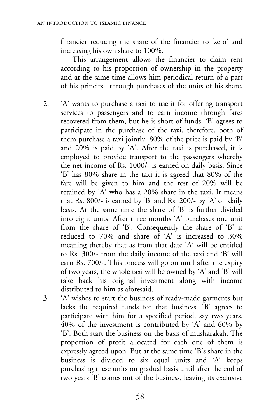financier reducing the share of the financier to 'zero' and increasing his own share to 100%.

This arrangement allows the financier to claim rent according to his proportion of ownership in the property and at the same time allows him periodical return of a part of his principal through purchases of the units of his share.

- 2. 'A' wants to purchase a taxi to use it for offering transport services to passengers and to earn income through fares recovered from them, but he is short of funds. 'B' agrees to participate in the purchase of the taxi, therefore, both of them purchase a taxi jointly. 80% of the price is paid by 'B' and 20% is paid by 'A'. After the taxi is purchased, it is employed to provide transport to the passengers whereby the net income of Rs. 1000/- is earned on daily basis. Since 'B' has 80% share in the taxi it is agreed that 80% of the fare will be given to him and the rest of 20% will be retained by 'A' who has a 20% share in the taxi. It means that Rs. 800/- is earned by 'B' and Rs. 200/- by 'A' on daily basis. At the same time the share of 'B' is further divided into eight units. After three months 'A' purchases one unit from the share of 'B'. Consequently the share of 'B' is reduced to 70% and share of 'A' is increased to 30% meaning thereby that as from that date 'A' will be entitled to Rs. 300/- from the daily income of the taxi and 'B' will earn Rs. 700/-. This process will go on until after the expiry of two years, the whole taxi will be owned by 'A' and 'B' will take back his original investment along with income distributed to him as aforesaid.
- 3. 'A' wishes to start the business of ready-made garments but lacks the required funds for that business. 'B' agrees to participate with him for a specified period, say two years. 40% of the investment is contributed by 'A' and 60% by 'B'. Both start the business on the basis of musharakah. The proportion of profit allocated for each one of them is expressly agreed upon. But at the same time 'B's share in the business is divided to six equal units and 'A' keeps purchasing these units on gradual basis until after the end of two years 'B' comes out of the business, leaving its exclusive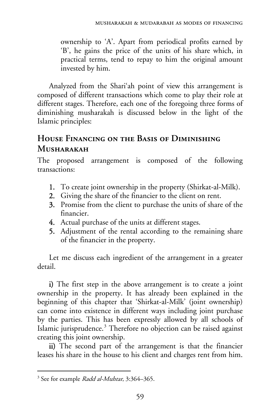<span id="page-58-0"></span>ownership to 'A'. Apart from periodical profits earned by 'B', he gains the price of the units of his share which, in practical terms, tend to repay to him the original amount invested by him.

Analyzed from the Shari'ah point of view this arrangement is composed of different transactions which come to play their role at different stages. Therefore, each one of the foregoing three forms of diminishing musharakah is discussed below in the light of the Islamic principles:

## **House Financing on the Basis of Diminishing** MUSHARAKAH

The proposed arrangement is composed of the following transactions:

- 1. To create joint ownership in the property (Shirkat-al-Milk).
- 2. Giving the share of the financier to the client on rent.
- 3. Promise from the client to purchase the units of share of the financier.
- 4. Actual purchase of the units at different stages.
- 5. Adjustment of the rental according to the remaining share of the financier in the property.

Let me discuss each ingredient of the arrangement in a greater detail.

i) The first step in the above arrangement is to create a joint ownership in the property. It has already been explained in the beginning of this chapter that 'Shirkat-al-Milk' (joint ownership) can come into existence in different ways including joint purchase by the parties. This has been expressly allowed by all schools of Islamic jurisprudence.<sup>[3](#page-58-0)</sup> Therefore no objection can be raised against creating this joint ownership.

ii) The second part of the arrangement is that the financier leases his share in the house to his client and charges rent from him.

<sup>&</sup>lt;sup>3</sup> See for example *Radd al-Muhtar*, 3:364–365.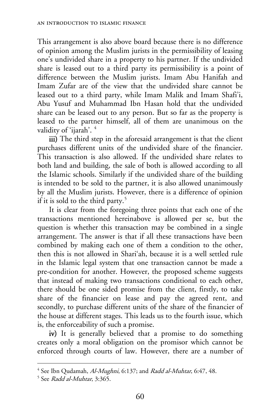<span id="page-59-0"></span>This arrangement is also above board because there is no difference of opinion among the Muslim jurists in the permissibility of leasing one's undivided share in a property to his partner. If the undivided share is leased out to a third party its permissibility is a point of difference between the Muslim jurists. Imam Abu Hanifah and Imam Zufar are of the view that the undivided share cannot be leased out to a third party, while Imam Malik and Imam Shafi'i, Abu Yusuf and Muhammad Ibn Hasan hold that the undivided share can be leased out to any person. But so far as the property is leased to the partner himself, all of them are unanimous on the validity of 'ijarah'.<sup>[4](#page-59-0)</sup>

iii) The third step in the aforesaid arrangement is that the client purchases different units of the undivided share of the financier. This transaction is also allowed. If the undivided share relates to both land and building, the sale of both is allowed according to all the Islamic schools. Similarly if the undivided share of the building is intended to be sold to the partner, it is also allowed unanimously by all the Muslim jurists. However, there is a difference of opinion if it is sold to the third party.<sup>[5](#page-59-0)</sup>

It is clear from the foregoing three points that each one of the transactions mentioned hereinabove is allowed per se, but the question is whether this transaction may be combined in a single arrangement. The answer is that if all these transactions have been combined by making each one of them a condition to the other, then this is not allowed in Shari'ah, because it is a well settled rule in the Islamic legal system that one transaction cannot be made a pre-condition for another. However, the proposed scheme suggests that instead of making two transactions conditional to each other, there should be one sided promise from the client, firstly, to take share of the financier on lease and pay the agreed rent, and secondly, to purchase different units of the share of the financier of the house at different stages. This leads us to the fourth issue, which is, the enforceability of such a promise.

iv) It is generally believed that a promise to do something creates only a moral obligation on the promisor which cannot be enforced through courts of law. However, there are a number of

<sup>&</sup>lt;sup>4</sup> See Ibn Qudamah, *Al-Mughni*, 6:137; and *Radd al-Muhtar*, 6:47, 48.<br><sup>5</sup> See *Badd al Muhtar*, 3:365

 $<sup>5</sup>$  See *Radd al-Muhtar*, 3:365.</sup>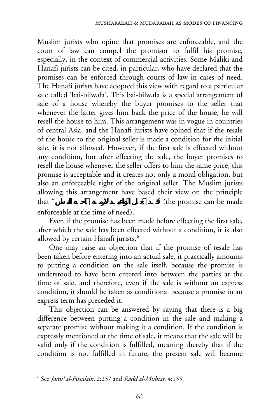<span id="page-60-0"></span>Muslim jurists who opine that promises are enforceable, and the court of law can compel the promisor to fulfil his promise, especially, in the context of commercial activities. Some Maliki and Hanafi jurists can be cited, in particular, who have declared that the promises can be enforced through courts of law in cases of need. The Hanafi jurists have adopted this view with regard to a particular sale called 'bai-bilwafa'. This bai-bilwafa is a special arrangement of sale of a house whereby the buyer promises to the seller that whenever the latter gives him back the price of the house, he will resell the house to him. This arrangement was in vogue in countries of central Asia, and the Hanafi jurists have opined that if the resale of the house to the original seller is made a condition for the initial sale, it is not allowed. However, if the first sale is effected without any condition, but after effecting the sale, the buyer promises to resell the house whenever the seller offers to him the same price, this promise is acceptable and it creates not only a moral obligation, but also an enforceable right of the original seller. The Muslim jurists allowing this arrangement have based their view on the principle made be can promise the" (**قـد تجعـل المواعيـد لازمـة لحاجـة النـاس**" that

enforceable at the time of need).

Even if the promise has been made before effecting the first sale, after which the sale has been effected without a condition, it is also allowed by certain Hanafi jurists.<sup>[6](#page-60-0)</sup>

One may raise an objection that if the promise of resale has been taken before entering into an actual sale, it practically amounts to putting a condition on the sale itself, because the promise is understood to have been entered into between the parties at the time of sale, and therefore, even if the sale is without an express condition, it should be taken as conditional because a promise in an express term has preceded it.

This objection can be answered by saying that there is a big difference between putting a condition in the sale and making a separate promise without making it a condition. If the condition is expressly mentioned at the time of sale, it means that the sale will be valid only if the condition is fulfilled, meaning thereby that if the condition is not fulfilled in future, the present sale will become

 $6$  See *Jami' al-Fusulain*, 2:237 and *Radd al-Muhtar*, 4:135.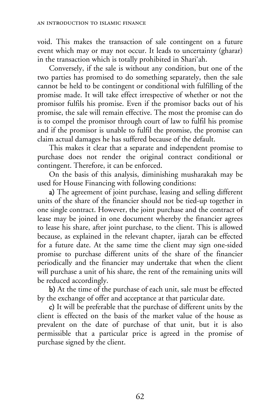void. This makes the transaction of sale contingent on a future event which may or may not occur. It leads to uncertainty (gharar) in the transaction which is totally prohibited in Shari'ah.

Conversely, if the sale is without any condition, but one of the two parties has promised to do something separately, then the sale cannot be held to be contingent or conditional with fulfilling of the promise made. It will take effect irrespective of whether or not the promisor fulfils his promise. Even if the promisor backs out of his promise, the sale will remain effective. The most the promise can do is to compel the promisor through court of law to fulfil his promise and if the promisor is unable to fulfil the promise, the promise can claim actual damages he has suffered because of the default.

This makes it clear that a separate and independent promise to purchase does not render the original contract conditional or contingent. Therefore, it can be enforced.

On the basis of this analysis, diminishing musharakah may be used for House Financing with following conditions:

a) The agreement of joint purchase, leasing and selling different units of the share of the financier should not be tied-up together in one single contract. However, the joint purchase and the contract of lease may be joined in one document whereby the financier agrees to lease his share, after joint purchase, to the client. This is allowed because, as explained in the relevant chapter, ijarah can be effected for a future date. At the same time the client may sign one-sided promise to purchase different units of the share of the financier periodically and the financier may undertake that when the client will purchase a unit of his share, the rent of the remaining units will be reduced accordingly.

b) At the time of the purchase of each unit, sale must be effected by the exchange of offer and acceptance at that particular date.

c) It will be preferable that the purchase of different units by the client is effected on the basis of the market value of the house as prevalent on the date of purchase of that unit, but it is also permissible that a particular price is agreed in the promise of purchase signed by the client.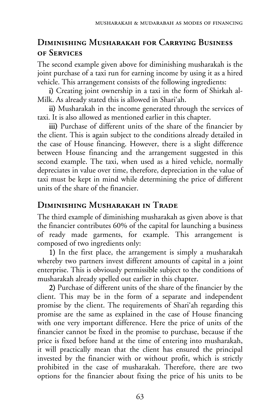## DIMINISHING MUSHARAKAH FOR CARRYING BUSINESS **QE** SERVICES

The second example given above for diminishing musharakah is the joint purchase of a taxi run for earning income by using it as a hired vehicle. This arrangement consists of the following ingredients:

i) Creating joint ownership in a taxi in the form of Shirkah al-Milk. As already stated this is allowed in Shari'ah.

ii) Musharakah in the income generated through the services of taxi. It is also allowed as mentioned earlier in this chapter.

iii) Purchase of different units of the share of the financier by the client. This is again subject to the conditions already detailed in the case of House financing. However, there is a slight difference between House financing and the arrangement suggested in this second example. The taxi, when used as a hired vehicle, normally depreciates in value over time, therefore, depreciation in the value of taxi must be kept in mind while determining the price of different units of the share of the financier.

## DIMINISHING MUSHARAKAH IN TRADE

The third example of diminishing musharakah as given above is that the financier contributes 60% of the capital for launching a business of ready made garments, for example. This arrangement is composed of two ingredients only:

1) In the first place, the arrangement is simply a musharakah whereby two partners invest different amounts of capital in a joint enterprise. This is obviously permissible subject to the conditions of musharakah already spelled out earlier in this chapter.

2) Purchase of different units of the share of the financier by the client. This may be in the form of a separate and independent promise by the client. The requirements of Shari'ah regarding this promise are the same as explained in the case of House financing with one very important difference. Here the price of units of the financier cannot be fixed in the promise to purchase, because if the price is fixed before hand at the time of entering into musharakah, it will practically mean that the client has ensured the principal invested by the financier with or without profit, which is strictly prohibited in the case of musharakah. Therefore, there are two options for the financier about fixing the price of his units to be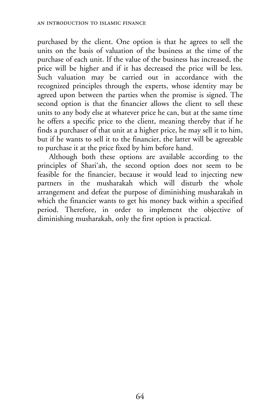purchased by the client. One option is that he agrees to sell the units on the basis of valuation of the business at the time of the purchase of each unit. If the value of the business has increased, the price will be higher and if it has decreased the price will be less. Such valuation may be carried out in accordance with the recognized principles through the experts, whose identity may be agreed upon between the parties when the promise is signed. The second option is that the financier allows the client to sell these units to any body else at whatever price he can, but at the same time he offers a specific price to the client, meaning thereby that if he finds a purchaser of that unit at a higher price, he may sell it to him, but if he wants to sell it to the financier, the latter will be agreeable to purchase it at the price fixed by him before hand.

Although both these options are available according to the principles of Shari'ah, the second option does not seem to be feasible for the financier, because it would lead to injecting new partners in the musharakah which will disturb the whole arrangement and defeat the purpose of diminishing musharakah in which the financier wants to get his money back within a specified period. Therefore, in order to implement the objective of diminishing musharakah, only the first option is practical.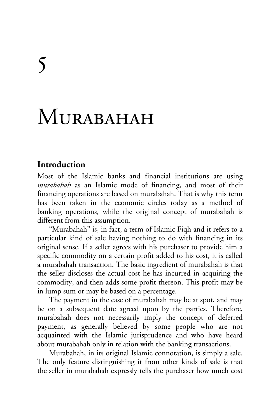## MURABAHAH

## **Introduction**

Most of the Islamic banks and financial institutions are using *murabahah* as an Islamic mode of financing, and most of their financing operations are based on murabahah. That is why this term has been taken in the economic circles today as a method of banking operations, while the original concept of murabahah is different from this assumption.

"Murabahah" is, in fact, a term of Islamic Fiqh and it refers to a particular kind of sale having nothing to do with financing in its original sense. If a seller agrees with his purchaser to provide him a specific commodity on a certain profit added to his cost, it is called a murabahah transaction. The basic ingredient of murabahah is that the seller discloses the actual cost he has incurred in acquiring the commodity, and then adds some profit thereon. This profit may be in lump sum or may be based on a percentage.

The payment in the case of murabahah may be at spot, and may be on a subsequent date agreed upon by the parties. Therefore, murabahah does not necessarily imply the concept of deferred payment, as generally believed by some people who are not acquainted with the Islamic jurisprudence and who have heard about murabahah only in relation with the banking transactions.

Murabahah, in its original Islamic connotation, is simply a sale. The only feature distinguishing it from other kinds of sale is that the seller in murabahah expressly tells the purchaser how much cost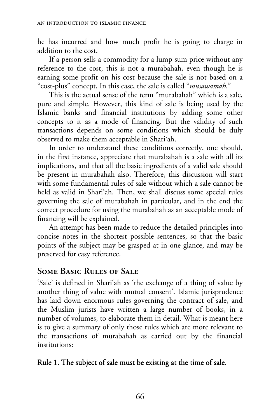he has incurred and how much profit he is going to charge in addition to the cost.

If a person sells a commodity for a lump sum price without any reference to the cost, this is not a murabahah, even though he is earning some profit on his cost because the sale is not based on a "cost-plus" concept. In this case, the sale is called "*musawamah*."

This is the actual sense of the term "murabahah" which is a sale, pure and simple. However, this kind of sale is being used by the Islamic banks and financial institutions by adding some other concepts to it as a mode of financing. But the validity of such transactions depends on some conditions which should be duly observed to make them acceptable in Shari'ah.

In order to understand these conditions correctly, one should, in the first instance, appreciate that murabahah is a sale with all its implications, and that all the basic ingredients of a valid sale should be present in murabahah also. Therefore, this discussion will start with some fundamental rules of sale without which a sale cannot be held as valid in Shari'ah. Then, we shall discuss some special rules governing the sale of murabahah in particular, and in the end the correct procedure for using the murabahah as an acceptable mode of financing will be explained.

An attempt has been made to reduce the detailed principles into concise notes in the shortest possible sentences, so that the basic points of the subject may be grasped at in one glance, and may be preserved for easy reference.

## **Some Basic Rules of Sale**

'Sale' is defined in Shari'ah as 'the exchange of a thing of value by another thing of value with mutual consent'. Islamic jurisprudence has laid down enormous rules governing the contract of sale, and the Muslim jurists have written a large number of books, in a number of volumes, to elaborate them in detail. What is meant here is to give a summary of only those rules which are more relevant to the transactions of murabahah as carried out by the financial institutions:

#### Rule 1. The subject of sale must be existing at the time of sale.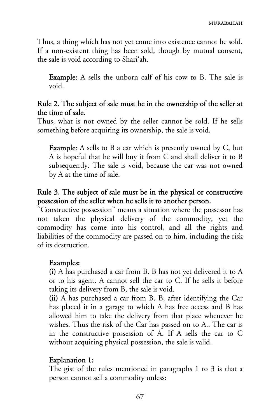Thus, a thing which has not yet come into existence cannot be sold. If a non-existent thing has been sold, though by mutual consent, the sale is void according to Shari'ah.

Example: A sells the unborn calf of his cow to B. The sale is void.

#### Rule 2. The subject of sale must be in the ownership of the seller at the time of sale.

Thus, what is not owned by the seller cannot be sold. If he sells something before acquiring its ownership, the sale is void.

Example: A sells to B a car which is presently owned by C, but A is hopeful that he will buy it from C and shall deliver it to B subsequently. The sale is void, because the car was not owned by A at the time of sale.

#### Rule 3. The subject of sale must be in the physical or constructive possession of the seller when he sells it to another person.

"Constructive possession" means a situation where the possessor has not taken the physical delivery of the commodity, yet the commodity has come into his control, and all the rights and liabilities of the commodity are passed on to him, including the risk of its destruction.

#### Examples:

(i) A has purchased a car from B. B has not yet delivered it to A or to his agent. A cannot sell the car to C. If he sells it before taking its delivery from B, the sale is void.

(ii) A has purchased a car from B. B, after identifying the Car has placed it in a garage to which A has free access and B has allowed him to take the delivery from that place whenever he wishes. Thus the risk of the Car has passed on to A.. The car is in the constructive possession of A. If A sells the car to C without acquiring physical possession, the sale is valid.

## Explanation 1:

The gist of the rules mentioned in paragraphs 1 to 3 is that a person cannot sell a commodity unless: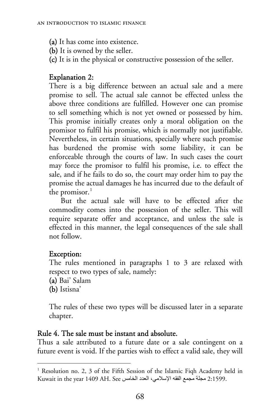- <span id="page-67-0"></span>(a) It has come into existence.
- (b) It is owned by the seller.
- (c) It is in the physical or constructive possession of the seller.

#### Explanation 2:

There is a big difference between an actual sale and a mere promise to sell. The actual sale cannot be effected unless the above three conditions are fulfilled. However one can promise to sell something which is not yet owned or possessed by him. This promise initially creates only a moral obligation on the promisor to fulfil his promise, which is normally not justifiable. Nevertheless, in certain situations, specially where such promise has burdened the promise with some liability, it can be enforceable through the courts of law. In such cases the court may force the promisor to fulfil his promise, i.e. to effect the sale, and if he fails to do so, the court may order him to pay the promise the actual damages he has incurred due to the default of the promisor. $1$ 

But the actual sale will have to be effected after the commodity comes into the possession of the seller. This will require separate offer and acceptance, and unless the sale is effected in this manner, the legal consequences of the sale shall not follow.

#### Exception:

The rules mentioned in paragraphs 1 to 3 are relaxed with respect to two types of sale, namely:

(a) Bai' Salam (b) Istisna'

 $\overline{a}$ 

The rules of these two types will be discussed later in a separate chapter.

#### Rule 4. The sale must be instant and absolute.

Thus a sale attributed to a future date or a sale contingent on a future event is void. If the parties wish to effect a valid sale, they will

<sup>&</sup>lt;sup>1</sup> Resolution no. 2, 3 of the Fifth Session of the Islamic Fiqh Academy held in Kuwait in the year 1409 AH. See مجمع الفقه الإسلامي، العدد الخامس Kuwait in the year 1409 AH.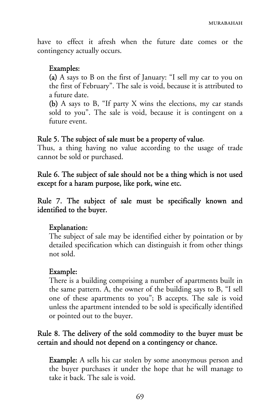have to effect it afresh when the future date comes or the contingency actually occurs.

#### Examples:

(a) A says to B on the first of January: "I sell my car to you on the first of February". The sale is void, because it is attributed to a future date.

(b) A says to B, "If party X wins the elections, my car stands sold to you". The sale is void, because it is contingent on a future event.

## Rule 5. The subject of sale must be a property of value.

Thus, a thing having no value according to the usage of trade cannot be sold or purchased.

Rule 6. The subject of sale should not be a thing which is not used except for a haram purpose, like pork, wine etc.

Rule 7. The subject of sale must be specifically known and identified to the buyer.

## Explanation:

The subject of sale may be identified either by pointation or by detailed specification which can distinguish it from other things not sold.

## Example:

There is a building comprising a number of apartments built in the same pattern. A, the owner of the building says to B, "I sell one of these apartments to you"; B accepts. The sale is void unless the apartment intended to be sold is specifically identified or pointed out to the buyer.

#### Rule 8. The delivery of the sold commodity to the buyer must be certain and should not depend on a contingency or chance.

Example: A sells his car stolen by some anonymous person and the buyer purchases it under the hope that he will manage to take it back. The sale is void.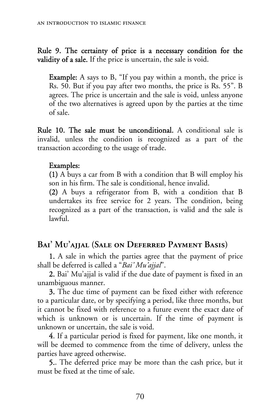Rule 9. The certainty of price is a necessary condition for the validity of a sale. If the price is uncertain, the sale is void.

Example: A says to B, "If you pay within a month, the price is Rs. 50. But if you pay after two months, the price is Rs. 55". B agrees. The price is uncertain and the sale is void, unless anyone of the two alternatives is agreed upon by the parties at the time of sale.

Rule 10. The sale must be unconditional. A conditional sale is invalid, unless the condition is recognized as a part of the transaction according to the usage of trade.

#### Examples:

(1) A buys a car from B with a condition that B will employ his son in his firm. The sale is conditional, hence invalid.

(2) A buys a refrigerator from B, with a condition that B undertakes its free service for 2 years. The condition, being recognized as a part of the transaction, is valid and the sale is lawful.

## Bai<sup>'</sup> Mu<sup>'</sup>ajjal (Sale on Deferred Payment Basis)

1. A sale in which the parties agree that the payment of price shall be deferred is called a "*Bai' Mu'ajjal*".

2. Bai' Mu'ajjal is valid if the due date of payment is fixed in an unambiguous manner.

3. The due time of payment can be fixed either with reference to a particular date, or by specifying a period, like three months, but it cannot be fixed with reference to a future event the exact date of which is unknown or is uncertain. If the time of payment is unknown or uncertain, the sale is void.

4. If a particular period is fixed for payment, like one month, it will be deemed to commence from the time of delivery, unless the parties have agreed otherwise.

5.. The deferred price may be more than the cash price, but it must be fixed at the time of sale.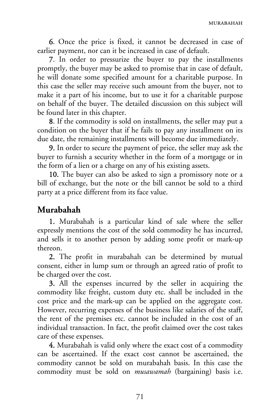**MURABAHAH** 

6. Once the price is fixed, it cannot be decreased in case of earlier payment, nor can it be increased in case of default.

7. In order to pressurize the buyer to pay the installments promptly, the buyer may be asked to promise that in case of default, he will donate some specified amount for a charitable purpose. In this case the seller may receive such amount from the buyer, not to make it a part of his income, but to use it for a charitable purpose on behalf of the buyer. The detailed discussion on this subject will be found later in this chapter.

8. If the commodity is sold on installments, the seller may put a condition on the buyer that if he fails to pay any installment on its due date, the remaining installments will become due immediately.

9. In order to secure the payment of price, the seller may ask the buyer to furnish a security whether in the form of a mortgage or in the form of a lien or a charge on any of his existing assets.

10. The buyer can also be asked to sign a promissory note or a bill of exchange, but the note or the bill cannot be sold to a third party at a price different from its face value.

## **Murabahah**

1. Murabahah is a particular kind of sale where the seller expressly mentions the cost of the sold commodity he has incurred, and sells it to another person by adding some profit or mark-up thereon.

2. The profit in murabahah can be determined by mutual consent, either in lump sum or through an agreed ratio of profit to be charged over the cost.

3. All the expenses incurred by the seller in acquiring the commodity like freight, custom duty etc. shall be included in the cost price and the mark-up can be applied on the aggregate cost. However, recurring expenses of the business like salaries of the staff, the rent of the premises etc. cannot be included in the cost of an individual transaction. In fact, the profit claimed over the cost takes care of these expenses.

4. Murabahah is valid only where the exact cost of a commodity can be ascertained. If the exact cost cannot be ascertained, the commodity cannot be sold on murabahah basis. In this case the commodity must be sold on *musawamah* (bargaining) basis i.e.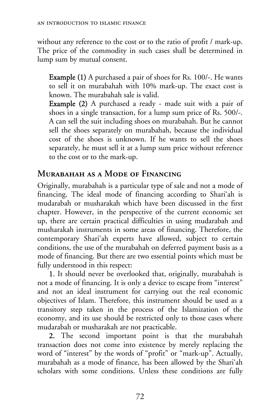without any reference to the cost or to the ratio of profit / mark-up. The price of the commodity in such cases shall be determined in lump sum by mutual consent.

Example (1) A purchased a pair of shoes for Rs. 100/-. He wants to sell it on murabahah with 10% mark-up. The exact cost is known. The murabahah sale is valid.

Example (2) A purchased a ready - made suit with a pair of shoes in a single transaction, for a lump sum price of Rs. 500/-. A can sell the suit including shoes on murabahah. But he cannot sell the shoes separately on murabahah, because the individual cost of the shoes is unknown. If he wants to sell the shoes separately, he must sell it at a lump sum price without reference to the cost or to the mark-up.

## **MURABAHAH AS A MODE OF FINANCING**

Originally, murabahah is a particular type of sale and not a mode of financing. The ideal mode of financing according to Shari'ah is mudarabah or musharakah which have been discussed in the first chapter. However, in the perspective of the current economic set up, there are certain practical difficulties in using mudarabah and musharakah instruments in some areas of financing. Therefore, the contemporary Shari'ah experts have allowed, subject to certain conditions, the use of the murabahah on deferred payment basis as a mode of financing. But there are two essential points which must be fully understood in this respect:

1. It should never be overlooked that, originally, murabahah is not a mode of financing. It is only a device to escape from "interest" and not an ideal instrument for carrying out the real economic objectives of Islam. Therefore, this instrument should be used as a transitory step taken in the process of the Islamization of the economy, and its use should be restricted only to those cases where mudarabah or musharakah are not practicable.

2. The second important point is that the murabahah transaction does not come into existence by merely replacing the word of "interest" by the words of "profit" or "mark-up". Actually, murabahah as a mode of finance, has been allowed by the Shari'ah scholars with some conditions. Unless these conditions are fully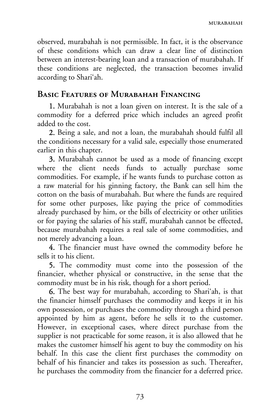observed, murabahah is not permissible. In fact, it is the observance of these conditions which can draw a clear line of distinction between an interest-bearing loan and a transaction of murabahah. If these conditions are neglected, the transaction becomes invalid according to Shari'ah.

## **BASIC FEATURES OF MURABAHAH FINANCING**

1. Murabahah is not a loan given on interest. It is the sale of a commodity for a deferred price which includes an agreed profit added to the cost.

2. Being a sale, and not a loan, the murabahah should fulfil all the conditions necessary for a valid sale, especially those enumerated earlier in this chapter.

3. Murabahah cannot be used as a mode of financing except where the client needs funds to actually purchase some commodities. For example, if he wants funds to purchase cotton as a raw material for his ginning factory, the Bank can sell him the cotton on the basis of murabahah. But where the funds are required for some other purposes, like paying the price of commodities already purchased by him, or the bills of electricity or other utilities or for paying the salaries of his staff, murabahah cannot be effected, because murabahah requires a real sale of some commodities, and not merely advancing a loan.

4. The financier must have owned the commodity before he sells it to his client.

5. The commodity must come into the possession of the financier, whether physical or constructive, in the sense that the commodity must be in his risk, though for a short period.

6. The best way for murabahah, according to Shari'ah, is that the financier himself purchases the commodity and keeps it in his own possession, or purchases the commodity through a third person appointed by him as agent, before he sells it to the customer. However, in exceptional cases, where direct purchase from the supplier is not practicable for some reason, it is also allowed that he makes the customer himself his agent to buy the commodity on his behalf. In this case the client first purchases the commodity on behalf of his financier and takes its possession as such. Thereafter, he purchases the commodity from the financier for a deferred price.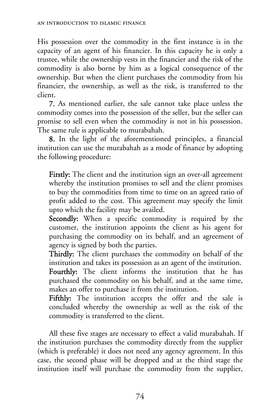His possession over the commodity in the first instance is in the capacity of an agent of his financier. In this capacity he is only a trustee, while the ownership vests in the financier and the risk of the commodity is also borne by him as a logical consequence of the ownership. But when the client purchases the commodity from his financier, the ownership, as well as the risk, is transferred to the client.

7. As mentioned earlier, the sale cannot take place unless the commodity comes into the possession of the seller, but the seller can promise to sell even when the commodity is not in his possession. The same rule is applicable to murabahah.

8. In the light of the aforementioned principles, a financial institution can use the murabahah as a mode of finance by adopting the following procedure:

Firstly: The client and the institution sign an over-all agreement whereby the institution promises to sell and the client promises to buy the commodities from time to time on an agreed ratio of profit added to the cost. This agreement may specify the limit upto which the facility may be availed.

Secondly: When a specific commodity is required by the customer, the institution appoints the client as his agent for purchasing the commodity on its behalf, and an agreement of agency is signed by both the parties.

Thirdly: The client purchases the commodity on behalf of the institution and takes its possession as an agent of the institution.

Fourthly: The client informs the institution that he has purchased the commodity on his behalf, and at the same time, makes an offer to purchase it from the institution.

Fifthly: The institution accepts the offer and the sale is concluded whereby the ownership as well as the risk of the commodity is transferred to the client.

All these five stages are necessary to effect a valid murabahah. If the institution purchases the commodity directly from the supplier (which is preferable) it does not need any agency agreement. In this case, the second phase will be dropped and at the third stage the institution itself will purchase the commodity from the supplier,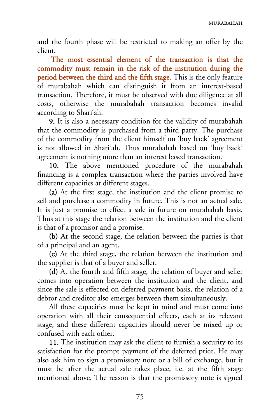and the fourth phase will be restricted to making an offer by the client.

 The most essential element of the transaction is that the commodity must remain in the risk of the institution during the period between the third and the fifth stage. This is the only feature of murabahah which can distinguish it from an interest-based transaction. Therefore, it must be observed with due diligence at all costs, otherwise the murabahah transaction becomes invalid according to Shari'ah.

9. It is also a necessary condition for the validity of murabahah that the commodity is purchased from a third party. The purchase of the commodity from the client himself on 'buy back' agreement is not allowed in Shari'ah. Thus murabahah based on 'buy back' agreement is nothing more than an interest based transaction.

10. The above mentioned procedure of the murabahah financing is a complex transaction where the parties involved have different capacities at different stages.

(a) At the first stage, the institution and the client promise to sell and purchase a commodity in future. This is not an actual sale. It is just a promise to effect a sale in future on murabahah basis. Thus at this stage the relation between the institution and the client is that of a promisor and a promise.

(b) At the second stage, the relation between the parties is that of a principal and an agent.

(c) At the third stage, the relation between the institution and the supplier is that of a buyer and seller.

(d) At the fourth and fifth stage, the relation of buyer and seller comes into operation between the institution and the client, and since the sale is effected on deferred payment basis, the relation of a debtor and creditor also emerges between them simultaneously.

All these capacities must be kept in mind and must come into operation with all their consequential effects, each at its relevant stage, and these different capacities should never be mixed up or confused with each other.

11. The institution may ask the client to furnish a security to its satisfaction for the prompt payment of the deferred price. He may also ask him to sign a promissory note or a bill of exchange, but it must be after the actual sale takes place, i.e. at the fifth stage mentioned above. The reason is that the promissory note is signed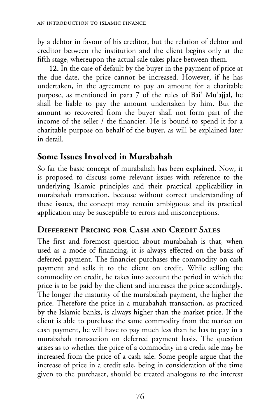by a debtor in favour of his creditor, but the relation of debtor and creditor between the institution and the client begins only at the fifth stage, whereupon the actual sale takes place between them.

12. In the case of default by the buyer in the payment of price at the due date, the price cannot be increased. However, if he has undertaken, in the agreement to pay an amount for a charitable purpose, as mentioned in para 7 of the rules of Bai' Mu'ajjal, he shall be liable to pay the amount undertaken by him. But the amount so recovered from the buyer shall not form part of the income of the seller / the financier. He is bound to spend it for a charitable purpose on behalf of the buyer, as will be explained later in detail.

# **Some Issues Involved in Murabahah**

So far the basic concept of murabahah has been explained. Now, it is proposed to discuss some relevant issues with reference to the underlying Islamic principles and their practical applicability in murabahah transaction, because without correct understanding of these issues, the concept may remain ambiguous and its practical application may be susceptible to errors and misconceptions.

## **DIFFERENT PRICING FOR CASH AND CREDIT SALES**

The first and foremost question about murabahah is that, when used as a mode of financing, it is always effected on the basis of deferred payment. The financier purchases the commodity on cash payment and sells it to the client on credit. While selling the commodity on credit, he takes into account the period in which the price is to be paid by the client and increases the price accordingly. The longer the maturity of the murabahah payment, the higher the price. Therefore the price in a murabahah transaction, as practiced by the Islamic banks, is always higher than the market price. If the client is able to purchase the same commodity from the market on cash payment, he will have to pay much less than he has to pay in a murabahah transaction on deferred payment basis. The question arises as to whether the price of a commodity in a credit sale may be increased from the price of a cash sale. Some people argue that the increase of price in a credit sale, being in consideration of the time given to the purchaser, should be treated analogous to the interest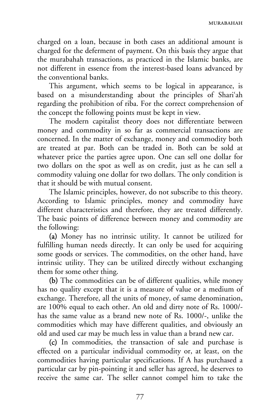charged on a loan, because in both cases an additional amount is charged for the deferment of payment. On this basis they argue that the murabahah transactions, as practiced in the Islamic banks, are not different in essence from the interest-based loans advanced by the conventional banks.

This argument, which seems to be logical in appearance, is based on a misunderstanding about the principles of Shari'ah regarding the prohibition of riba. For the correct comprehension of the concept the following points must be kept in view.

The modern capitalist theory does not differentiate between money and commodity in so far as commercial transactions are concerned. In the matter of exchange, money and commodity both are treated at par. Both can be traded in. Both can be sold at whatever price the parties agree upon. One can sell one dollar for two dollars on the spot as well as on credit, just as he can sell a commodity valuing one dollar for two dollars. The only condition is that it should be with mutual consent.

The Islamic principles, however, do not subscribe to this theory. According to Islamic principles, money and commodity have different characteristics and therefore, they are treated differently. The basic points of difference between money and commodity are the following:

(a) Money has no intrinsic utility. It cannot be utilized for fulfilling human needs directly. It can only be used for acquiring some goods or services. The commodities, on the other hand, have intrinsic utility. They can be utilized directly without exchanging them for some other thing.

(b) The commodities can be of different qualities, while money has no quality except that it is a measure of value or a medium of exchange. Therefore, all the units of money, of same denomination, are 100% equal to each other. An old and dirty note of Rs. 1000/ has the same value as a brand new note of Rs. 1000/-, unlike the commodities which may have different qualities, and obviously an old and used car may be much less in value than a brand new car.

(c) In commodities, the transaction of sale and purchase is effected on a particular individual commodity or, at least, on the commodities having particular specifications. If A has purchased a particular car by pin-pointing it and seller has agreed, he deserves to receive the same car. The seller cannot compel him to take the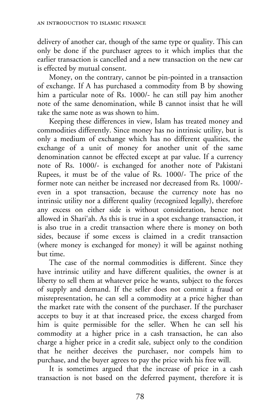delivery of another car, though of the same type or quality. This can only be done if the purchaser agrees to it which implies that the earlier transaction is cancelled and a new transaction on the new car is effected by mutual consent.

Money, on the contrary, cannot be pin-pointed in a transaction of exchange. If A has purchased a commodity from B by showing him a particular note of Rs. 1000/- he can still pay him another note of the same denomination, while B cannot insist that he will take the same note as was shown to him.

Keeping these differences in view, Islam has treated money and commodities differently. Since money has no intrinsic utility, but is only a medium of exchange which has no different qualities, the exchange of a unit of money for another unit of the same denomination cannot be effected except at par value. If a currency note of Rs. 1000/- is exchanged for another note of Pakistani Rupees, it must be of the value of Rs. 1000/- The price of the former note can neither be increased nor decreased from Rs. 1000/ even in a spot transaction, because the currency note has no intrinsic utility nor a different quality (recognized legally), therefore any excess on either side is without consideration, hence not allowed in Shari'ah. As this is true in a spot exchange transaction, it is also true in a credit transaction where there is money on both sides, because if some excess is claimed in a credit transaction (where money is exchanged for money) it will be against nothing but time.

The case of the normal commodities is different. Since they have intrinsic utility and have different qualities, the owner is at liberty to sell them at whatever price he wants, subject to the forces of supply and demand. If the seller does not commit a fraud or misrepresentation, he can sell a commodity at a price higher than the market rate with the consent of the purchaser. If the purchaser accepts to buy it at that increased price, the excess charged from him is quite permissible for the seller. When he can sell his commodity at a higher price in a cash transaction, he can also charge a higher price in a credit sale, subject only to the condition that he neither deceives the purchaser, nor compels him to purchase, and the buyer agrees to pay the price with his free will.

It is sometimes argued that the increase of price in a cash transaction is not based on the deferred payment, therefore it is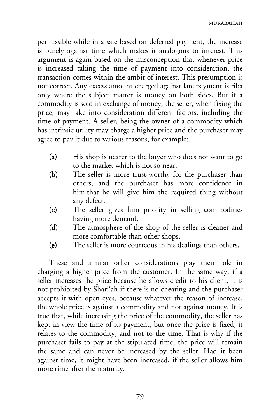permissible while in a sale based on deferred payment, the increase is purely against time which makes it analogous to interest. This argument is again based on the misconception that whenever price is increased taking the time of payment into consideration, the transaction comes within the ambit of interest. This presumption is not correct. Any excess amount charged against late payment is riba only where the subject matter is money on both sides. But if a commodity is sold in exchange of money, the seller, when fixing the price, may take into consideration different factors, including the time of payment. A seller, being the owner of a commodity which has intrinsic utility may charge a higher price and the purchaser may agree to pay it due to various reasons, for example:

- (a) His shop is nearer to the buyer who does not want to go to the market which is not so near.
- (b) The seller is more trust-worthy for the purchaser than others, and the purchaser has more confidence in him that he will give him the required thing without any defect.
- (c) The seller gives him priority in selling commodities having more demand.
- (d) The atmosphere of the shop of the seller is cleaner and more comfortable than other shops,
- (e) The seller is more courteous in his dealings than others.

These and similar other considerations play their role in charging a higher price from the customer. In the same way, if a seller increases the price because he allows credit to his client, it is not prohibited by Shari'ah if there is no cheating and the purchaser accepts it with open eyes, because whatever the reason of increase, the whole price is against a commodity and not against money. It is true that, while increasing the price of the commodity, the seller has kept in view the time of its payment, but once the price is fixed, it relates to the commodity, and not to the time. That is why if the purchaser fails to pay at the stipulated time, the price will remain the same and can never be increased by the seller. Had it been against time, it might have been increased, if the seller allows him more time after the maturity.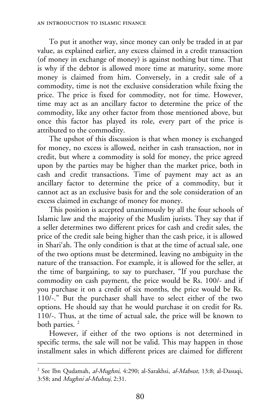<span id="page-79-0"></span>To put it another way, since money can only be traded in at par value, as explained earlier, any excess claimed in a credit transaction (of money in exchange of money) is against nothing but time. That is why if the debtor is allowed more time at maturity, some more money is claimed from him. Conversely, in a credit sale of a commodity, time is not the exclusive consideration while fixing the price. The price is fixed for commodity, not for time. However, time may act as an ancillary factor to determine the price of the commodity, like any other factor from those mentioned above, but once this factor has played its role, every part of the price is attributed to the commodity.

The upshot of this discussion is that when money is exchanged for money, no excess is allowed, neither in cash transaction, nor in credit, but where a commodity is sold for money, the price agreed upon by the parties may be higher than the market price, both in cash and credit transactions. Time of payment may act as an ancillary factor to determine the price of a commodity, but it cannot act as an exclusive basis for and the sole consideration of an excess claimed in exchange of money for money.

This position is accepted unanimously by all the four schools of Islamic law and the majority of the Muslim jurists. They say that if a seller determines two different prices for cash and credit sales, the price of the credit sale being higher than the cash price, it is allowed in Shari'ah. The only condition is that at the time of actual sale, one of the two options must be determined, leaving no ambiguity in the nature of the transaction. For example, it is allowed for the seller, at the time of bargaining, to say to purchaser, "If you purchase the commodity on cash payment, the price would be Rs. 100/- and if you purchase it on a credit of six months, the price would be Rs. 110/-." But the purchaser shall have to select either of the two options. He should say that he would purchase it on credit for Rs. 110/-. Thus, at the time of actual sale, the price will be known to both parties.<sup>[2](#page-79-0)</sup>

However, if either of the two options is not determined in specific terms, the sale will not be valid. This may happen in those installment sales in which different prices are claimed for different

<sup>&</sup>lt;sup>2</sup> See Ibn Qudamah, *al-Mughni*, 4:290; al-Sarakhsi, *al-Mabsut*, 13:8; al-Dasuqi, 3:58; and *Mughni al-Muhtaj*, 2:31.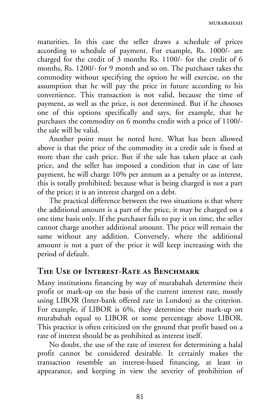maturities. In this case the seller draws a schedule of prices according to schedule of payment. For example, Rs. 1000/- are charged for the credit of 3 months Rs. 1100/- for the credit of 6 months, Rs. 1200/- for 9 month and so on. The purchaser takes the commodity without specifying the option he will exercise, on the assumption that he will pay the price in future according to his convenience. This transaction is not valid, because the time of payment, as well as the price, is not determined. But if he chooses one of this options specifically and says, for example, that he purchases the commodity on 6 months credit with a price of 1100/ the sale will be valid.

Another point must be noted here. What has been allowed above is that the price of the commodity in a credit sale is fixed at more than the cash price. But if the sale has taken place at cash price, and the seller has imposed a condition that in case of late payment, he will charge 10% per annum as a penalty or as interest, this is totally prohibited; because what is being charged is not a part of the price; it is an interest charged on a debt.

The practical difference between the two situations is that where the additional amount is a part of the price, it may be charged on a one time basis only. If the purchaser fails to pay it on time, the seller cannot charge another additional amount. The price will remain the same without any addition. Conversely, where the additional amount is not a part of the price it will keep increasing with the period of default.

#### **THE USE OF INTEREST-RATE AS BENCHMARK**

Many institutions financing by way of murabahah determine their profit or mark-up on the basis of the current interest rate, mostly using LIBOR (Inter-bank offered rate in London) as the criterion. For example, if LIBOR is 6%, they determine their mark-up on murabahah equal to LIBOR or some percentage above LIBOR. This practice is often criticized on the ground that profit based on a rate of interest should be as prohibited as interest itself.

No doubt, the use of the rate of interest for determining a halal profit cannot be considered desirable. It certainly makes the transaction resemble an interest-based financing, at least in appearance, and keeping in view the severity of prohibition of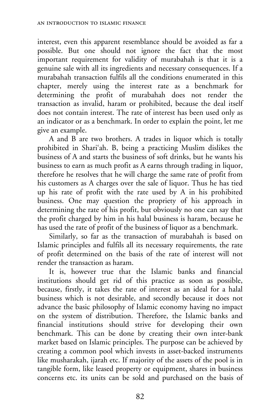interest, even this apparent resemblance should be avoided as far a possible. But one should not ignore the fact that the most important requirement for validity of murabahah is that it is a genuine sale with all its ingredients and necessary consequences. If a murabahah transaction fulfils all the conditions enumerated in this chapter, merely using the interest rate as a benchmark for determining the profit of murabahah does not render the transaction as invalid, haram or prohibited, because the deal itself does not contain interest. The rate of interest has been used only as an indicator or as a benchmark. In order to explain the point, let me give an example.

A and B are two brothers. A trades in liquor which is totally prohibited in Shari'ah. B, being a practicing Muslim dislikes the business of A and starts the business of soft drinks, but he wants his business to earn as much profit as A earns through trading in liquor, therefore he resolves that he will charge the same rate of profit from his customers as A charges over the sale of liquor. Thus he has tied up his rate of profit with the rate used by A in his prohibited business. One may question the propriety of his approach in determining the rate of his profit, but obviously no one can say that the profit charged by him in his halal business is haram, because he has used the rate of profit of the business of liquor as a benchmark.

Similarly, so far as the transaction of murabahah is based on Islamic principles and fulfils all its necessary requirements, the rate of profit determined on the basis of the rate of interest will not render the transaction as haram.

It is, however true that the Islamic banks and financial institutions should get rid of this practice as soon as possible, because, firstly, it takes the rate of interest as an ideal for a halal business which is not desirable, and secondly because it does not advance the basic philosophy of Islamic economy having no impact on the system of distribution. Therefore, the Islamic banks and financial institutions should strive for developing their own benchmark. This can be done by creating their own inter-bank market based on Islamic principles. The purpose can be achieved by creating a common pool which invests in asset-backed instruments like musharakah, ijarah etc. If majority of the assets of the pool is in tangible form, like leased property or equipment, shares in business concerns etc. its units can be sold and purchased on the basis of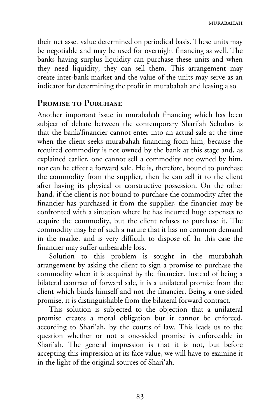their net asset value determined on periodical basis. These units may be negotiable and may be used for overnight financing as well. The banks having surplus liquidity can purchase these units and when they need liquidity, they can sell them. This arrangement may create inter-bank market and the value of the units may serve as an indicator for determining the profit in murabahah and leasing also

#### **PROMISE TO PURCHASE**

Another important issue in murabahah financing which has been subject of debate between the contemporary Shari'ah Scholars is that the bank/financier cannot enter into an actual sale at the time when the client seeks murabahah financing from him, because the required commodity is not owned by the bank at this stage and, as explained earlier, one cannot sell a commodity not owned by him, nor can he effect a forward sale. He is, therefore, bound to purchase the commodity from the supplier, then he can sell it to the client after having its physical or constructive possession. On the other hand, if the client is not bound to purchase the commodity after the financier has purchased it from the supplier, the financier may be confronted with a situation where he has incurred huge expenses to acquire the commodity, but the client refuses to purchase it. The commodity may be of such a nature that it has no common demand in the market and is very difficult to dispose of. In this case the financier may suffer unbearable loss.

Solution to this problem is sought in the murabahah arrangement by asking the client to sign a promise to purchase the commodity when it is acquired by the financier. Instead of being a bilateral contract of forward sale, it is a unilateral promise from the client which binds himself and not the financier. Being a one-sided promise, it is distinguishable from the bilateral forward contract.

This solution is subjected to the objection that a unilateral promise creates a moral obligation but it cannot be enforced, according to Shari'ah, by the courts of law. This leads us to the question whether or not a one-sided promise is enforceable in Shari'ah. The general impression is that it is not, but before accepting this impression at its face value, we will have to examine it in the light of the original sources of Shari'ah.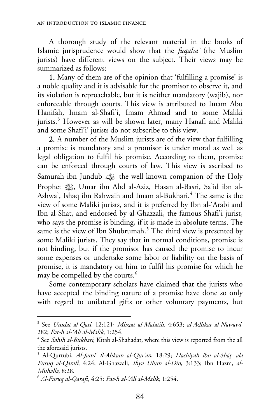<span id="page-83-0"></span>A thorough study of the relevant material in the books of Islamic jurisprudence would show that the *fuqaha'* (the Muslim jurists) have different views on the subject. Their views may be summarized as follows:

1. Many of them are of the opinion that 'fulfilling a promise' is a noble quality and it is advisable for the promisor to observe it, and its violation is reproachable, but it is neither mandatory (wajib), nor enforceable through courts. This view is attributed to Imam Abu Hanifah, Imam al-Shafi'i, Imam Ahmad and to some Maliki jurists.<sup>[3](#page-83-0)</sup> However as will be shown later, many Hanafi and Maliki and some Shafi'i' jurists do not subscribe to this view.

2. A number of the Muslim jurists are of the view that fulfilling a promise is mandatory and a promisor is under moral as well as legal obligation to fulfil his promise. According to them, promise can be enforced through courts of law. This view is ascribed to Samurah ibn Jundub  $\frac{d\mathbb{R}}{d\mathbb{R}}$  the well known companion of the Holy Prophet . Umar ibn Abd al-Aziz, Hasan al-Basri, Sa'id ibn al-Ashwa', Ishaq ibn Rahwaih and Imam al-Bukhari.<sup>[4](#page-83-0)</sup> The same is the view of some Maliki jurists, and it is preferred by Ibn al-'Arabi and Ibn al-Shat, and endorsed by al-Ghazzali, the famous Shafi'i jurist, who says the promise is binding, if it is made in absolute terms. The same is the view of Ibn Shubrumah.<sup>[5](#page-83-0)</sup> The third view is presented by some Maliki jurists. They say that in normal conditions, promise is not binding, but if the promisor has caused the promise to incur some expenses or undertake some labor or liability on the basis of promise, it is mandatory on him to fulfil his promise for which he may be compelled by the courts.<sup>[6](#page-83-0)</sup>

Some contemporary scholars have claimed that the jurists who have accepted the binding nature of a promise have done so only with regard to unilateral gifts or other voluntary payments, but

<sup>&</sup>lt;sup>3</sup> See Umdat al-Qari, 12:121; Mirqat al-Mafatih, 4:653; al-Adhkar al-Nawawi, 282; Fat-h al-'Ali al-Malik, 1:254. 4

 $4$  See *Sahih al-Bukhari*, Kitab al-Shahadat, where this view is reported from the all the aforesaid jurists.

<sup>&</sup>lt;sup>5</sup> Al-Qurtubi, *Al-Jami' li-Ahkam al-Qur'an*, 18:29; *Hashiyah ibn al-Shã<u>t</u> 'ala* Furuq al-Qarafi, 4:24; Al-Ghazzali, Ihya Ulum al-Din, 3:133; Ibn Hazm, al-Muhalla, 8:28. 6 *Al-Furuq al-Qarafi*, 4:25; Fat-h al-'Ali al-Malik, 1:254.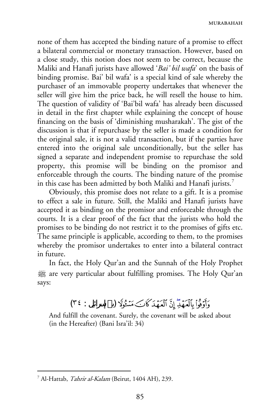<span id="page-84-0"></span>none of them has accepted the binding nature of a promise to effect a bilateral commercial or monetary transaction. However, based on a close study, this notion does not seem to be correct, because the Maliki and Hanafi jurists have allowed '*Bai' bil wafa*' on the basis of binding promise. Bai' bil wafa' is a special kind of sale whereby the purchaser of an immovable property undertakes that whenever the seller will give him the price back, he will resell the house to him. The question of validity of 'Bai'bil wafa' has already been discussed in detail in the first chapter while explaining the concept of house financing on the basis of 'diminishing musharakah'. The gist of the discussion is that if repurchase by the seller is made a condition for the original sale, it is not a valid transaction, but if the parties have entered into the original sale unconditionally, but the seller has signed a separate and independent promise to repurchase the sold property, this promise will be binding on the promisor and enforceable through the courts. The binding nature of the promise in this case has been admitted by both Maliki and Hanafi jurists.<sup>[7](#page-84-0)</sup>

Obviously, this promise does not relate to a gift. It is a promise to effect a sale in future. Still, the Maliki and Hanafi jurists have accepted it as binding on the promisor and enforceable through the courts. It is a clear proof of the fact that the jurists who hold the promises to be binding do not restrict it to the promises of gifts etc. The same principle is applicable, according to them, to the promises whereby the promisor undertakes to enter into a bilateral contract in future.

In fact, the Holy Qur'an and the Sunnah of the Holy Prophet صلى الله عليه وسلم are very particular about fulfilling promises. The Holy Qur'an says:

# وَأَوْفُواْ بِٱلْعَهَّلِّ إِنَّ ٱلْعَهَّدَ كَانَ مَسْئُولًا (\* \* \* : ٣٤)

And fulfill the covenant. Surely, the covenant will be asked about (in the Hereafter) (Bani Isra'il: 34)

<sup>&</sup>lt;sup>7</sup> Al-Hattab, *Tahrir al-Kalam* (Beirut, 1404 AH), 239.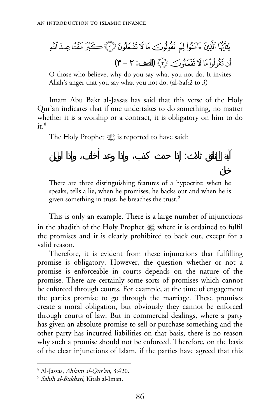<span id="page-85-0"></span> w v u t s r q p o n m l k ( – :لصف } | { ( z y x

O those who believe, why do you say what you not do. It invites Allah's anger that you say what you not do. (al-Saf:2 to 3)

Imam Abu Bakr al-Jassas has said that this verse of the Holy Qur'an indicates that if one undertakes to do something, no matter whether it is a worship or a contract, it is obligatory on him to do  $it.<sup>8</sup>$  $it.<sup>8</sup>$  $it.<sup>8</sup>$ 

The Holy Prophet صلى الله عليه وسلم is reported to have said:

There are three distinguishing features of a hypocrite: when he speaks, tells a lie, when he promises, he backs out and when he is given something in trust, he breaches the trust.<sup>[9](#page-85-0)</sup>

آية المنافق ثلاث: إذا حدث كذب، وإذا وعد أخلف، وإذا اوتمن

This is only an example. There is a large number of injunctions in the ahadith of the Holy Prophet  $\frac{100}{25}$  where it is ordained to fulfil the promises and it is clearly prohibited to back out, except for a valid reason.

Therefore, it is evident from these injunctions that fulfilling promise is obligatory. However, the question whether or not a promise is enforceable in courts depends on the nature of the promise. There are certainly some sorts of promises which cannot be enforced through courts. For example, at the time of engagement the parties promise to go through the marriage. These promises create a moral obligation, but obviously they cannot be enforced through courts of law. But in commercial dealings, where a party has given an absolute promise to sell or purchase something and the other party has incurred liabilities on that basis, there is no reason why such a promise should not be enforced. Therefore, on the basis of the clear injunctions of Islam, if the parties have agreed that this

<sup>&</sup>lt;sup>8</sup> Al-Jassas, *Ahkam al-Qur'an*, 3:420.

<sup>&</sup>lt;sup>9</sup> Sahih al-Bukhari, Kitab al-Iman.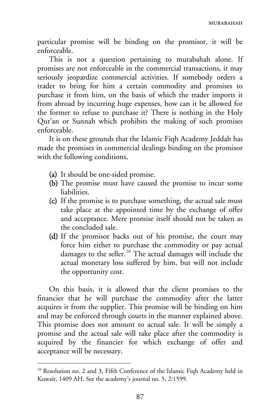<span id="page-86-0"></span>particular promise will be binding on the promisor, it will be enforceable.

This is not a question pertaining to murabahah alone. If promises are not enforceable in the commercial transactions, it may seriously jeopardize commercial activities. If somebody orders a trader to bring for him a certain commodity and promises to purchase it from him, on the basis of which the trader imports it from abroad by incurring huge expenses, how can it be allowed for the former to refuse to purchase it? There is nothing in the Holy Qur'an or Sunnah which prohibits the making of such promises enforceable.

It is on these grounds that the Islamic Fiqh Academy Jeddah has made the promises in commercial dealings binding on the promisor with the following conditions,

(a) It should be one-sided promise.

 $\overline{a}$ 

- (b) The promise must have caused the promise to incur some liabilities.
- (c) If the promise is to purchase something, the actual sale must take place at the appointed time by the exchange of offer and acceptance. Mere promise itself should not be taken as the concluded sale.
- (d) If the promisor backs out of his promise, the court may force him either to purchase the commodity or pay actual damages to the seller.<sup>[10](#page-86-0)</sup> The actual damages will include the actual monetary loss suffered by him, but will not include the opportunity cost.

On this basis, it is allowed that the client promises to the financier that he will purchase the commodity after the latter acquires it from the supplier. This promise will be binding on him and may be enforced through courts in the manner explained above. This promise does not amount to actual sale. It will be simply a promise and the actual sale will take place after the commodity is acquired by the financier for which exchange of offer and acceptance will be necessary.

<sup>&</sup>lt;sup>10</sup> Resolution no. 2 and 3, Fifth Conference of the Islamic Fiqh Academy held in Kuwait, 1409 AH. See the academy's journal no. 5, 2:1599.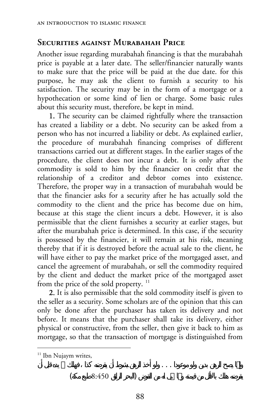#### <span id="page-87-0"></span>**SECURITIES AGAINST MURABAHAH PRICE**

Another issue regarding murabahah financing is that the murabahah price is payable at a later date. The seller/financier naturally wants to make sure that the price will be paid at the due date. for this purpose, he may ask the client to furnish a security to his satisfaction. The security may be in the form of a mortgage or a hypothecation or some kind of lien or charge. Some basic rules about this security must, therefore, be kept in mind.

1. The security can be claimed rightfully where the transaction has created a liability or a debt. No security can be asked from a person who has not incurred a liability or debt. As explained earlier, the procedure of murabahah financing comprises of different transactions carried out at different stages. In the earlier stages of the procedure, the client does not incur a debt. It is only after the commodity is sold to him by the financier on credit that the relationship of a creditor and debtor comes into existence. Therefore, the proper way in a transaction of murabahah would be that the financier asks for a security after he has actually sold the commodity to the client and the price has become due on him, because at this stage the client incurs a debt. However, it is also permissible that the client furnishes a security at earlier stages, but after the murabahah price is determined. In this case, if the security is possessed by the financier, it will remain at his risk, meaning thereby that if it is destroyed before the actual sale to the client, he will have either to pay the market price of the mortgaged asset, and cancel the agreement of murabahah, or sell the commodity required by the client and deduct the market price of the mortgaged asset from the price of the sold property.  $11$ 

2. It is also permissible that the sold commodity itself is given to the seller as a security. Some scholars are of the opinion that this can only be done after the purchaser has taken its delivery and not before. It means that the purchaser shall take its delivery, either physical or constructive, from the seller, then give it back to him as mortgage, so that the transaction of mortgage is distinguished from

 $\overline{a}$ 

 $(8.450)$ 

وإنما يصح الرهن بدين ولو موعودا . . . ولو أخذ الرهن بشرط أن يقرضه كذا فهلك يده قبل أن

<sup>&</sup>lt;sup>11</sup> Ibn Nujaym writes,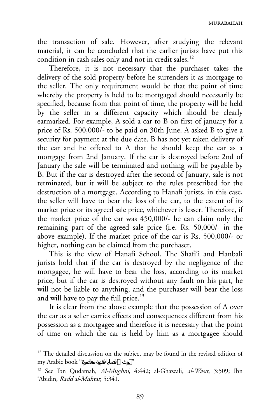<span id="page-88-0"></span>the transaction of sale. However, after studying the relevant material, it can be concluded that the earlier jurists have put this condition in cash sales only and not in credit sales.<sup>[12](#page-88-0)</sup>

Therefore, it is not necessary that the purchaser takes the delivery of the sold property before he surrenders it as mortgage to the seller. The only requirement would be that the point of time whereby the property is held to be mortgaged should necessarily be specified, because from that point of time, the property will be held by the seller in a different capacity which should be clearly earmarked. For example, A sold a car to B on first of january for a price of Rs. 500,000/- to be paid on 30th June. A asked B to give a security for payment at the due date. B has not yet taken delivery of the car and he offered to A that he should keep the car as a mortgage from 2nd January. If the car is destroyed before 2nd of January the sale will be terminated and nothing will be payable by B. But if the car is destroyed after the second of January, sale is not terminated, but it will be subject to the rules prescribed for the destruction of a mortgage. According to Hanafi jurists, in this case, the seller will have to bear the loss of the car, to the extent of its market price or its agreed sale price, whichever is lesser. Therefore, if the market price of the car was 450,000/- he can claim only the remaining part of the agreed sale price (i.e. Rs. 50,000/- in the above example). If the market price of the car is Rs. 500,000/- or higher, nothing can be claimed from the purchaser.

This is the view of Hanafi School. The Shafi'i and Hanbali jurists hold that if the car is destroyed by the negligence of the mortgagee, he will have to bear the loss, according to its market price, but if the car is destroyed without any fault on his part, he will not be liable to anything, and the purchaser will bear the loss and will have to pay the full price.<sup>[13](#page-88-0)</sup>

It is clear from the above example that the possession of A over the car as a seller carries effects and consequences different from his possession as a mortgagee and therefore it is necessary that the point of time on which the car is held by him as a mortgagee should

<sup>&</sup>lt;sup>12</sup> The detailed discussion on the subject may be found in the revised edition of my Arabic book "

<sup>&</sup>lt;sup>13</sup> See Ibn Qudamah, *Al-Mughni*, 4:442; al-Ghazzali, *al-Wasit*, 3:509; Ibn 'Abidin, Radd al-Muhtar, 5:341.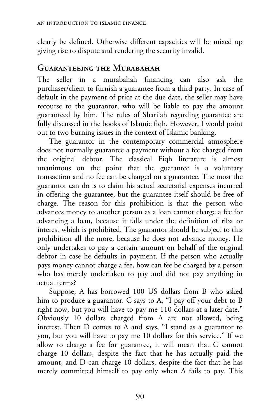clearly be defined. Otherwise different capacities will be mixed up giving rise to dispute and rendering the security invalid.

#### GUARANTEEING THE MURABAHAH

The seller in a murabahah financing can also ask the purchaser/client to furnish a guarantee from a third party. In case of default in the payment of price at the due date, the seller may have recourse to the guarantor, who will be liable to pay the amount guaranteed by him. The rules of Shari'ah regarding guarantee are fully discussed in the books of Islamic fiqh. However, I would point out to two burning issues in the context of Islamic banking.

The guarantor in the contemporary commercial atmosphere does not normally guarantee a payment without a fee charged from the original debtor. The classical Fiqh literature is almost unanimous on the point that the guarantee is a voluntary transaction and no fee can be charged on a guarantee. The most the guarantor can do is to claim his actual secretarial expenses incurred in offering the guarantee, but the guarantee itself should be free of charge. The reason for this prohibition is that the person who advances money to another person as a loan cannot charge a fee for advancing a loan, because it falls under the definition of riba or interest which is prohibited. The guarantor should be subject to this prohibition all the more, because he does not advance money. He only undertakes to pay a certain amount on behalf of the original debtor in case he defaults in payment. If the person who actually pays money cannot charge a fee, how can fee be charged by a person who has merely undertaken to pay and did not pay anything in actual terms?

Suppose, A has borrowed 100 US dollars from B who asked him to produce a guarantor. C says to A, "I pay off your debt to B right now, but you will have to pay me 110 dollars at a later date." Obviously 10 dollars charged from A are not allowed, being interest. Then D comes to A and says, "I stand as a guarantor to you, but you will have to pay me 10 dollars for this service." If we allow to charge a fee for guarantee, it will mean that C cannot charge 10 dollars, despite the fact that he has actually paid the amount, and D can charge 10 dollars, despite the fact that he has merely committed himself to pay only when A fails to pay. This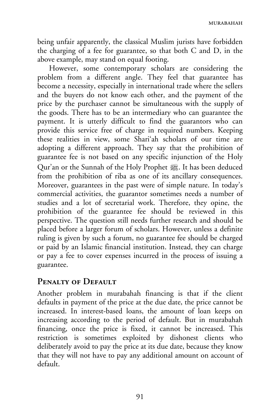being unfair apparently, the classical Muslim jurists have forbidden the charging of a fee for guarantee, so that both C and D, in the above example, may stand on equal footing.

However, some contemporary scholars are considering the problem from a different angle. They feel that guarantee has become a necessity, especially in international trade where the sellers and the buyers do not know each other, and the payment of the price by the purchaser cannot be simultaneous with the supply of the goods. There has to be an intermediary who can guarantee the payment. It is utterly difficult to find the guarantors who can provide this service free of charge in required numbers. Keeping these realities in view, some Shari'ah scholars of our time are adopting a different approach. They say that the prohibition of guarantee fee is not based on any specific injunction of the Holy Qur'an or the Sunnah of the Holy Prophet صلى الله عليه وسلم. It has been deduced from the prohibition of riba as one of its ancillary consequences. Moreover, guarantees in the past were of simple nature. In today's commercial activities, the guarantor sometimes needs a number of studies and a lot of secretarial work. Therefore, they opine, the prohibition of the guarantee fee should be reviewed in this perspective. The question still needs further research and should be placed before a larger forum of scholars. However, unless a definite ruling is given by such a forum, no guarantee fee should be charged or paid by an Islamic financial institution. Instead, they can charge or pay a fee to cover expenses incurred in the process of issuing a guarantee.

#### **PENALTY OF DEFAULT**

Another problem in murabahah financing is that if the client defaults in payment of the price at the due date, the price cannot be increased. In interest-based loans, the amount of loan keeps on increasing according to the period of default. But in murabahah financing, once the price is fixed, it cannot be increased. This restriction is sometimes exploited by dishonest clients who deliberately avoid to pay the price at its due date, because they know that they will not have to pay any additional amount on account of default.

91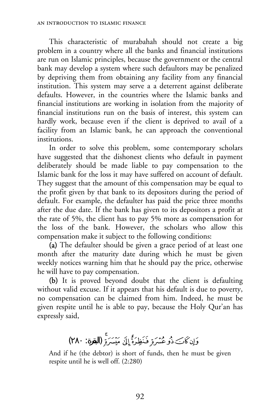This characteristic of murabahah should not create a big problem in a country where all the banks and financial institutions are run on Islamic principles, because the government or the central bank may develop a system where such defaultors may be penalized by depriving them from obtaining any facility from any financial institution. This system may serve a a deterrent against deliberate defaults. However, in the countries where the Islamic banks and financial institutions are working in isolation from the majority of financial institutions run on the basis of interest, this system can hardly work, because even if the client is deprived to avail of a facility from an Islamic bank, he can approach the conventional institutions.

In order to solve this problem, some contemporary scholars have suggested that the dishonest clients who default in payment deliberately should be made liable to pay compensation to the Islamic bank for the loss it may have suffered on account of default. They suggest that the amount of this compensation may be equal to the profit given by that bank to its depositors during the period of default. For example, the defaulter has paid the price three months after the due date. If the bank has given to its depositors a profit at the rate of 5%, the client has to pay 5% more as compensation for the loss of the bank. However, the scholars who allow this compensation make it subject to the following conditions:

(a) The defaulter should be given a grace period of at least one month after the maturity date during which he must be given weekly notices warning him that he should pay the price, otherwise he will have to pay compensation.

(b) It is proved beyond doubt that the client is defaulting without valid excuse. If it appears that his default is due to poverty, no compensation can be claimed from him. Indeed, he must be given respite until he is able to pay, because the Holy Qur'an has expressly said,

وَإِن كَانَ ذُو عُسْرَةٍ فَنَظِرَةُ إِلَىٰ مَيْسَرَةٍ ( )

And if he (the debtor) is short of funds, then he must be given respite until he is well off. (2:280)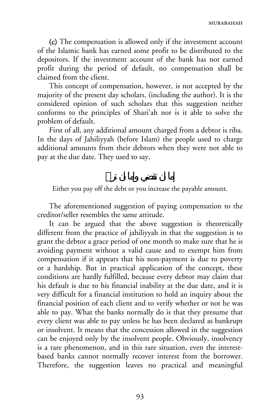(c) The compensation is allowed only if the investment account of the Islamic bank has earned some profit to be distributed to the depositors. If the investment account of the bank has not earned profit during the period of default, no compensation shall be claimed from the client.

This concept of compensation, however, is not accepted by the majority of the present day scholars. (including the author). It is the considered opinion of such scholars that this suggestion neither conforms to the principles of Shari'ah nor is it able to solve the problem of default.

First of all, any additional amount charged from a debtor is riba. In the days of Jahiliyyah (before Islam) the people used to charge additional amounts from their debtors when they were not able to pay at the due date. They used to say,

Either you pay off the debt or you increase the payable amount.

The aforementioned suggestion of paying compensation to the creditor/seller resembles the same attitude.

It can be argued that the above suggestion is theoretically different from the practice of jahiliyyah in that the suggestion is to grant the debtor a grace period of one month to make sure that he is avoiding payment without a valid cause and to exempt him from compensation if it appears that his non-payment is due to poverty or a hardship. But in practical application of the concept, these conditions are hardly fulfilled, because every debtor may claim that his default is due to his financial inability at the due date, and it is very difficult for a financial institution to hold an inquiry about the financial position of each client and to verify whether or not he was able to pay. What the banks normally do is that they presume that every client was able to pay unless he has been declared as bankrupt or insolvent. It means that the concession allowed in the suggestion can be enjoyed only by the insolvent people. Obviously, insolvency is a rare phenomenon, and in this rare situation, even the interestbased banks cannot normally recover interest from the borrower. Therefore, the suggestion leaves no practical and meaningful

93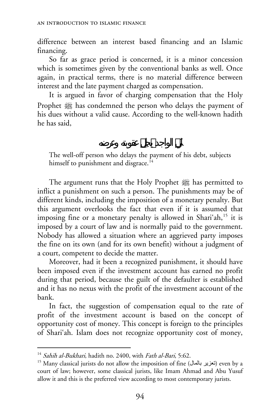<span id="page-93-0"></span>difference between an interest based financing and an Islamic financing.

So far as grace period is concerned, it is a minor concession which is sometimes given by the conventional banks as well. Once again, in practical terms, there is no material difference between interest and the late payment charged as compensation.

It is argued in favor of charging compensation that the Holy Prophet  $\frac{1}{2}$  has condemned the person who delays the payment of his dues without a valid cause. According to the well-known hadith he has said,

The well-off person who delays the payment of his debt, subjects himself to punishment and disgrace.<sup>[14](#page-93-0)</sup>

The argument runs that the Holy Prophet صلى الله عليه وسلم has permitted to inflict a punishment on such a person. The punishments may be of different kinds, including the imposition of a monetary penalty. But this argument overlooks the fact that even if it is assumed that imposing fine or a monetary penalty is allowed in Shari'ah,<sup>[15](#page-93-0)</sup> it is imposed by a court of law and is normally paid to the government. Nobody has allowed a situation where an aggrieved party imposes the fine on its own (and for its own benefit) without a judgment of a court, competent to decide the matter.

Moreover, had it been a recognized punishment, it should have been imposed even if the investment account has earned no profit during that period, because the guilt of the defaulter is established and it has no nexus with the profit of the investment account of the bank.

In fact, the suggestion of compensation equal to the rate of profit of the investment account is based on the concept of opportunity cost of money. This concept is foreign to the principles of Shari'ah. Islam does not recognize opportunity cost of money,

<sup>&</sup>lt;sup>14</sup> *Sahih al-Bukhari*, hadith no. 2400, with *Fath al-Bari*, 5:62.<br><sup>15</sup> Many classical jurists do not allow the imposition of fine (بعزير بالمال) even by a court of law; however, some classical jurists, like Imam Ahmad and Abu Yusuf allow it and this is the preferred view according to most contemporary jurists.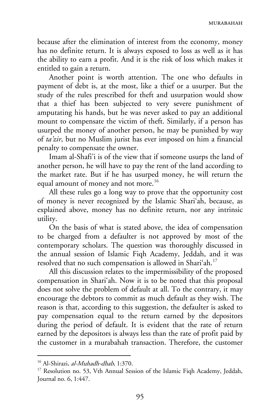<span id="page-94-0"></span>because after the elimination of interest from the economy, money has no definite return. It is always exposed to loss as well as it has the ability to earn a profit. And it is the risk of loss which makes it entitled to gain a return.

Another point is worth attention. The one who defaults in payment of debt is, at the most, like a thief or a usurper. But the study of the rules prescribed for theft and usurpation would show that a thief has been subjected to very severe punishment of amputating his hands, but he was never asked to pay an additional mount to compensate the victim of theft. Similarly, if a person has usurped the money of another person, he may be punished by way of *ta'zir*, but no Muslim jurist has ever imposed on him a financial penalty to compensate the owner.

Imam al-Shafi'i is of the view that if someone usurps the land of another person, he will have to pay the rent of the land according to the market rate. But if he has usurped money, he will return the equal amount of money and not more.<sup>[16](#page-94-0)</sup>

All these rules go a long way to prove that the opportunity cost of money is never recognized by the Islamic Shari'ah, because, as explained above, money has no definite return, nor any intrinsic utility.

On the basis of what is stated above, the idea of compensation to be charged from a defaulter is not approved by most of the contemporary scholars. The question was thoroughly discussed in the annual session of Islamic Fiqh Academy, Jeddah, and it was resolved that no such compensation is allowed in Shari'ah.<sup>[17](#page-94-0)</sup>

All this discussion relates to the impermissibility of the proposed compensation in Shari'ah. Now it is to be noted that this proposal does not solve the problem of default at all. To the contrary, it may encourage the debtors to commit as much default as they wish. The reason is that, according to this suggestion, the defaulter is asked to pay compensation equal to the return earned by the depositors during the period of default. It is evident that the rate of return earned by the depositors is always less than the rate of profit paid by the customer in a murabahah transaction. Therefore, the customer

<sup>&</sup>lt;sup>16</sup> Al-Shirazi, *al-Muhadh-dhab*, 1:370.<br><sup>17</sup> Resolution no. 53, Vth Annual Session of the Islamic Fiqh Academy, Jeddah, Journal no. 6, 1:447.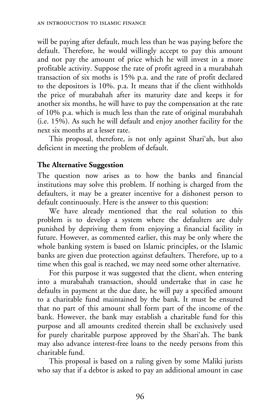will be paying after default, much less than he was paying before the default. Therefore, he would willingly accept to pay this amount and not pay the amount of price which he will invest in a more profitable activity. Suppose the rate of profit agreed in a murabahah transaction of six moths is 15% p.a. and the rate of profit declared to the depositors is 10%. p.a. It means that if the client withholds the price of murabahah after its maturity date and keeps it for another six months, he will have to pay the compensation at the rate of 10% p.a. which is much less than the rate of original murabahah (i.e. 15%). As such he will default and enjoy another facility for the next six months at a lesser rate.

This proposal, therefore, is not only against Shari'ah, but also deficient in meeting the problem of default.

#### **The Alternative Suggestion**

The question now arises as to how the banks and financial institutions may solve this problem. If nothing is charged from the defaulters, it may be a greater incentive for a dishonest person to default continuously. Here is the answer to this question:

We have already mentioned that the real solution to this problem is to develop a system where the defaulters are duly punished by depriving them from enjoying a financial facility in future. However, as commented earlier, this may be only where the whole banking system is based on Islamic principles, or the Islamic banks are given due protection against defaulters. Therefore, up to a time when this goal is reached, we may need some other alternative.

For this purpose it was suggested that the client, when entering into a murabahah transaction, should undertake that in case he defaults in payment at the due date, he will pay a specified amount to a charitable fund maintained by the bank. It must be ensured that no part of this amount shall form part of the income of the bank. However, the bank may establish a charitable fund for this purpose and all amounts credited therein shall be exclusively used for purely charitable purpose approved by the Shari'ah. The bank may also advance interest-free loans to the needy persons from this charitable fund.

This proposal is based on a ruling given by some Maliki jurists who say that if a debtor is asked to pay an additional amount in case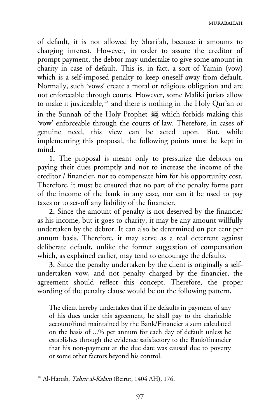<span id="page-96-0"></span>of default, it is not allowed by Shari'ah, because it amounts to charging interest. However, in order to assure the creditor of prompt payment, the debtor may undertake to give some amount in charity in case of default. This is, in fact, a sort of Yamin (vow) which is a self-imposed penalty to keep oneself away from default. Normally, such 'vows' create a moral or religious obligation and are not enforceable through courts. However, some Maliki jurists allow to make it justiceable,<sup>[18](#page-96-0)</sup> and there is nothing in the Holy Qur'an or in the Sunnah of the Holy Prophet  $\frac{100}{200}$  which forbids making this 'vow' enforceable through the courts of law. Therefore, in cases of genuine need, this view can be acted upon. But, while implementing this proposal, the following points must be kept in mind.

1. The proposal is meant only to pressurize the debtors on paying their dues promptly and not to increase the income of the creditor / financier, nor to compensate him for his opportunity cost. Therefore, it must be ensured that no part of the penalty forms part of the income of the bank in any case, nor can it be used to pay taxes or to set-off any liability of the financier.

2. Since the amount of penalty is not deserved by the financier as his income, but it goes to charity, it may be any amount willfully undertaken by the debtor. It can also be determined on per cent per annum basis. Therefore, it may serve as a real deterrent against deliberate default, unlike the former suggestion of compensation which, as explained earlier, may tend to encourage the defaults.

3. Since the penalty undertaken by the client is originally a selfundertaken vow, and not penalty charged by the financier, the agreement should reflect this concept. Therefore, the proper wording of the penalty clause would be on the following pattern,

The client hereby undertakes that if he defaults in payment of any of his dues under this agreement, he shall pay to the charitable account/fund maintained by the Bank/Financier a sum calculated on the basis of ...% per annum for each day of default unless he establishes through the evidence satisfactory to the Bank/financier that his non-payment at the due date was caused due to poverty or some other factors beyond his control.

<sup>&</sup>lt;sup>18</sup> Al-Hattab, Tahrir al-Kalam (Beirut, 1404 AH), 176.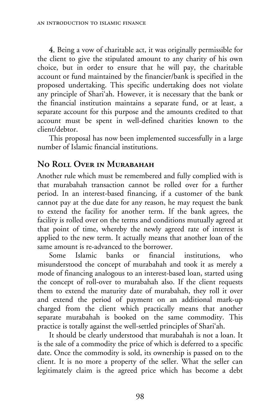4. Being a vow of charitable act, it was originally permissible for the client to give the stipulated amount to any charity of his own choice, but in order to ensure that he will pay, the charitable account or fund maintained by the financier/bank is specified in the proposed undertaking. This specific undertaking does not violate any principle of Shari'ah. However, it is necessary that the bank or the financial institution maintains a separate fund, or at least, a separate account for this purpose and the amounts credited to that account must be spent in well-defined charities known to the client/debtor.

This proposal has now been implemented successfully in a large number of Islamic financial institutions.

#### **No Roll Over in Murabahah**

Another rule which must be remembered and fully complied with is that murabahah transaction cannot be rolled over for a further period. In an interest-based financing, if a customer of the bank cannot pay at the due date for any reason, he may request the bank to extend the facility for another term. If the bank agrees, the facility is rolled over on the terms and conditions mutually agreed at that point of time, whereby the newly agreed rate of interest is applied to the new term. It actually means that another loan of the same amount is re-advanced to the borrower.

Some Islamic banks or financial institutions, who misunderstood the concept of murabahah and took it as merely a mode of financing analogous to an interest-based loan, started using the concept of roll-over to murabahah also. If the client requests them to extend the maturity date of murabahah, they roll it over and extend the period of payment on an additional mark-up charged from the client which practically means that another separate murabahah is booked on the same commodity. This practice is totally against the well-settled principles of Shari'ah.

It should be clearly understood that murabahah is not a loan. It is the sale of a commodity the price of which is deferred to a specific date. Once the commodity is sold, its ownership is passed on to the client. It is no more a property of the seller. What the seller can legitimately claim is the agreed price which has become a debt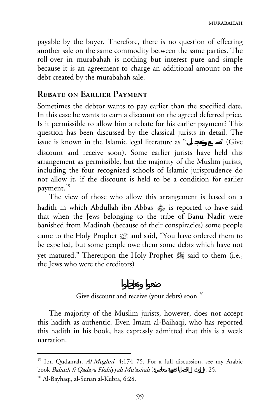<span id="page-98-0"></span>payable by the buyer. Therefore, there is no question of effecting another sale on the same commodity between the same parties. The roll-over in murabahah is nothing but interest pure and simple because it is an agreement to charge an additional amount on the debt created by the murabahah sale.

## **REBATE ON EARLIER PAYMENT**

Sometimes the debtor wants to pay earlier than the specified date. In this case he wants to earn a discount on the agreed deferred price. Is it permissible to allow him a rebate for his earlier payment? This question has been discussed by the classical jurists in detail. The issue is known in the Islamic legal literature as " **Cive** discount and receive soon). Some earlier jurists have held this arrangement as permissible, but the majority of the Muslim jurists, including the four recognized schools of Islamic jurisprudence do not allow it, if the discount is held to be a condition for earlier payment.<sup>[19](#page-98-0)</sup>

The view of those who allow this arrangement is based on a hadith in which Abdullah ibn Abbas signified to have said that when the Jews belonging to the tribe of Banu Nadir were banished from Madinah (because of their conspiracies) some people came to the Holy Prophet صلى الله عليه وسلم and said, "You have ordered them to be expelled, but some people owe them some debts which have not yet matured." Thereupon the Holy Prophet  $\frac{100}{20}$  said to them (i.e., the Jews who were the creditors)

Give discount and receive (your debts) soon.<sup>[20](#page-98-0)</sup>

The majority of the Muslim jurists, however, does not accept this hadith as authentic. Even Imam al-Baihaqi, who has reported this hadith in his book, has expressly admitted that this is a weak narration.

<sup>&</sup>lt;sup>19</sup> Ibn Qudamah, Al-Mughni, 4:174-75. For a full discussion, see my Arabic book *Bahuth fi Qadaya Fiqhiyyah Mu'asirah* (  $\qquad \qquad$  ), 25.

<sup>20</sup> Al-Bayhaqi, al-Sunan al-Kubra, 6:28.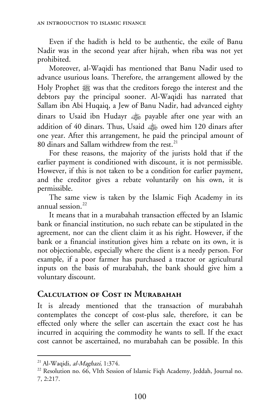<span id="page-99-0"></span>Even if the hadith is held to be authentic, the exile of Banu Nadir was in the second year after hijrah, when riba was not yet prohibited.

Moreover, al-Waqidi has mentioned that Banu Nadir used to advance usurious loans. Therefore, the arrangement allowed by the Holy Prophet  $\frac{100}{200}$  was that the creditors forego the interest and the debtors pay the principal sooner. Al-Waqidi has narrated that Sallam ibn Abi Huqaiq, a Jew of Banu Nadir, had advanced eighty dinars to Usaid ibn Hudayr payable after one year with an addition of 40 dinars. Thus, Usaid is owed him 120 dinars after one year. After this arrangement, he paid the principal amount of 80 dinars and Sallam withdrew from the rest.<sup>[21](#page-99-0)</sup>

For these reasons, the majority of the jurists hold that if the earlier payment is conditioned with discount, it is not permissible. However, if this is not taken to be a condition for earlier payment, and the creditor gives a rebate voluntarily on his own, it is permissible.

The same view is taken by the Islamic Fiqh Academy in its annual session.<sup>[22](#page-99-0)</sup>

It means that in a murabahah transaction effected by an Islamic bank or financial institution, no such rebate can be stipulated in the agreement, nor can the client claim it as his right. However, if the bank or a financial institution gives him a rebate on its own, it is not objectionable, especially where the client is a needy person. For example, if a poor farmer has purchased a tractor or agricultural inputs on the basis of murabahah, the bank should give him a voluntary discount.

#### Calculation of Cost in Murabahah

It is already mentioned that the transaction of murabahah contemplates the concept of cost-plus sale, therefore, it can be effected only where the seller can ascertain the exact cost he has incurred in acquiring the commodity he wants to sell. If the exact cost cannot be ascertained, no murabahah can be possible. In this

<sup>&</sup>lt;sup>21</sup> Al-Waqidi, *al-Maghazi*, 1:374.<br><sup>22</sup> Resolution no. 66, VIth Session of Islamic Fiqh Academy, Jeddah, Journal no. 7, 2:217.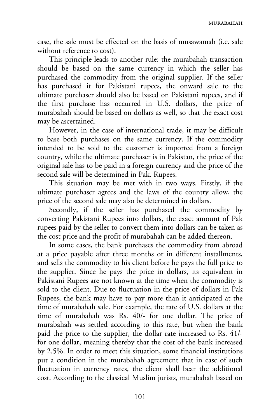case, the sale must be effected on the basis of musawamah (i.e. sale without reference to cost).

This principle leads to another rule: the murabahah transaction should be based on the same currency in which the seller has purchased the commodity from the original supplier. If the seller has purchased it for Pakistani rupees, the onward sale to the ultimate purchaser should also be based on Pakistani rupees, and if the first purchase has occurred in U.S. dollars, the price of murabahah should be based on dollars as well, so that the exact cost may be ascertained.

However, in the case of international trade, it may be difficult to base both purchases on the same currency. If the commodity intended to be sold to the customer is imported from a foreign country, while the ultimate purchaser is in Pakistan, the price of the original sale has to be paid in a foreign currency and the price of the second sale will be determined in Pak. Rupees.

This situation may be met with in two ways. Firstly, if the ultimate purchaser agrees and the laws of the country allow, the price of the second sale may also be determined in dollars.

Secondly, if the seller has purchased the commodity by converting Pakistani Rupees into dollars, the exact amount of Pak rupees paid by the seller to convert them into dollars can be taken as the cost price and the profit of murabahah can be added thereon.

In some cases, the bank purchases the commodity from abroad at a price payable after three months or in different installments, and sells the commodity to his client before he pays the full price to the supplier. Since he pays the price in dollars, its equivalent in Pakistani Rupees are not known at the time when the commodity is sold to the client. Due to fluctuation in the price of dollars in Pak Rupees, the bank may have to pay more than it anticipated at the time of murabahah sale. For example, the rate of U.S. dollars at the time of murabahah was Rs. 40/- for one dollar. The price of murabahah was settled according to this rate, but when the bank paid the price to the supplier, the dollar rate increased to Rs. 41/ for one dollar, meaning thereby that the cost of the bank increased by 2.5%. In order to meet this situation, some financial institutions put a condition in the murabahah agreement that in case of such fluctuation in currency rates, the client shall bear the additional cost. According to the classical Muslim jurists, murabahah based on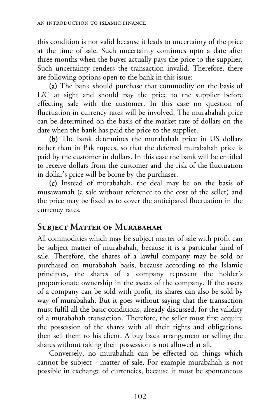this condition is not valid because it leads to uncertainty of the price at the time of sale. Such uncertainty continues upto a date after three months when the buyer actually pays the price to the supplier. Such uncertainty renders the transaction invalid. Therefore, there are following options open to the bank in this issue:

(a) The bank should purchase that commodity on the basis of L/C at sight and should pay the price to the supplier before effecting sale with the customer. In this case no question of fluctuation in currency rates will be involved. The murabahah price can be determined on the basis of the market rate of dollars on the date when the bank has paid the price to the supplier.

(b) The bank determines the murabahah price in US dollars rather than in Pak rupees, so that the deferred murabahah price is paid by the customer in dollars. In this case the bank will be entitled to receive dollars from the customer and the risk of the fluctuation in dollar's price will be borne by the purchaser.

(c) Instead of murabahah, the deal may be on the basis of musawamah (a sale without reference to the cost of the seller) and the price may be fixed as to cover the anticipated fluctuation in the currency rates.

## **SUBJECT MATTER OF MURABAHAH**

All commodities which may be subject matter of sale with profit can be subject matter of murabahah, because it is a particular kind of sale. Therefore, the shares of a lawful company may be sold or purchased on murabahah basis, because according to the Islamic principles, the shares of a company represent the holder's proportionate ownership in the assets of the company. If the assets of a company can be sold with profit, its shares can also be sold by way of murabahah. But it goes without saying that the transaction must fulfil all the basic conditions, already discussed, for the validity of a murabahah transaction. Therefore, the seller must first acquire the possession of the shares with all their rights and obligations, then sell them to his client. A buy back arrangement or selling the shares without taking their possession is not allowed at all.

Conversely, no murabahah can be effected on things which cannot be subject - matter of sale, For example murabahah is not possible in exchange of currencies, because it must be spontaneous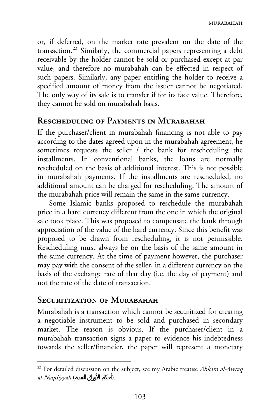<span id="page-102-0"></span>or, if deferred, on the market rate prevalent on the date of the transaction.<sup>[23](#page-102-0)</sup> Similarly, the commercial papers representing a debt receivable by the holder cannot be sold or purchased except at par value, and therefore no murabahah can be effected in respect of such papers. Similarly, any paper entitling the holder to receive a specified amount of money from the issuer cannot be negotiated. The only way of its sale is to transfer if for its face value. Therefore, they cannot be sold on murabahah basis.

#### **RESCHEDULING OF PAYMENTS IN MURABAHAH**

If the purchaser/client in murabahah financing is not able to pay according to the dates agreed upon in the murabahah agreement, he sometimes requests the seller / the bank for rescheduling the installments. In conventional banks, the loans are normally rescheduled on the basis of additional interest. This is not possible in murabahah payments. If the installments are rescheduled, no additional amount can be charged for rescheduling. The amount of the murabahah price will remain the same in the same currency.

Some Islamic banks proposed to reschedule the murabahah price in a hard currency different from the one in which the original sale took place. This was proposed to compensate the bank through appreciation of the value of the hard currency. Since this benefit was proposed to be drawn from rescheduling, it is not permissible. Rescheduling must always be on the basis of the same amount in the same currency. At the time of payment however, the purchaser may pay with the consent of the seller, in a different currency on the basis of the exchange rate of that day (i.e. the day of payment) and not the rate of the date of transaction.

#### Securitization of Murabahah

 $\overline{a}$ 

Murabahah is a transaction which cannot be securitized for creating a negotiable instrument to be sold and purchased in secondary market. The reason is obvious. If the purchaser/client in a murabahah transaction signs a paper to evidence his indebtedness towards the seller/financier, the paper will represent a monetary

 $^{23}$  For detailed discussion on the subject, see my Arabic treatise Ahkam al-Awraq  $al-Na$ qdiyyah $($ ).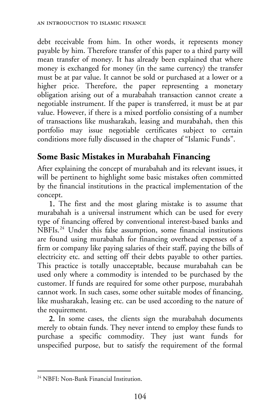<span id="page-103-0"></span>debt receivable from him. In other words, it represents money payable by him. Therefore transfer of this paper to a third party will mean transfer of money. It has already been explained that where money is exchanged for money (in the same currency) the transfer must be at par value. It cannot be sold or purchased at a lower or a higher price. Therefore, the paper representing a monetary obligation arising out of a murabahah transaction cannot create a negotiable instrument. If the paper is transferred, it must be at par value. However, if there is a mixed portfolio consisting of a number of transactions like musharakah, leasing and murabahah, then this portfolio may issue negotiable certificates subject to certain conditions more fully discussed in the chapter of "Islamic Funds".

# **Some Basic Mistakes in Murabahah Financing**

After explaining the concept of murabahah and its relevant issues, it will be pertinent to highlight some basic mistakes often committed by the financial institutions in the practical implementation of the concept.

1. The first and the most glaring mistake is to assume that murabahah is a universal instrument which can be used for every type of financing offered by conventional interest-based banks and NBFIs.[24](#page-103-0) Under this false assumption, some financial institutions are found using murabahah for financing overhead expenses of a firm or company like paying salaries of their staff, paying the bills of electricity etc. and setting off their debts payable to other parties. This practice is totally unacceptable, because murabahah can be used only where a commodity is intended to be purchased by the customer. If funds are required for some other purpose, murabahah cannot work. In such cases, some other suitable modes of financing, like musharakah, leasing etc. can be used according to the nature of the requirement.

2. In some cases, the clients sign the murabahah documents merely to obtain funds. They never intend to employ these funds to purchase a specific commodity. They just want funds for unspecified purpose, but to satisfy the requirement of the formal

<sup>&</sup>lt;sup>24</sup> NBFI: Non-Bank Financial Institution.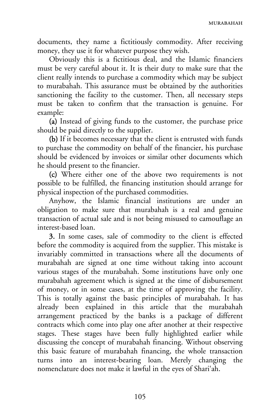documents, they name a fictitiously commodity. After receiving money, they use it for whatever purpose they wish.

Obviously this is a fictitious deal, and the Islamic financiers must be very careful about it. It is their duty to make sure that the client really intends to purchase a commodity which may be subject to murabahah. This assurance must be obtained by the authorities sanctioning the facility to the customer. Then, all necessary steps must be taken to confirm that the transaction is genuine. For example:

(a) Instead of giving funds to the customer, the purchase price should be paid directly to the supplier.

(b) If it becomes necessary that the client is entrusted with funds to purchase the commodity on behalf of the financier, his purchase should be evidenced by invoices or similar other documents which he should present to the financier.

(c) Where either one of the above two requirements is not possible to be fulfilled, the financing institution should arrange for physical inspection of the purchased commodities.

Anyhow, the Islamic financial institutions are under an obligation to make sure that murabahah is a real and genuine transaction of actual sale and is not being misused to camouflage an interest-based loan.

3. In some cases, sale of commodity to the client is effected before the commodity is acquired from the supplier. This mistake is invariably committed in transactions where all the documents of murabahah are signed at one time without taking into account various stages of the murabahah. Some institutions have only one murabahah agreement which is signed at the time of disbursement of money, or in some cases, at the time of approving the facility. This is totally against the basic principles of murabahah. It has already been explained in this article that the murabahah arrangement practiced by the banks is a package of different contracts which come into play one after another at their respective stages. These stages have been fully highlighted earlier while discussing the concept of murabahah financing. Without observing this basic feature of murabahah financing, the whole transaction turns into an interest-bearing loan. Merely changing the nomenclature does not make it lawful in the eyes of Shari'ah.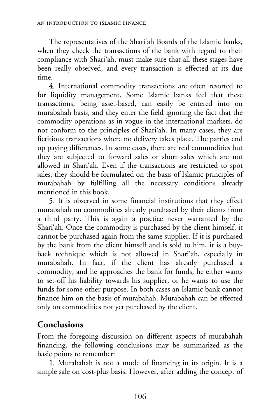The representatives of the Shari'ah Boards of the Islamic banks, when they check the transactions of the bank with regard to their compliance with Shari'ah, must make sure that all these stages have been really observed, and every transaction is effected at its due time.

4. International commodity transactions are often resorted to for liquidity management. Some Islamic banks feel that these transactions, being asset-based, can easily be entered into on murabahah basis, and they enter the field ignoring the fact that the commodity operations as in vogue in the international markets, do not conform to the principles of Shari'ah. In many cases, they are fictitious transactions where no delivery takes place. The parties end up paying differences. In some cases, there are real commodities but they are subjected to forward sales or short sales which are not allowed in Shari'ah. Even if the transactions are restricted to spot sales, they should be formulated on the basis of Islamic principles of murabahah by fulfilling all the necessary conditions already mentioned in this book.

5. It is observed in some financial institutions that they effect murabahah on commodities already purchased by their clients from a third party. This is again a practice never warranted by the Shari'ah. Once the commodity is purchased by the client himself, it cannot be purchased again from the same supplier. If it is purchased by the bank from the client himself and is sold to him, it is a buyback technique which is not allowed in Shari'ah, especially in murabahah. In fact, if the client has already purchased a commodity, and he approaches the bank for funds, he either wants to set-off his liability towards his supplier, or he wants to use the funds for some other purpose. In both cases an Islamic bank cannot finance him on the basis of murabahah. Murabahah can be effected only on commodities not yet purchased by the client.

## **Conclusions**

From the foregoing discussion on different aspects of murabahah financing, the following conclusions may be summarized as the basic points to remember:

1. Murabahah is not a mode of financing in its origin. It is a simple sale on cost-plus basis. However, after adding the concept of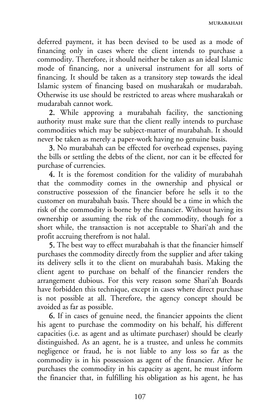deferred payment, it has been devised to be used as a mode of financing only in cases where the client intends to purchase a commodity. Therefore, it should neither be taken as an ideal Islamic mode of financing, nor a universal instrument for all sorts of financing. It should be taken as a transitory step towards the ideal Islamic system of financing based on musharakah or mudarabah. Otherwise its use should be restricted to areas where musharakah or mudarabah cannot work.

2. While approving a murabahah facility, the sanctioning authority must make sure that the client really intends to purchase commodities which may be subject-matter of murabahah. It should never be taken as merely a paper-work having no genuine basis.

3. No murabahah can be effected for overhead expenses, paying the bills or settling the debts of the client, nor can it be effected for purchase of currencies.

4. It is the foremost condition for the validity of murabahah that the commodity comes in the ownership and physical or constructive possession of the financier before he sells it to the customer on murabahah basis. There should be a time in which the risk of the commodity is borne by the financier. Without having its ownership or assuming the risk of the commodity, though for a short while, the transaction is not acceptable to Shari'ah and the profit accruing therefrom is not halal.

5. The best way to effect murabahah is that the financier himself purchases the commodity directly from the supplier and after taking its delivery sells it to the client on murabahah basis. Making the client agent to purchase on behalf of the financier renders the arrangement dubious. For this very reason some Shari'ah Boards have forbidden this technique, except in cases where direct purchase is not possible at all. Therefore, the agency concept should be avoided as far as possible.

6. If in cases of genuine need, the financier appoints the client his agent to purchase the commodity on his behalf, his different capacities (i.e. as agent and as ultimate purchaser) should be clearly distinguished. As an agent, he is a trustee, and unless he commits negligence or fraud, he is not liable to any loss so far as the commodity is in his possession as agent of the financier. After he purchases the commodity in his capacity as agent, he must inform the financier that, in fulfilling his obligation as his agent, he has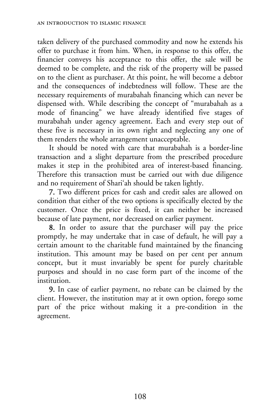taken delivery of the purchased commodity and now he extends his offer to purchase it from him. When, in response to this offer, the financier conveys his acceptance to this offer, the sale will be deemed to be complete, and the risk of the property will be passed on to the client as purchaser. At this point, he will become a debtor and the consequences of indebtedness will follow. These are the necessary requirements of murabahah financing which can never be dispensed with. While describing the concept of "murabahah as a mode of financing" we have already identified five stages of murabahah under agency agreement. Each and every step out of these five is necessary in its own right and neglecting any one of them renders the whole arrangement unacceptable.

It should be noted with care that murabahah is a border-line transaction and a slight departure from the prescribed procedure makes it step in the prohibited area of interest-based financing. Therefore this transaction must be carried out with due diligence and no requirement of Shari'ah should be taken lightly.

7. Two different prices for cash and credit sales are allowed on condition that either of the two options is specifically elected by the customer. Once the price is fixed, it can neither be increased because of late payment, nor decreased on earlier payment.

8. In order to assure that the purchaser will pay the price promptly, he may undertake that in case of default, he will pay a certain amount to the charitable fund maintained by the financing institution. This amount may be based on per cent per annum concept, but it must invariably be spent for purely charitable purposes and should in no case form part of the income of the institution.

9. In case of earlier payment, no rebate can be claimed by the client. However, the institution may at it own option, forego some part of the price without making it a pre-condition in the agreement.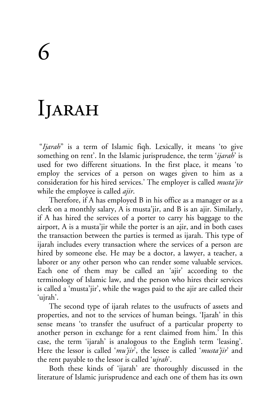# $\overline{6}$

# IJARAH

 "*Ijarah*" is a term of Islamic fiqh. Lexically, it means 'to give something on rent'. In the Islamic jurisprudence, the term '*ijarah*' is used for two different situations. In the first place, it means 'to employ the services of a person on wages given to him as a consideration for his hired services.' The employer is called *musta'jir* while the employee is called *ajir*.

Therefore, if A has employed B in his office as a manager or as a clerk on a monthly salary, A is musta'jir, and B is an ajir. Similarly, if A has hired the services of a porter to carry his baggage to the airport, A is a musta'jir while the porter is an ajir, and in both cases the transaction between the parties is termed as ijarah. This type of ijarah includes every transaction where the services of a person are hired by someone else. He may be a doctor, a lawyer, a teacher, a laborer or any other person who can render some valuable services. Each one of them may be called an 'ajir' according to the terminology of Islamic law, and the person who hires their services is called a 'musta'jir', while the wages paid to the ajir are called their 'ujrah'.

The second type of ijarah relates to the usufructs of assets and properties, and not to the services of human beings. 'Ijarah' in this sense means 'to transfer the usufruct of a particular property to another person in exchange for a rent claimed from him.' In this case, the term 'ijarah' is analogous to the English term 'leasing'. Here the lessor is called '*mu'jir*', the lessee is called '*musta'jir*' and the rent payable to the lessor is called '*ujrah*'.

Both these kinds of 'ijarah' are thoroughly discussed in the literature of Islamic jurisprudence and each one of them has its own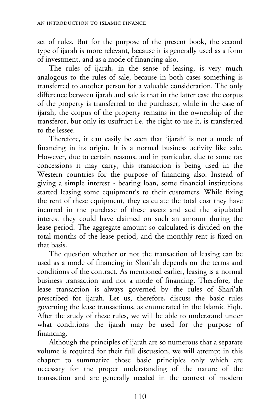set of rules. But for the purpose of the present book, the second type of ijarah is more relevant, because it is generally used as a form of investment, and as a mode of financing also.

The rules of ijarah, in the sense of leasing, is very much analogous to the rules of sale, because in both cases something is transferred to another person for a valuable consideration. The only difference between ijarah and sale is that in the latter case the corpus of the property is transferred to the purchaser, while in the case of ijarah, the corpus of the property remains in the ownership of the transferor, but only its usufruct i.e. the right to use it, is transferred to the lessee.

Therefore, it can easily be seen that 'ijarah' is not a mode of financing in its origin. It is a normal business activity like sale. However, due to certain reasons, and in particular, due to some tax concessions it may carry, this transaction is being used in the Western countries for the purpose of financing also. Instead of giving a simple interest - bearing loan, some financial institutions started leasing some equipment's to their customers. While fixing the rent of these equipment, they calculate the total cost they have incurred in the purchase of these assets and add the stipulated interest they could have claimed on such an amount during the lease period. The aggregate amount so calculated is divided on the total months of the lease period, and the monthly rent is fixed on that basis.

The question whether or not the transaction of leasing can be used as a mode of financing in Shari'ah depends on the terms and conditions of the contract. As mentioned earlier, leasing is a normal business transaction and not a mode of financing. Therefore, the lease transaction is always governed by the rules of Shari'ah prescribed for ijarah. Let us, therefore, discuss the basic rules governing the lease transactions, as enumerated in the Islamic Fiqh. After the study of these rules, we will be able to understand under what conditions the ijarah may be used for the purpose of financing.

Although the principles of ijarah are so numerous that a separate volume is required for their full discussion, we will attempt in this chapter to summarize those basic principles only which are necessary for the proper understanding of the nature of the transaction and are generally needed in the context of modern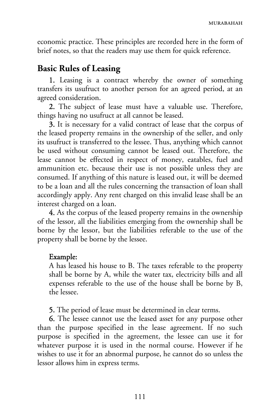economic practice. These principles are recorded here in the form of brief notes, so that the readers may use them for quick reference.

#### **Basic Rules of Leasing**

1. Leasing is a contract whereby the owner of something transfers its usufruct to another person for an agreed period, at an agreed consideration.

2. The subject of lease must have a valuable use. Therefore, things having no usufruct at all cannot be leased.

3. It is necessary for a valid contract of lease that the corpus of the leased property remains in the ownership of the seller, and only its usufruct is transferred to the lessee. Thus, anything which cannot be used without consuming cannot be leased out. Therefore, the lease cannot be effected in respect of money, eatables, fuel and ammunition etc. because their use is not possible unless they are consumed. If anything of this nature is leased out, it will be deemed to be a loan and all the rules concerning the transaction of loan shall accordingly apply. Any rent charged on this invalid lease shall be an interest charged on a loan.

4. As the corpus of the leased property remains in the ownership of the lessor, all the liabilities emerging from the ownership shall be borne by the lessor, but the liabilities referable to the use of the property shall be borne by the lessee.

#### Example:

A has leased his house to B. The taxes referable to the property shall be borne by A, while the water tax, electricity bills and all expenses referable to the use of the house shall be borne by B, the lessee.

5. The period of lease must be determined in clear terms.

6. The lessee cannot use the leased asset for any purpose other than the purpose specified in the lease agreement. If no such purpose is specified in the agreement, the lessee can use it for whatever purpose it is used in the normal course. However if he wishes to use it for an abnormal purpose, he cannot do so unless the lessor allows him in express terms.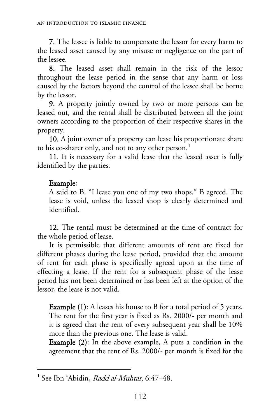<span id="page-111-0"></span>7. The lessee is liable to compensate the lessor for every harm to the leased asset caused by any misuse or negligence on the part of the lessee.

8. The leased asset shall remain in the risk of the lessor throughout the lease period in the sense that any harm or loss caused by the factors beyond the control of the lessee shall be borne by the lessor.

9. A property jointly owned by two or more persons can be leased out, and the rental shall be distributed between all the joint owners according to the proportion of their respective shares in the property.

10. A joint owner of a property can lease his proportionate share to his co-sharer only, and not to any other person.<sup>[1](#page-111-0)</sup>

11. It is necessary for a valid lease that the leased asset is fully identified by the parties.

#### Example:

 $\overline{a}$ 

A said to B. "I lease you one of my two shops." B agreed. The lease is void, unless the leased shop is clearly determined and identified.

12. The rental must be determined at the time of contract for the whole period of lease.

It is permissible that different amounts of rent are fixed for different phases during the lease period, provided that the amount of rent for each phase is specifically agreed upon at the time of effecting a lease. If the rent for a subsequent phase of the lease period has not been determined or has been left at the option of the lessor, the lease is not valid.

Example (1): A leases his house to B for a total period of 5 years. The rent for the first year is fixed as Rs. 2000/- per month and it is agreed that the rent of every subsequent year shall be 10% more than the previous one. The lease is valid.

Example (2): In the above example, A puts a condition in the agreement that the rent of Rs. 2000/- per month is fixed for the

<sup>&</sup>lt;sup>1</sup> See Ibn 'Abidin, *Radd al-Muhtar*, 6:47–48.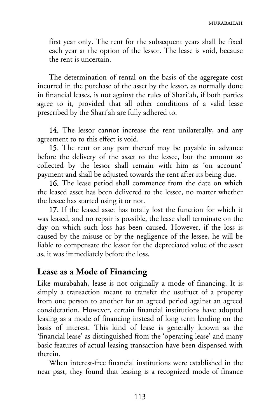first year only. The rent for the subsequent years shall be fixed each year at the option of the lessor. The lease is void, because the rent is uncertain.

The determination of rental on the basis of the aggregate cost incurred in the purchase of the asset by the lessor, as normally done in financial leases, is not against the rules of Shari'ah, if both parties agree to it, provided that all other conditions of a valid lease prescribed by the Shari'ah are fully adhered to.

14. The lessor cannot increase the rent unilaterally, and any agreement to to this effect is void.

15. The rent or any part thereof may be payable in advance before the delivery of the asset to the lessee, but the amount so collected by the lessor shall remain with him as 'on account' payment and shall be adjusted towards the rent after its being due.

16. The lease period shall commence from the date on which the leased asset has been delivered to the lessee, no matter whether the lessee has started using it or not.

17. If the leased asset has totally lost the function for which it was leased, and no repair is possible, the lease shall terminate on the day on which such loss has been caused. However, if the loss is caused by the misuse or by the negligence of the lessee, he will be liable to compensate the lessor for the depreciated value of the asset as, it was immediately before the loss.

#### **Lease as a Mode of Financing**

Like murabahah, lease is not originally a mode of financing. It is simply a transaction meant to transfer the usufruct of a property from one person to another for an agreed period against an agreed consideration. However, certain financial institutions have adopted leasing as a mode of financing instead of long term lending on the basis of interest. This kind of lease is generally known as the 'financial lease' as distinguished from the 'operating lease' and many basic features of actual leasing transaction have been dispensed with therein.

When interest-free financial institutions were established in the near past, they found that leasing is a recognized mode of finance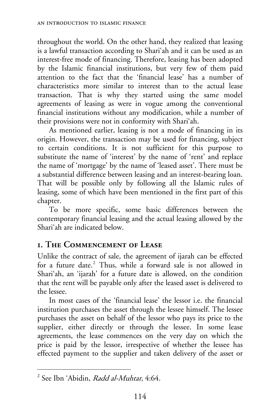<span id="page-113-0"></span>throughout the world. On the other hand, they realized that leasing is a lawful transaction according to Shari'ah and it can be used as an interest-free mode of financing. Therefore, leasing has been adopted by the Islamic financial institutions, but very few of them paid attention to the fact that the 'financial lease' has a number of characteristics more similar to interest than to the actual lease transaction. That is why they started using the same model agreements of leasing as were in vogue among the conventional financial institutions without any modification, while a number of their provisions were not in conformity with Shari'ah.

As mentioned earlier, leasing is not a mode of financing in its origin. However, the transaction may be used for financing, subject to certain conditions. It is not sufficient for this purpose to substitute the name of 'interest' by the name of 'rent' and replace the name of 'mortgage' by the name of 'leased asset'. There must be a substantial difference between leasing and an interest-bearing loan. That will be possible only by following all the Islamic rules of leasing, some of which have been mentioned in the first part of this chapter.

To be more specific, some basic differences between the contemporary financial leasing and the actual leasing allowed by the Shari'ah are indicated below.

#### **I. THE COMMENCEMENT OF LEASE**

Unlike the contract of sale, the agreement of ijarah can be effected for a future date.<sup>[2](#page-113-0)</sup> Thus, while a forward sale is not allowed in Shari'ah, an 'ijarah' for a future date is allowed, on the condition that the rent will be payable only after the leased asset is delivered to the lessee.

In most cases of the 'financial lease' the lessor i.e. the financial institution purchases the asset through the lessee himself. The lessee purchases the asset on behalf of the lessor who pays its price to the supplier, either directly or through the lessee. In some lease agreements, the lease commences on the very day on which the price is paid by the lessor, irrespective of whether the lessee has effected payment to the supplier and taken delivery of the asset or

<sup>&</sup>lt;sup>2</sup> See Ibn 'Abidin, *Radd al-Muhtar*, 4:64.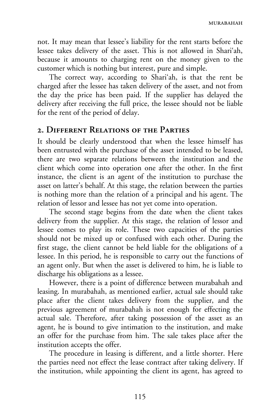**MURABAHAH** 

not. It may mean that lessee's liability for the rent starts before the lessee takes delivery of the asset. This is not allowed in Shari'ah, because it amounts to charging rent on the money given to the customer which is nothing but interest, pure and simple.

The correct way, according to Shari'ah, is that the rent be charged after the lessee has taken delivery of the asset, and not from the day the price has been paid. If the supplier has delayed the delivery after receiving the full price, the lessee should not be liable for the rent of the period of delay.

#### **2. DIFFERENT RELATIONS OF THE PARTIES**

It should be clearly understood that when the lessee himself has been entrusted with the purchase of the asset intended to be leased, there are two separate relations between the institution and the client which come into operation one after the other. In the first instance, the client is an agent of the institution to purchase the asset on latter's behalf. At this stage, the relation between the parties is nothing more than the relation of a principal and his agent. The relation of lessor and lessee has not yet come into operation.

The second stage begins from the date when the client takes delivery from the supplier. At this stage, the relation of lessor and lessee comes to play its role. These two capacities of the parties should not be mixed up or confused with each other. During the first stage, the client cannot be held liable for the obligations of a lessee. In this period, he is responsible to carry out the functions of an agent only. But when the asset is delivered to him, he is liable to discharge his obligations as a lessee.

However, there is a point of difference between murabahah and leasing. In murabahah, as mentioned earlier, actual sale should take place after the client takes delivery from the supplier, and the previous agreement of murabahah is not enough for effecting the actual sale. Therefore, after taking possession of the asset as an agent, he is bound to give intimation to the institution, and make an offer for the purchase from him. The sale takes place after the institution accepts the offer.

The procedure in leasing is different, and a little shorter. Here the parties need not effect the lease contract after taking delivery. If the institution, while appointing the client its agent, has agreed to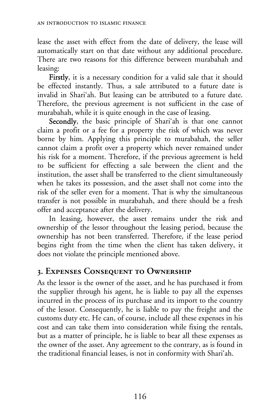lease the asset with effect from the date of delivery, the lease will automatically start on that date without any additional procedure. There are two reasons for this difference between murabahah and leasing:

Firstly, it is a necessary condition for a valid sale that it should be effected instantly. Thus, a sale attributed to a future date is invalid in Shari'ah. But leasing can be attributed to a future date. Therefore, the previous agreement is not sufficient in the case of murabahah, while it is quite enough in the case of leasing.

Secondly, the basic principle of Shari'ah is that one cannot claim a profit or a fee for a property the risk of which was never borne by him. Applying this principle to murabahah, the seller cannot claim a profit over a property which never remained under his risk for a moment. Therefore, if the previous agreement is held to be sufficient for effecting a sale between the client and the institution, the asset shall be transferred to the client simultaneously when he takes its possession, and the asset shall not come into the risk of the seller even for a moment. That is why the simultaneous transfer is not possible in murabahah, and there should be a fresh offer and acceptance after the delivery.

In leasing, however, the asset remains under the risk and ownership of the lessor throughout the leasing period, because the ownership has not been transferred. Therefore, if the lease period begins right from the time when the client has taken delivery, it does not violate the principle mentioned above.

#### **3. EXPENSES CONSEQUENT TO OWNERSHIP**

As the lessor is the owner of the asset, and he has purchased it from the supplier through his agent, he is liable to pay all the expenses incurred in the process of its purchase and its import to the country of the lessor. Consequently, he is liable to pay the freight and the customs duty etc. He can, of course, include all these expenses in his cost and can take them into consideration while fixing the rentals, but as a matter of principle, he is liable to bear all these expenses as the owner of the asset. Any agreement to the contrary, as is found in the traditional financial leases, is not in conformity with Shari'ah.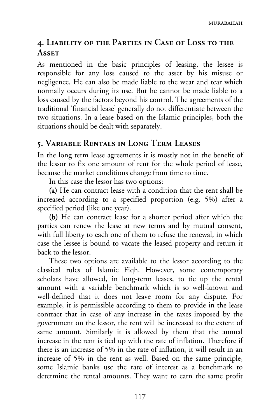## 4. LIABILITY OF THE PARTIES IN CASE OF LOSS TO THE **Asset**

As mentioned in the basic principles of leasing, the lessee is responsible for any loss caused to the asset by his misuse or negligence. He can also be made liable to the wear and tear which normally occurs during its use. But he cannot be made liable to a loss caused by the factors beyond his control. The agreements of the traditional 'financial lease' generally do not differentiate between the two situations. In a lease based on the Islamic principles, both the situations should be dealt with separately.

## 5. VARIABLE RENTALS IN LONG TERM LEASES

In the long term lease agreements it is mostly not in the benefit of the lessor to fix one amount of rent for the whole period of lease, because the market conditions change from time to time.

In this case the lessor has two options:

(a) He can contract lease with a condition that the rent shall be increased according to a specified proportion (e.g. 5%) after a specified period (like one year).

(b) He can contract lease for a shorter period after which the parties can renew the lease at new terms and by mutual consent, with full liberty to each one of them to refuse the renewal, in which case the lessee is bound to vacate the leased property and return it back to the lessor.

These two options are available to the lessor according to the classical rules of Islamic Fiqh. However, some contemporary scholars have allowed, in long-term leases, to tie up the rental amount with a variable benchmark which is so well-known and well-defined that it does not leave room for any dispute. For example, it is permissible according to them to provide in the lease contract that in case of any increase in the taxes imposed by the government on the lessor, the rent will be increased to the extent of same amount. Similarly it is allowed by them that the annual increase in the rent is tied up with the rate of inflation. Therefore if there is an increase of 5% in the rate of inflation, it will result in an increase of 5% in the rent as well. Based on the same principle, some Islamic banks use the rate of interest as a benchmark to determine the rental amounts. They want to earn the same profit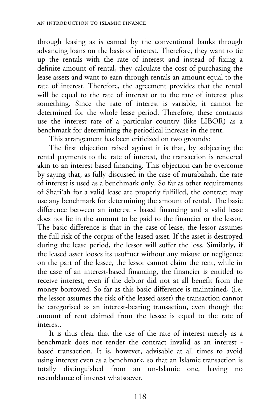through leasing as is earned by the conventional banks through advancing loans on the basis of interest. Therefore, they want to tie up the rentals with the rate of interest and instead of fixing a definite amount of rental, they calculate the cost of purchasing the lease assets and want to earn through rentals an amount equal to the rate of interest. Therefore, the agreement provides that the rental will be equal to the rate of interest or to the rate of interest plus something. Since the rate of interest is variable, it cannot be determined for the whole lease period. Therefore, these contracts use the interest rate of a particular country (like LIBOR) as a benchmark for determining the periodical increase in the rent.

This arrangement has been criticized on two grounds:

The first objection raised against it is that, by subjecting the rental payments to the rate of interest, the transaction is rendered akin to an interest based financing. This objection can be overcome by saying that, as fully discussed in the case of murabahah, the rate of interest is used as a benchmark only. So far as other requirements of Shari'ah for a valid lease are properly fulfilled, the contract may use any benchmark for determining the amount of rental. The basic difference between an interest - based financing and a valid lease does not lie in the amount to be paid to the financier or the lessor. The basic difference is that in the case of lease, the lessor assumes the full risk of the corpus of the leased asset. If the asset is destroyed during the lease period, the lessor will suffer the loss. Similarly, if the leased asset looses its usufruct without any misuse or negligence on the part of the lessee, the lessor cannot claim the rent, while in the case of an interest-based financing, the financier is entitled to receive interest, even if the debtor did not at all benefit from the money borrowed. So far as this basic difference is maintained, (i.e. the lessor assumes the risk of the leased asset) the transaction cannot be categorised as an interest-bearing transaction, even though the amount of rent claimed from the lessee is equal to the rate of interest.

It is thus clear that the use of the rate of interest merely as a benchmark does not render the contract invalid as an interest based transaction. It is, however, advisable at all times to avoid using interest even as a benchmark, so that an Islamic transaction is totally distinguished from an un-Islamic one, having no resemblance of interest whatsoever.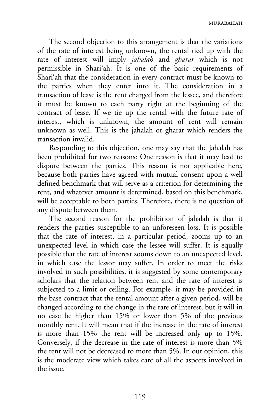The second objection to this arrangement is that the variations of the rate of interest being unknown, the rental tied up with the rate of interest will imply *jahalah* and *gharar* which is not permissible in Shari'ah. It is one of the basic requirements of Shari'ah that the consideration in every contract must be known to the parties when they enter into it. The consideration in a transaction of lease is the rent charged from the lessee, and therefore it must be known to each party right at the beginning of the contract of lease. If we tie up the rental with the future rate of interest, which is unknown, the amount of rent will remain unknown as well. This is the jahalah or gharar which renders the transaction invalid.

Responding to this objection, one may say that the jahalah has been prohibited for two reasons: One reason is that it may lead to dispute between the parties. This reason is not applicable here, because both parties have agreed with mutual consent upon a well defined benchmark that will serve as a criterion for determining the rent, and whatever amount is determined, based on this benchmark, will be acceptable to both parties. Therefore, there is no question of any dispute between them.

The second reason for the prohibition of jahalah is that it renders the parties susceptible to an unforeseen loss. It is possible that the rate of interest, in a particular period, zooms up to an unexpected level in which case the lessee will suffer. It is equally possible that the rate of interest zooms down to an unexpected level, in which case the lessor may suffer. In order to meet the risks involved in such possibilities, it is suggested by some contemporary scholars that the relation between rent and the rate of interest is subjected to a limit or ceiling. For example, it may be provided in the base contract that the rental amount after a given period, will be changed according to the change in the rate of interest, but it will in no case be higher than 15% or lower than 5% of the previous monthly rent. It will mean that if the increase in the rate of interest is more than 15% the rent will be increased only up to 15%. Conversely, if the decrease in the rate of interest is more than 5% the rent will not be decreased to more than 5%. In our opinion, this is the moderate view which takes care of all the aspects involved in the issue.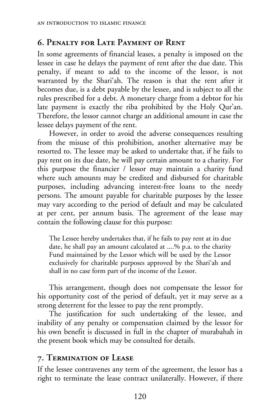#### **6. PENALTY FOR LATE PAYMENT OF RENT**

In some agreements of financial leases, a penalty is imposed on the lessee in case he delays the payment of rent after the due date. This penalty, if meant to add to the income of the lessor, is not warranted by the Shari'ah. The reason is that the rent after it becomes due, is a debt payable by the lessee, and is subject to all the rules prescribed for a debt. A monetary charge from a debtor for his late payment is exactly the riba prohibited by the Holy Qur'an. Therefore, the lessor cannot charge an additional amount in case the lessee delays payment of the rent.

However, in order to avoid the adverse consequences resulting from the misuse of this prohibition, another alternative may be resorted to. The lessee may be asked to undertake that, if he fails to pay rent on its due date, he will pay certain amount to a charity. For this purpose the financier / lessor may maintain a charity fund where such amounts may be credited and disbursed for charitable purposes, including advancing interest-free loans to the needy persons. The amount payable for charitable purposes by the lessee may vary according to the period of default and may be calculated at per cent, per annum basis. The agreement of the lease may contain the following clause for this purpose:

The Lessee hereby undertakes that, if he fails to pay rent at its due date, he shall pay an amount calculated at ....% p.a. to the charity Fund maintained by the Lessor which will be used by the Lessor exclusively for charitable purposes approved by the Shari'ah and shall in no case form part of the income of the Lessor.

This arrangement, though does not compensate the lessor for his opportunity cost of the period of default, yet it may serve as a strong deterrent for the lessee to pay the rent promptly.

The justification for such undertaking of the lessee, and inability of any penalty or compensation claimed by the lessor for his own benefit is discussed in full in the chapter of murabahah in the present book which may be consulted for details.

#### **7. TERMINATION OF LEASE**

If the lessee contravenes any term of the agreement, the lessor has a right to terminate the lease contract unilaterally. However, if there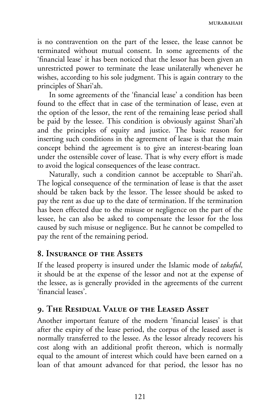is no contravention on the part of the lessee, the lease cannot be terminated without mutual consent. In some agreements of the 'financial lease' it has been noticed that the lessor has been given an unrestricted power to terminate the lease unilaterally whenever he wishes, according to his sole judgment. This is again contrary to the principles of Shari'ah.

In some agreements of the 'financial lease' a condition has been found to the effect that in case of the termination of lease, even at the option of the lessor, the rent of the remaining lease period shall be paid by the lessee. This condition is obviously against Shari'ah and the principles of equity and justice. The basic reason for inserting such conditions in the agreement of lease is that the main concept behind the agreement is to give an interest-bearing loan under the ostensible cover of lease. That is why every effort is made to avoid the logical consequences of the lease contract.

Naturally, such a condition cannot be acceptable to Shari'ah. The logical consequence of the termination of lease is that the asset should be taken back by the lessor. The lessee should be asked to pay the rent as due up to the date of termination. If the termination has been effected due to the misuse or negligence on the part of the lessee, he can also be asked to compensate the lessor for the loss caused by such misuse or negligence. But he cannot be compelled to pay the rent of the remaining period.

#### 8. Insurance of the Assets

If the leased property is insured under the Islamic mode of *takaful*, it should be at the expense of the lessor and not at the expense of the lessee, as is generally provided in the agreements of the current 'financial leases'.

#### 9. The Residual Value of the Leased Asset

Another important feature of the modern 'financial leases' is that after the expiry of the lease period, the corpus of the leased asset is normally transferred to the lessee. As the lessor already recovers his cost along with an additional profit thereon, which is normally equal to the amount of interest which could have been earned on a loan of that amount advanced for that period, the lessor has no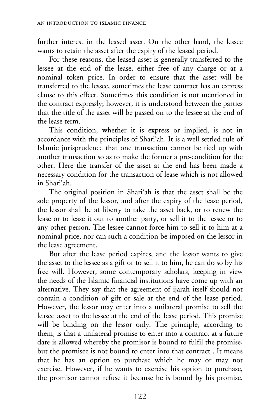further interest in the leased asset. On the other hand, the lessee wants to retain the asset after the expiry of the leased period.

For these reasons, the leased asset is generally transferred to the lessee at the end of the lease, either free of any charge or at a nominal token price. In order to ensure that the asset will be transferred to the lessee, sometimes the lease contract has an express clause to this effect. Sometimes this condition is not mentioned in the contract expressly; however, it is understood between the parties that the title of the asset will be passed on to the lessee at the end of the lease term.

This condition, whether it is express or implied, is not in accordance with the principles of Shari'ah. It is a well settled rule of Islamic jurisprudence that one transaction cannot be tied up with another transaction so as to make the former a pre-condition for the other. Here the transfer of the asset at the end has been made a necessary condition for the transaction of lease which is not allowed in Shari'ah.

The original position in Shari'ah is that the asset shall be the sole property of the lessor, and after the expiry of the lease period, the lessor shall be at liberty to take the asset back, or to renew the lease or to lease it out to another party, or sell it to the lessee or to any other person. The lessee cannot force him to sell it to him at a nominal price, nor can such a condition be imposed on the lessor in the lease agreement.

But after the lease period expires, and the lessor wants to give the asset to the lessee as a gift or to sell it to him, he can do so by his free will. However, some contemporary scholars, keeping in view the needs of the Islamic financial institutions have come up with an alternative. They say that the agreement of ijarah itself should not contain a condition of gift or sale at the end of the lease period. However, the lessor may enter into a unilateral promise to sell the leased asset to the lessee at the end of the lease period. This promise will be binding on the lessor only. The principle, according to them, is that a unilateral promise to enter into a contract at a future date is allowed whereby the promisor is bound to fulfil the promise, but the promisee is not bound to enter into that contract . It means that he has an option to purchase which he may or may not exercise. However, if he wants to exercise his option to purchase, the promisor cannot refuse it because he is bound by his promise.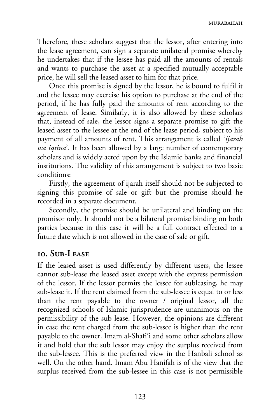Therefore, these scholars suggest that the lessor, after entering into the lease agreement, can sign a separate unilateral promise whereby he undertakes that if the lessee has paid all the amounts of rentals and wants to purchase the asset at a specified mutually acceptable price, he will sell the leased asset to him for that price.

Once this promise is signed by the lessor, he is bound to fulfil it and the lessee may exercise his option to purchase at the end of the period, if he has fully paid the amounts of rent according to the agreement of lease. Similarly, it is also allowed by these scholars that, instead of sale, the lessor signs a separate promise to gift the leased asset to the lessee at the end of the lease period, subject to his payment of all amounts of rent. This arrangement is called '*ijarah wa iqtina*'. It has been allowed by a large number of contemporary scholars and is widely acted upon by the Islamic banks and financial institutions. The validity of this arrangement is subject to two basic conditions:

Firstly, the agreement of ijarah itself should not be subjected to signing this promise of sale or gift but the promise should he recorded in a separate document.

Secondly, the promise should be unilateral and binding on the promisor only. It should not be a bilateral promise binding on both parties because in this case it will be a full contract effected to a future date which is not allowed in the case of sale or gift.

#### IO. SUB-LEASE

If the leased asset is used differently by different users, the lessee cannot sub-lease the leased asset except with the express permission of the lessor. If the lessor permits the lessee for subleasing, he may sub-lease it. If the rent claimed from the sub-lessee is equal to or less than the rent payable to the owner / original lessor, all the recognized schools of Islamic jurisprudence are unanimous on the permissibility of the sub lease. However, the opinions are different in case the rent charged from the sub-lessee is higher than the rent payable to the owner. Imam al-Shafi'i and some other scholars allow it and hold that the sub lessor may enjoy the surplus received from the sub-lessee. This is the preferred view in the Hanbali school as well. On the other hand. Imam Abu Hanifah is of the view that the surplus received from the sub-lessee in this case is not permissible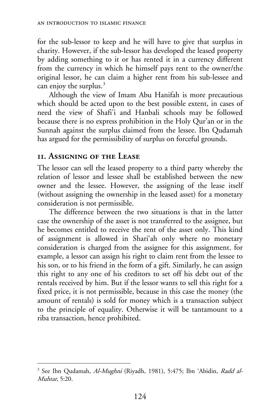<span id="page-123-0"></span>for the sub-lessor to keep and he will have to give that surplus in charity. However, if the sub-lessor has developed the leased property by adding something to it or has rented it in a currency different from the currency in which he himself pays rent to the owner/the original lessor, he can claim a higher rent from his sub-lessee and can enjoy the surplus.<sup>[3](#page-123-0)</sup>

Although the view of Imam Abu Hanifah is more precautious which should be acted upon to the best possible extent, in cases of need the view of Shafi'i and Hanbali schools may be followed because there is no express prohibition in the Holy Qur'an or in the Sunnah against the surplus claimed from the lessee. Ibn Qudamah has argued for the permissibility of surplus on forceful grounds.

#### **NUGGEE** LEASE

 $\overline{a}$ 

The lessor can sell the leased property to a third party whereby the relation of lessor and lessee shall be established between the new owner and the lessee. However, the assigning of the lease itself (without assigning the ownership in the leased asset) for a monetary consideration is not permissible.

The difference between the two situations is that in the latter case the ownership of the asset is not transferred to the assignee, but he becomes entitled to receive the rent of the asset only. This kind of assignment is allowed in Shari'ah only where no monetary consideration is charged from the assignee for this assignment. for example, a lessor can assign his right to claim rent from the lessee to his son, or to his friend in the form of a gift. Similarly, he can assign this right to any one of his creditors to set off his debt out of the rentals received by him. But if the lessor wants to sell this right for a fixed price, it is not permissible, because in this case the money (the amount of rentals) is sold for money which is a transaction subject to the principle of equality. Otherwise it will be tantamount to a riba transaction, hence prohibited.

<sup>&</sup>lt;sup>3</sup> See Ibn Qudamah, Al-Mughni (Riyadh, 1981), 5:475; Ibn 'Abidin, Radd al-Muhtar, 5:20.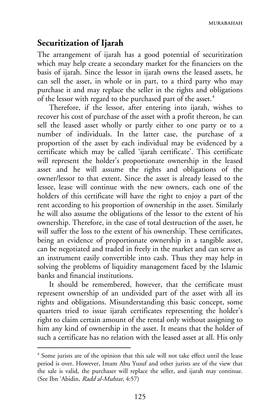**MURABAHAH** 

#### <span id="page-124-0"></span>**Securitization of Ijarah**

 $\overline{a}$ 

The arrangement of ijarah has a good potential of securitization which may help create a secondary market for the financiers on the basis of ijarah. Since the lessor in ijarah owns the leased assets, he can sell the asset, in whole or in part, to a third party who may purchase it and may replace the seller in the rights and obligations of the lessor with regard to the purchased part of the asset. $^4$  $^4$ 

Therefore, if the lessor, after entering into ijarah, wishes to recover his cost of purchase of the asset with a profit thereon, he can sell the leased asset wholly or partly either to one party or to a number of individuals. In the latter case, the purchase of a proportion of the asset by each individual may be evidenced by a certificate which may be called 'ijarah certificate'. This certificate will represent the holder's proportionate ownership in the leased asset and he will assume the rights and obligations of the owner/lessor to that extent. Since the asset is already leased to the lessee, lease will continue with the new owners, each one of the holders of this certificate will have the right to enjoy a part of the rent according to his proportion of ownership in the asset. Similarly he will also assume the obligations of the lessor to the extent of his ownership. Therefore, in the case of total destruction of the asset, he will suffer the loss to the extent of his ownership. These certificates, being an evidence of proportionate ownership in a tangible asset, can be negotiated and traded in freely in the market and can serve as an instrument easily convertible into cash. Thus they may help in solving the problems of liquidity management faced by the Islamic banks and financial institutions.

It should be remembered, however, that the certificate must represent ownership of an undivided part of the asset with all its rights and obligations. Misunderstanding this basic concept, some quarters tried to issue ijarah certificates representing the holder's right to claim certain amount of the rental only without assigning to him any kind of ownership in the asset. It means that the holder of such a certificate has no relation with the leased asset at all. His only

<sup>&</sup>lt;sup>4</sup> Some jurists are of the opinion that this sale will not take effect until the lease period is over. However, Imam Abu Yusuf and other jurists are of the view that the sale is valid, the purchaser will replace the seller, and ijarah may continue. (See Ibn 'Abidin, Radd al-Muhtar, 4:57)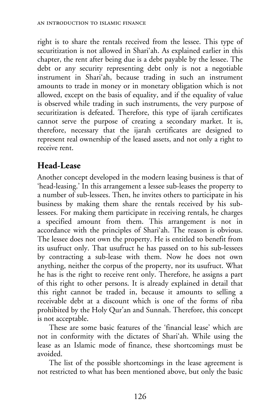right is to share the rentals received from the lessee. This type of securitization is not allowed in Shari'ah. As explained earlier in this chapter, the rent after being due is a debt payable by the lessee. The debt or any security representing debt only is not a negotiable instrument in Shari'ah, because trading in such an instrument amounts to trade in money or in monetary obligation which is not allowed, except on the basis of equality, and if the equality of value is observed while trading in such instruments, the very purpose of securitization is defeated. Therefore, this type of ijarah certificates cannot serve the purpose of creating a secondary market. It is, therefore, necessary that the ijarah certificates are designed to represent real ownership of the leased assets, and not only a right to receive rent.

# **Head-Lease**

Another concept developed in the modern leasing business is that of 'head-leasing.' In this arrangement a lessee sub-leases the property to a number of sub-lessees. Then, he invites others to participate in his business by making them share the rentals received by his sublessees. For making them participate in receiving rentals, he charges a specified amount from them. This arrangement is not in accordance with the principles of Shari'ah. The reason is obvious. The lessee does not own the property. He is entitled to benefit from its usufruct only. That usufruct he has passed on to his sub-lessees by contracting a sub-lease with them. Now he does not own anything, neither the corpus of the property, nor its usufruct. What he has is the right to receive rent only. Therefore, he assigns a part of this right to other persons. It is already explained in detail that this right cannot be traded in, because it amounts to selling a receivable debt at a discount which is one of the forms of riba prohibited by the Holy Qur'an and Sunnah. Therefore, this concept is not acceptable.

These are some basic features of the 'financial lease' which are not in conformity with the dictates of Shari'ah. While using the lease as an Islamic mode of finance, these shortcomings must be avoided.

The list of the possible shortcomings in the lease agreement is not restricted to what has been mentioned above, but only the basic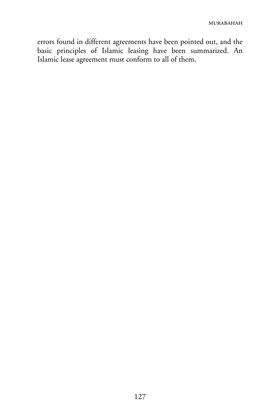errors found in different agreements have been pointed out, and the basic principles of Islamic leasing have been summarized. An Islamic lease agreement must conform to all of them.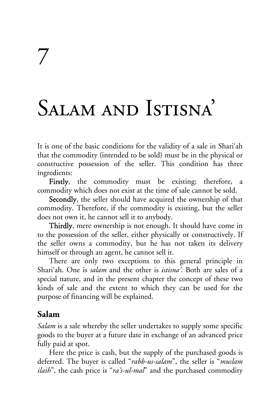# SALAM AND ISTISNA

It is one of the basic conditions for the validity of a sale in Shari'ah that the commodity (intended to be sold) must be in the physical or constructive possession of the seller. This condition has three ingredients:

Firstly, the commodity must be existing; therefore, a commodity which does not exist at the time of sale cannot be sold.

Secondly, the seller should have acquired the ownership of that commodity. Therefore, if the commodity is existing, but the seller does not own it, he cannot sell it to anybody.

Thirdly, mere ownership is not enough. It should have come in to the possession of the seller, either physically or constructively. If the seller owns a commodity, but he has not taken its delivery himself or through an agent, he cannot sell it.

There are only two exceptions to this general principle in Shari'ah. One is *salam* and the other is *istisna'*. Both are sales of a special nature, and in the present chapter the concept of these two kinds of sale and the extent to which they can be used for the purpose of financing will be explained.

# **Salam**

*Salam* is a sale whereby the seller undertakes to supply some specific goods to the buyer at a future date in exchange of an advanced price fully paid at spot.

Here the price is cash, but the supply of the purchased goods is deferred. The buyer is called "*rabb-us-salam*", the seller is "*muslam ilaih*", the cash price is "*ra's-ul-mal*" and the purchased commodity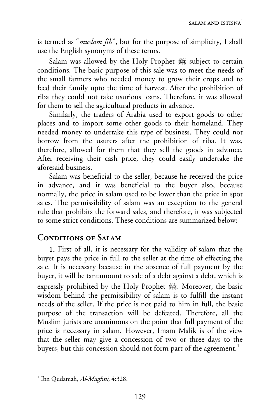<span id="page-128-0"></span>is termed as "*muslam fih*", but for the purpose of simplicity, I shall use the English synonyms of these terms.

Salam was allowed by the Holy Prophet صلى الله عليه وسلم subject to certain conditions. The basic purpose of this sale was to meet the needs of the small farmers who needed money to grow their crops and to feed their family upto the time of harvest. After the prohibition of riba they could not take usurious loans. Therefore, it was allowed for them to sell the agricultural products in advance.

Similarly, the traders of Arabia used to export goods to other places and to import some other goods to their homeland. They needed money to undertake this type of business. They could not borrow from the usurers after the prohibition of riba. It was, therefore, allowed for them that they sell the goods in advance. After receiving their cash price, they could easily undertake the aforesaid business.

Salam was beneficial to the seller, because he received the price in advance, and it was beneficial to the buyer also, because normally, the price in salam used to be lower than the price in spot sales. The permissibility of salam was an exception to the general rule that prohibits the forward sales, and therefore, it was subjected to some strict conditions. These conditions are summarized below:

#### **CONDITIONS OF SALAM**

1. First of all, it is necessary for the validity of salam that the buyer pays the price in full to the seller at the time of effecting the sale. It is necessary because in the absence of full payment by the buyer, it will be tantamount to sale of a debt against a debt, which is expressly prohibited by the Holy Prophet صلى الله عليه وسلم. Moreover, the basic wisdom behind the permissibility of salam is to fulfill the instant needs of the seller. If the price is not paid to him in full, the basic purpose of the transaction will be defeated. Therefore, all the Muslim jurists are unanimous on the point that full payment of the price is necessary in salam. However, Imam Malik is of the view that the seller may give a concession of two or three days to the buyers, but this concession should not form part of the agreement. $^1$  $^1$ 

<sup>&</sup>lt;sup>1</sup> Ibn Qudamah, Al-Mughni, 4:328.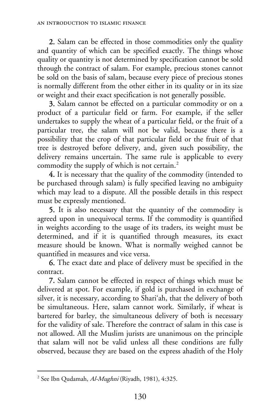<span id="page-129-0"></span>2. Salam can be effected in those commodities only the quality and quantity of which can be specified exactly. The things whose quality or quantity is not determined by specification cannot be sold through the contract of salam. For example, precious stones cannot be sold on the basis of salam, because every piece of precious stones is normally different from the other either in its quality or in its size or weight and their exact specification is not generally possible.

3. Salam cannot be effected on a particular commodity or on a product of a particular field or farm. For example, if the seller undertakes to supply the wheat of a particular field, or the fruit of a particular tree, the salam will not be valid, because there is a possibility that the crop of that particular field or the fruit of that tree is destroyed before delivery, and, given such possibility, the delivery remains uncertain. The same rule is applicable to every commodity the supply of which is not certain. $2$ 

4. It is necessary that the quality of the commodity (intended to be purchased through salam) is fully specified leaving no ambiguity which may lead to a dispute. All the possible details in this respect must be expressly mentioned.

5. It is also necessary that the quantity of the commodity is agreed upon in unequivocal terms. If the commodity is quantified in weights according to the usage of its traders, its weight must be determined, and if it is quantified through measures, its exact measure should be known. What is normally weighed cannot be quantified in measures and vice versa.

6. The exact date and place of delivery must be specified in the contract.

7. Salam cannot be effected in respect of things which must be delivered at spot. For example, if gold is purchased in exchange of silver, it is necessary, according to Shari'ah, that the delivery of both be simultaneous. Here, salam cannot work. Similarly, if wheat is bartered for barley, the simultaneous delivery of both is necessary for the validity of sale. Therefore the contract of salam in this case is not allowed. All the Muslim jurists are unanimous on the principle that salam will not be valid unless all these conditions are fully observed, because they are based on the express ahadith of the Holy

<sup>&</sup>lt;sup>2</sup> See Ibn Qudamah, Al-Mughni (Riyadh, 1981), 4:325.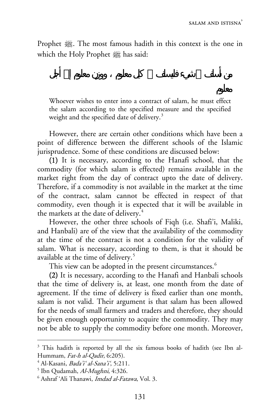<span id="page-130-0"></span>Prophet  $\mathcal{L}$ . The most famous hadith in this context is the one in which the Holy Prophet  $\frac{100}{200}$  has said:

Whoever wishes to enter into a contract of salam, he must effect the salam according to the specified measure and the specified weight and the specified date of delivery.<sup>[3](#page-130-0)</sup>

However, there are certain other conditions which have been a point of difference between the different schools of the Islamic jurisprudence. Some of these conditions are discussed below:

(1) It is necessary, according to the Hanafi school, that the commodity (for which salam is effected) remains available in the market right from the day of contract upto the date of delivery. Therefore, if a commodity is not available in the market at the time of the contract, salam cannot be effected in respect of that commodity, even though it is expected that it will be available in the markets at the date of delivery.<sup>[4](#page-130-0)</sup>

However, the other three schools of Fiqh (i.e. Shafi'i, Maliki, and Hanbali) are of the view that the availability of the commodity at the time of the contract is not a condition for the validity of salam. What is necessary, according to them, is that it should be available at the time of delivery.<sup>[5](#page-130-0)</sup>

This view can be adopted in the present circumstances. $^6$  $^6$ 

(2) It is necessary, according to the Hanafi and Hanbali schools that the time of delivery is, at least, one month from the date of agreement. If the time of delivery is fixed earlier than one month, salam is not valid. Their argument is that salam has been allowed for the needs of small farmers and traders and therefore, they should be given enough opportunity to acquire the commodity. They may not be able to supply the commodity before one month. Moreover,

<sup>&</sup>lt;sup>3</sup> This hadith is reported by all the six famous books of hadith (see Ibn al-Hummam, Fat-h al-Qadir, 6:205).

<sup>&</sup>lt;sup>4</sup> Al-Kasani, *Bada'i' al-Sana'i'*, 5:211.

 $<sup>5</sup>$  Ibn Qudamah, Al-Mughni, 4:326.</sup>

<sup>&</sup>lt;sup>6</sup> Ashraf ʿAli Thanawi, *Imdad al-Fatawa*, Vol. 3.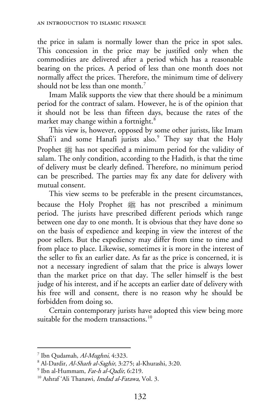<span id="page-131-0"></span>the price in salam is normally lower than the price in spot sales. This concession in the price may be justified only when the commodities are delivered after a period which has a reasonable bearing on the prices. A period of less than one month does not normally affect the prices. Therefore, the minimum time of delivery should not be less than one month. $^7$  $^7$ 

Imam Malik supports the view that there should be a minimum period for the contract of salam. However, he is of the opinion that it should not be less than fifteen days, because the rates of the market may change within a fortnight.<sup>[8](#page-131-0)</sup>

This view is, however, opposed by some other jurists, like Imam Shafi'i and some Hanafi jurists also.<sup>[9](#page-131-0)</sup> They say that the Holy Prophet  $\frac{100}{200}$  has not specified a minimum period for the validity of salam. The only condition, according to the Hadith, is that the time of delivery must be clearly defined. Therefore, no minimum period can be prescribed. The parties may fix any date for delivery with mutual consent.

This view seems to be preferable in the present circumstances, because the Holy Prophet steps has not prescribed a minimum period. The jurists have prescribed different periods which range between one day to one month. It is obvious that they have done so on the basis of expedience and keeping in view the interest of the poor sellers. But the expediency may differ from time to time and from place to place. Likewise, sometimes it is more in the interest of the seller to fix an earlier date. As far as the price is concerned, it is not a necessary ingredient of salam that the price is always lower than the market price on that day. The seller himself is the best judge of his interest, and if he accepts an earlier date of delivery with his free will and consent, there is no reason why he should be forbidden from doing so.

Certain contemporary jurists have adopted this view being more suitable for the modern transactions. $10$ 

<sup>&</sup>lt;sup>7</sup> Ibn Qudamah, *Al-Mughni*, 4:323.<br><sup>8 Al</sup> Derdir, *Al Sharb al Saghir*, 3:27

<sup>&</sup>lt;sup>8</sup> Al-Dardir, *Al-Sharh al-Saghir*, 3:275; al-Khurashi, 3:20.<br><sup>9</sup> Ibn al-Hummam, *Fat-h al-Qadir*, 6:219.

<sup>&</sup>lt;sup>10</sup> Ashraf 'Ali Thanawi, Imdad al-Fatawa, Vol. 3.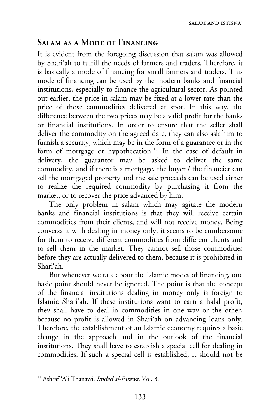## <span id="page-132-0"></span>**SALAM AS A MODE OF FINANCING**

It is evident from the foregoing discussion that salam was allowed by Shari'ah to fulfill the needs of farmers and traders. Therefore, it is basically a mode of financing for small farmers and traders. This mode of financing can be used by the modern banks and financial institutions, especially to finance the agricultural sector. As pointed out earlier, the price in salam may be fixed at a lower rate than the price of those commodities delivered at spot. In this way, the difference between the two prices may be a valid profit for the banks or financial institutions. In order to ensure that the seller shall deliver the commodity on the agreed date, they can also ask him to furnish a security, which may be in the form of a guarantee or in the form of mortgage or hypothecation.<sup>[11](#page-132-0)</sup> In the case of default in delivery, the guarantor may be asked to deliver the same commodity, and if there is a mortgage, the buyer / the financier can sell the mortgaged property and the sale proceeds can be used either to realize the required commodity by purchasing it from the market, or to recover the price advanced by him.

The only problem in salam which may agitate the modern banks and financial institutions is that they will receive certain commodities from their clients, and will not receive money. Being conversant with dealing in money only, it seems to be cumbersome for them to receive different commodities from different clients and to sell them in the market. They cannot sell those commodities before they are actually delivered to them, because it is prohibited in Shari'ah.

But whenever we talk about the Islamic modes of financing, one basic point should never be ignored. The point is that the concept of the financial institutions dealing in money only is foreign to Islamic Shari'ah. If these institutions want to earn a halal profit, they shall have to deal in commodities in one way or the other, because no profit is allowed in Shari'ah on advancing loans only. Therefore, the establishment of an Islamic economy requires a basic change in the approach and in the outlook of the financial institutions. They shall have to establish a special cell for dealing in commodities. If such a special cell is established, it should not be

<sup>&</sup>lt;sup>11</sup> Ashraf 'Ali Thanawi, *Imdad al-Fatawa*, Vol. 3.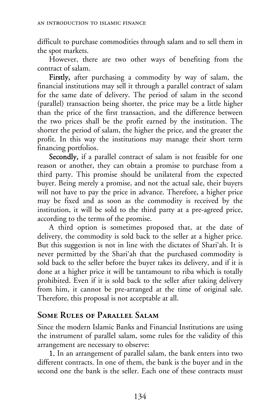difficult to purchase commodities through salam and to sell them in the spot markets.

However, there are two other ways of benefiting from the contract of salam.

Firstly, after purchasing a commodity by way of salam, the financial institutions may sell it through a parallel contract of salam for the same date of delivery. The period of salam in the second (parallel) transaction being shorter, the price may be a little higher than the price of the first transaction, and the difference between the two prices shall be the profit earned by the institution. The shorter the period of salam, the higher the price, and the greater the profit. In this way the institutions may manage their short term financing portfolios.

Secondly, if a parallel contract of salam is not feasible for one reason or another, they can obtain a promise to purchase from a third party. This promise should be unilateral from the expected buyer. Being merely a promise, and not the actual sale, their buyers will not have to pay the price in advance. Therefore, a higher price may be fixed and as soon as the commodity is received by the institution, it will be sold to the third party at a pre-agreed price, according to the terms of the promise.

A third option is sometimes proposed that, at the date of delivery, the commodity is sold back to the seller at a higher price. But this suggestion is not in line with the dictates of Shari'ah. It is never permitted by the Shari'ah that the purchased commodity is sold back to the seller before the buyer takes its delivery, and if it is done at a higher price it will be tantamount to riba which is totally prohibited. Even if it is sold back to the seller after taking delivery from him, it cannot be pre-arranged at the time of original sale. Therefore, this proposal is not acceptable at all.

#### **SOME RULES OF PARALLEL SALAM**

Since the modern Islamic Banks and Financial Institutions are using the instrument of parallel salam, some rules for the validity of this arrangement are necessary to observe:

1. In an arrangement of parallel salam, the bank enters into two different contracts. In one of them, the bank is the buyer and in the second one the bank is the seller. Each one of these contracts must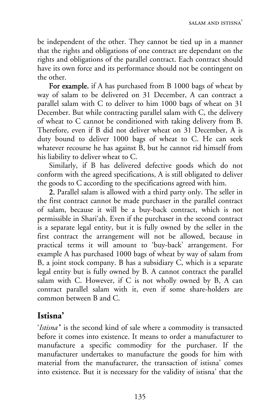be independent of the other. They cannot be tied up in a manner that the rights and obligations of one contract are dependant on the rights and obligations of the parallel contract. Each contract should have its own force and its performance should not be contingent on the other.

For example, if A has purchased from B 1000 bags of wheat by way of salam to be delivered on 31 December, A can contract a parallel salam with C to deliver to him 1000 bags of wheat on 31 December. But while contracting parallel salam with C, the delivery of wheat to C cannot be conditioned with taking delivery from B. Therefore, even if B did not deliver wheat on 31 December, A is duty bound to deliver 1000 bags of wheat to C. He can seek whatever recourse he has against B, but he cannot rid himself from his liability to deliver wheat to C.

Similarly, if B has delivered defective goods which do not conform with the agreed specifications, A is still obligated to deliver the goods to C according to the specifications agreed with him.

2. Parallel salam is allowed with a third party only. The seller in the first contract cannot be made purchaser in the parallel contract of salam, because it will be a buy-back contract, which is not permissible in Shari'ah. Even if the purchaser in the second contract is a separate legal entity, but it is fully owned by the seller in the first contract the arrangement will not be allowed, because in practical terms it will amount to 'buy-back' arrangement. For example A has purchased 1000 bags of wheat by way of salam from B, a joint stock company. B has a subsidiary C, which is a separate legal entity but is fully owned by B. A cannot contract the parallel salam with C. However, if C is not wholly owned by B, A can contract parallel salam with it, even if some share-holders are common between B and C.

# **Istisna'**

'*Istisna'*' is the second kind of sale where a commodity is transacted before it comes into existence. It means to order a manufacturer to manufacture a specific commodity for the purchaser. If the manufacturer undertakes to manufacture the goods for him with material from the manufacturer, the transaction of istisna' comes into existence. But it is necessary for the validity of istisna' that the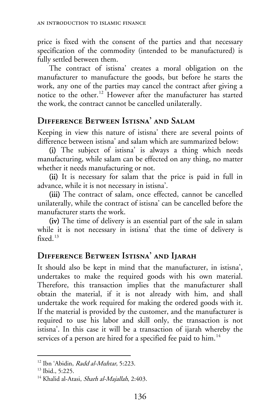<span id="page-135-0"></span>price is fixed with the consent of the parties and that necessary specification of the commodity (intended to be manufactured) is fully settled between them.

The contract of istisna' creates a moral obligation on the manufacturer to manufacture the goods, but before he starts the work, any one of the parties may cancel the contract after giving a notice to the other.[12](#page-135-0) However after the manufacturer has started the work, the contract cannot be cancelled unilaterally.

# DIFFERENCE BETWEEN ISTISNA<sup>'</sup> AND SALAM

Keeping in view this nature of istisna' there are several points of difference between istisna' and salam which are summarized below:

(i) The subject of istisna' is always a thing which needs manufacturing, while salam can be effected on any thing, no matter whether it needs manufacturing or not.

(ii) It is necessary for salam that the price is paid in full in advance, while it is not necessary in istisna'.

(iii) The contract of salam, once effected, cannot be cancelled unilaterally, while the contract of istisna' can be cancelled before the manufacturer starts the work.

(iv) The time of delivery is an essential part of the sale in salam while it is not necessary in istisna' that the time of delivery is fixed. $13$ 

# DIFFERENCE BETWEEN ISTISNA<sup>'</sup> AND IJARAH

It should also be kept in mind that the manufacturer, in istisna', undertakes to make the required goods with his own material. Therefore, this transaction implies that the manufacturer shall obtain the material, if it is not already with him, and shall undertake the work required for making the ordered goods with it. If the material is provided by the customer, and the manufacturer is required to use his labor and skill only, the transaction is not istisna'. In this case it will be a transaction of ijarah whereby the services of a person are hired for a specified fee paid to him.<sup>[14](#page-135-0)</sup>

<sup>&</sup>lt;sup>12</sup> Ibn 'Abidin, *Radd al-Muhtar*, 5:223.<br><sup>13</sup> Ibid., 5:225.

<sup>&</sup>lt;sup>14</sup> Khalid al-Atasi, *Sharh al-Majallah*, 2:403.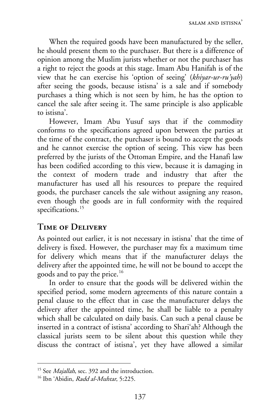<span id="page-136-0"></span>When the required goods have been manufactured by the seller, he should present them to the purchaser. But there is a difference of opinion among the Muslim jurists whether or not the purchaser has a right to reject the goods at this stage. Imam Abu Hanifah is of the view that he can exercise his 'option of seeing' (*khiyar-ur-ru'yah*) after seeing the goods, because istisna' is a sale and if somebody purchases a thing which is not seen by him, he has the option to cancel the sale after seeing it. The same principle is also applicable to istisna'.

However, Imam Abu Yusuf says that if the commodity conforms to the specifications agreed upon between the parties at the time of the contract, the purchaser is bound to accept the goods and he cannot exercise the option of seeing. This view has been preferred by the jurists of the Ottoman Empire, and the Hanafi law has been codified according to this view, because it is damaging in the context of modern trade and industry that after the manufacturer has used all his resources to prepare the required goods, the purchaser cancels the sale without assigning any reason, even though the goods are in full conformity with the required specifications.<sup>[15](#page-136-0)</sup>

#### **TIME OF DELIVERY**

As pointed out earlier, it is not necessary in istisna' that the time of delivery is fixed. However, the purchaser may fix a maximum time for delivery which means that if the manufacturer delays the delivery after the appointed time, he will not be bound to accept the goods and to pay the price.<sup>[16](#page-136-0)</sup>

In order to ensure that the goods will be delivered within the specified period, some modern agreements of this nature contain a penal clause to the effect that in case the manufacturer delays the delivery after the appointed time, he shall be liable to a penalty which shall be calculated on daily basis. Can such a penal clause be inserted in a contract of istisna' according to Shari'ah? Although the classical jurists seem to be silent about this question while they discuss the contract of istisna', yet they have allowed a similar

<sup>&</sup>lt;sup>15</sup> See *Majallah*, sec. 392 and the introduction.<br><sup>16</sup> Ibn 'Abidin, *Radd al-Muhtar*, 5:225.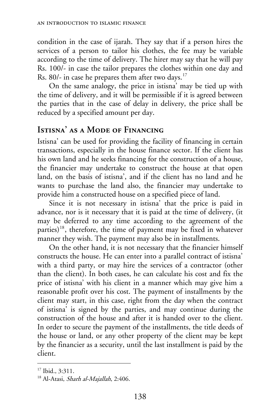<span id="page-137-0"></span>condition in the case of ijarah. They say that if a person hires the services of a person to tailor his clothes, the fee may be variable according to the time of delivery. The hirer may say that he will pay Rs. 100/- in case the tailor prepares the clothes within one day and Rs. 80/- in case he prepares them after two days. $17$ 

On the same analogy, the price in istisna' may be tied up with the time of delivery, and it will be permissible if it is agreed between the parties that in the case of delay in delivery, the price shall be reduced by a specified amount per day.

## **ISTISNA<sup>,</sup> AS A MODE OF FINANCING**

Istisna' can be used for providing the facility of financing in certain transactions, especially in the house finance sector. If the client has his own land and he seeks financing for the construction of a house, the financier may undertake to construct the house at that open land, on the basis of istisna', and if the client has no land and he wants to purchase the land also, the financier may undertake to provide him a constructed house on a specified piece of land.

Since it is not necessary in istisna' that the price is paid in advance, nor is it necessary that it is paid at the time of delivery, (it may be deferred to any time according to the agreement of the parties)<sup>[18](#page-137-0)</sup>, therefore, the time of payment may be fixed in whatever manner they wish. The payment may also be in installments.

On the other hand, it is not necessary that the financier himself constructs the house. He can enter into a parallel contract of istisna' with a third party, or may hire the services of a contractor (other than the client). In both cases, he can calculate his cost and fix the price of istisna' with his client in a manner which may give him a reasonable profit over his cost. The payment of installments by the client may start, in this case, right from the day when the contract of istisna' is signed by the parties, and may continue during the construction of the house and after it is handed over to the client. In order to secure the payment of the installments, the title deeds of the house or land, or any other property of the client may be kept by the financier as a security, until the last installment is paid by the client.

 $17$  Ibid.,  $3:311$ .

<sup>&</sup>lt;sup>18</sup> Al-Atasi, Sharh al-Majallah, 2:406.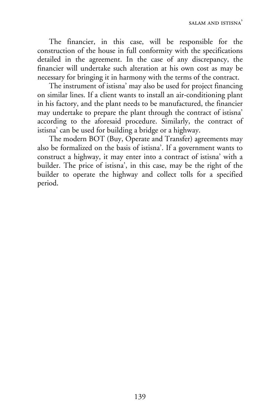The financier, in this case, will be responsible for the construction of the house in full conformity with the specifications detailed in the agreement. In the case of any discrepancy, the financier will undertake such alteration at his own cost as may be necessary for bringing it in harmony with the terms of the contract.

The instrument of istisna' may also be used for project financing on similar lines. If a client wants to install an air-conditioning plant in his factory, and the plant needs to be manufactured, the financier may undertake to prepare the plant through the contract of istisna' according to the aforesaid procedure. Similarly, the contract of istisna' can be used for building a bridge or a highway.

The modern BOT (Buy, Operate and Transfer) agreements may also be formalized on the basis of istisna'. If a government wants to construct a highway, it may enter into a contract of istisna' with a builder. The price of istisna', in this case, may be the right of the builder to operate the highway and collect tolls for a specified period.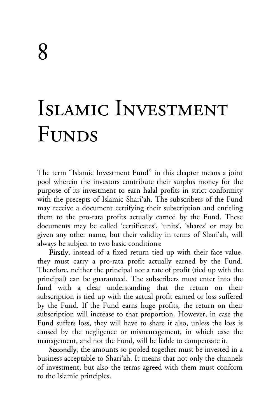# **ISLAMIC INVESTMENT** FUNDS

The term "Islamic Investment Fund" in this chapter means a joint pool wherein the investors contribute their surplus money for the purpose of its investment to earn halal profits in strict conformity with the precepts of Islamic Shari'ah. The subscribers of the Fund may receive a document certifying their subscription and entitling them to the pro-rata profits actually earned by the Fund. These documents may be called 'certificates', 'units', 'shares' or may be given any other name, but their validity in terms of Shari'ah, will always be subject to two basic conditions:

Firstly, instead of a fixed return tied up with their face value, they must carry a pro-rata profit actually earned by the Fund. Therefore, neither the principal nor a rate of profit (tied up with the principal) can be guaranteed. The subscribers must enter into the fund with a clear understanding that the return on their subscription is tied up with the actual profit earned or loss suffered by the Fund. If the Fund earns huge profits, the return on their subscription will increase to that proportion. However, in case the Fund suffers loss, they will have to share it also, unless the loss is caused by the negligence or mismanagement, in which case the management, and not the Fund, will be liable to compensate it.

Secondly, the amounts so pooled together must be invested in a business acceptable to Shari'ah. It means that not only the channels of investment, but also the terms agreed with them must conform to the Islamic principles.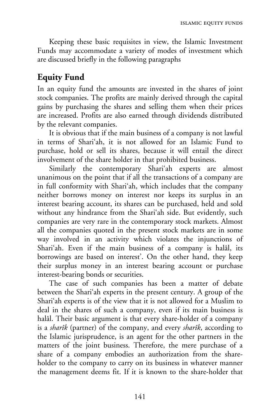Keeping these basic requisites in view, the Islamic Investment Funds may accommodate a variety of modes of investment which are discussed briefly in the following paragraphs

# **Equity Fund**

In an equity fund the amounts are invested in the shares of joint stock companies. The profits are mainly derived through the capital gains by purchasing the shares and selling them when their prices are increased. Profits are also earned through dividends distributed by the relevant companies.

It is obvious that if the main business of a company is not lawful in terms of Shari'ah, it is not allowed for an Islamic Fund to purchase, hold or sell its shares, because it will entail the direct involvement of the share holder in that prohibited business.

Similarly the contemporary Shari'ah experts are almost unanimous on the point that if all the transactions of a company are in full conformity with Shari'ah, which includes that the company neither borrows money on interest nor keeps its surplus in an interest bearing account, its shares can be purchased, held and sold without any hindrance from the Shari'ah side. But evidently, such companies are very rare in the contemporary stock markets. Almost all the companies quoted in the present stock markets are in some way involved in an activity which violates the injunctions of Shari'ah. Even if the main business of a company is halâl, its borrowings are based on interest'. On the other hand, they keep their surplus money in an interest bearing account or purchase interest-bearing bonds or securities.

The case of such companies has been a matter of debate between the Shari'ah experts in the present century. A group of the Shari'ah experts is of the view that it is not allowed for a Muslim to deal in the shares of such a company, even if its main business is halâl. Their basic argument is that every share-holder of a company is a *sharîk* (partner) of the company, and every *sharîk*, according to the Islamic jurisprudence, is an agent for the other partners in the matters of the joint business. Therefore, the mere purchase of a share of a company embodies an authorization from the shareholder to the company to carry on its business in whatever manner the management deems fit. If it is known to the share-holder that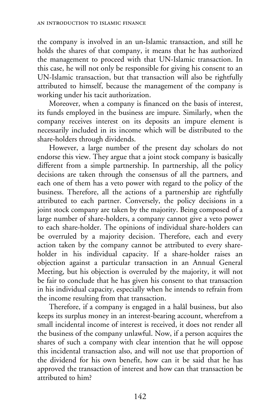the company is involved in an un-Islamic transaction, and still he holds the shares of that company, it means that he has authorized the management to proceed with that UN-Islamic transaction. In this case, he will not only be responsible for giving his consent to an UN-Islamic transaction, but that transaction will also be rightfully attributed to himself, because the management of the company is working under his tacit authorization.

Moreover, when a company is financed on the basis of interest, its funds employed in the business are impure. Similarly, when the company receives interest on its deposits an impure element is necessarily included in its income which will be distributed to the share-holders through dividends.

However, a large number of the present day scholars do not endorse this view. They argue that a joint stock company is basically different from a simple partnership. In partnership, all the policy decisions are taken through the consensus of all the partners, and each one of them has a veto power with regard to the policy of the business. Therefore, all the actions of a partnership are rightfully attributed to each partner. Conversely, the policy decisions in a joint stock company are taken by the majority. Being composed of a large number of share-holders, a company cannot give a veto power to each share-holder. The opinions of individual share-holders can be overruled by a majority decision. Therefore, each and every action taken by the company cannot be attributed to every shareholder in his individual capacity. If a share-holder raises an objection against a particular transaction in an Annual General Meeting, but his objection is overruled by the majority, it will not be fair to conclude that he has given his consent to that transaction in his individual capacity, especially when he intends to refrain from the income resulting from that transaction.

Therefore, if a company is engaged in a halâl business, but also keeps its surplus money in an interest-bearing account, wherefrom a small incidental income of interest is received, it does not render all the business of the company unlawful. Now, if a person acquires the shares of such a company with clear intention that he will oppose this incidental transaction also, and will not use that proportion of the dividend for his own benefit, how can it be said that he has approved the transaction of interest and how can that transaction be attributed to him?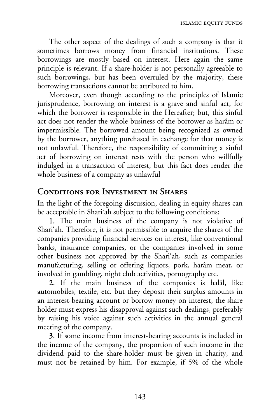The other aspect of the dealings of such a company is that it sometimes borrows money from financial institutions. These borrowings are mostly based on interest. Here again the same principle is relevant. If a share-holder is not personally agreeable to such borrowings, but has been overruled by the majority, these borrowing transactions cannot be attributed to him.

Moreover, even though according to the principles of Islamic jurisprudence, borrowing on interest is a grave and sinful act, for which the borrower is responsible in the Hereafter; but, this sinful act does not render the whole business of the borrower as harâm or impermissible. The borrowed amount being recognized as owned by the borrower, anything purchased in exchange for that money is not unlawful. Therefore, the responsibility of committing a sinful act of borrowing on interest rests with the person who willfully indulged in a transaction of interest, but this fact does render the whole business of a company as unlawful

#### CONDITIONS FOR INVESTMENT IN SHARES

In the light of the foregoing discussion, dealing in equity shares can be acceptable in Shari'ah subject to the following conditions:

1. The main business of the company is not violative of Shari'ah. Therefore, it is not permissible to acquire the shares of the companies providing financial services on interest, like conventional banks, insurance companies, or the companies involved in some other business not approved by the Shari'ah, such as companies manufacturing, selling or offering liquors, pork, harâm meat, or involved in gambling, night club activities, pornography etc.

2. If the main business of the companies is halâl, like automobiles, textile, etc. but they deposit their surplus amounts in an interest-bearing account or borrow money on interest, the share holder must express his disapproval against such dealings, preferably by raising his voice against such activities in the annual general meeting of the company.

3. If some income from interest-bearing accounts is included in the income of the company, the proportion of such income in the dividend paid to the share-holder must be given in charity, and must not be retained by him. For example, if 5% of the whole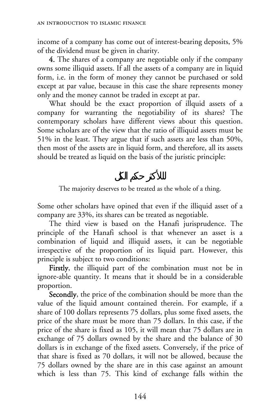income of a company has come out of interest-bearing deposits, 5% of the dividend must be given in charity.

4. The shares of a company are negotiable only if the company owns some illiquid assets. If all the assets of a company are in liquid form, i.e. in the form of money they cannot be purchased or sold except at par value, because in this case the share represents money only and the money cannot be traded in except at par.

What should be the exact proportion of illquid assets of a company for warranting the negotiability of its shares? The contemporary scholars have different views about this question. Some scholars are of the view that the ratio of illiquid assets must be 51% in the least. They argue that if such assets are less than 50%, then most of the assets are in liquid form, and therefore, all its assets should be treated as liquid on the basis of the juristic principle:

The majority deserves to be treated as the whole of a thing.

Some other scholars have opined that even if the illiquid asset of a company are 33%, its shares can be treated as negotiable.

The third view is based on the Hanafi jurisprudence. The principle of the Hanafi school is that whenever an asset is a combination of liquid and illiquid assets, it can be negotiable irrespective of the proportion of its liquid part. However, this principle is subject to two conditions:

Firstly, the illiquid part of the combination must not be in ignore-able quantity. It means that it should be in a considerable proportion.

Secondly, the price of the combination should be more than the value of the liquid amount contained therein. For example, if a share of 100 dollars represents 75 dollars, plus some fixed assets, the price of the share must be more than 75 dollars. In this case, if the price of the share is fixed as 105, it will mean that 75 dollars are in exchange of 75 dollars owned by the share and the balance of 30 dollars is in exchange of the fixed assets. Conversely, if the price of that share is fixed as 70 dollars, it will not be allowed, because the 75 dollars owned by the share are in this case against an amount which is less than 75. This kind of exchange falls within the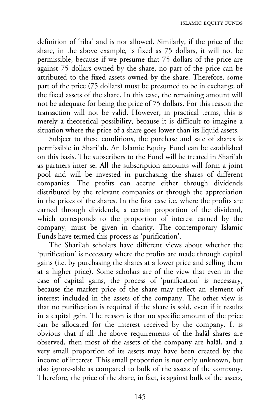definition of 'riba' and is not allowed. Similarly, if the price of the share, in the above example, is fixed as 75 dollars, it will not be permissible, because if we presume that 75 dollars of the price are against 75 dollars owned by the share, no part of the price can be attributed to the fixed assets owned by the share. Therefore, some part of the price (75 dollars) must be presumed to be in exchange of the fixed assets of the share. In this case, the remaining amount will not be adequate for being the price of 75 dollars. For this reason the transaction will not be valid. However, in practical terms, this is merely a theoretical possibility, because it is difficult to imagine a situation where the price of a share goes lower than its liquid assets.

Subject to these conditions, the purchase and sale of shares is permissible in Shari'ah. An Islamic Equity Fund can be established on this basis. The subscribers to the Fund will be treated in Shari'ah as partners inter se. All the subscription amounts will form a joint pool and will be invested in purchasing the shares of different companies. The profits can accrue either through dividends distributed by the relevant companies or through the appreciation in the prices of the shares. In the first case i.e. where the profits are earned through dividends, a certain proportion of the dividend, which corresponds to the proportion of interest earned by the company, must be given in charity. The contemporary Islamic Funds have termed this process as 'purification'.

The Shari'ah scholars have different views about whether the 'purification' is necessary where the profits are made through capital gains (i.e. by purchasing the shares at a lower price and selling them at a higher price). Some scholars are of the view that even in the case of capital gains, the process of 'purification' is necessary, because the market price of the share may reflect an element of interest included in the assets of the company. The other view is that no purification is required if the share is sold, even if it results in a capital gain. The reason is that no specific amount of the price can be allocated for the interest received by the company. It is obvious that if all the above requirements of the halâl shares are observed, then most of the assets of the company are halâl, and a very small proportion of its assets may have been created by the income of interest. This small proportion is not only unknown, but also ignore-able as compared to bulk of the assets of the company. Therefore, the price of the share, in fact, is against bulk of the assets,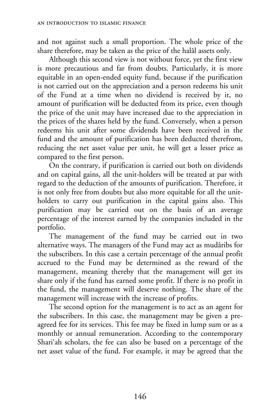and not against such a small proportion. The whole price of the share therefore, may be taken as the price of the halâl assets only.

Although this second view is not without force, yet the first view is more precautious and far from doubts. Particularly, it is more equitable in an open-ended equity fund, because if the purification is not carried out on the appreciation and a person redeems his unit of the Fund at a time when no dividend is received by it, no amount of purification will be deducted from its price, even though the price of the unit may have increased due to the appreciation in the prices of the shares held by the fund. Conversely, when a person redeems his unit after some dividends have been received in the fund and the amount of purification has been deducted therefrom, reducing the net asset value per unit, he will get a lesser price as compared to the first person.

On the contrary, if purification is carried out both on dividends and on capital gains, all the unit-holders will be treated at par with regard to the deduction of the amounts of purification. Therefore, it is not only free from doubts but also more equitable for all the unitholders to carry out purification in the capital gains also. This purification may be carried out on the basis of an average percentage of the interest earned by the companies included in the portfolio.

The management of the fund may be carried out in two alternative ways. The managers of the Fund may act as mudâribs for the subscribers. In this case a certain percentage of the annual profit accrued to the Fund may be determined as the reward of the management, meaning thereby that the management will get its share only if the fund has earned some profit. If there is no profit in the fund, the management will deserve nothing. The share of the management will increase with the increase of profits.

The second option for the management is to act as an agent for the subscribers. In this case, the management may be given a preagreed fee for its services. This fee may be fixed in lump sum or as a monthly or annual remuneration. According to the contemporary Shari'ah scholars, the fee can also be based on a percentage of the net asset value of the fund. For example, it may be agreed that the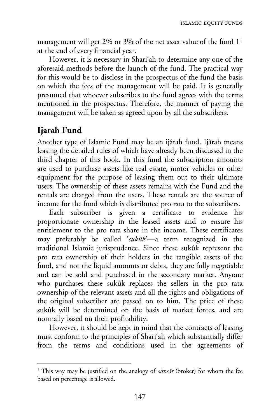<span id="page-146-0"></span>management will get 2% or 3% of the net asset value of the fund  $1<sup>1</sup>$  $1<sup>1</sup>$ at the end of every financial year.

However, it is necessary in Shari'ah to determine any one of the aforesaid methods before the launch of the fund. The practical way for this would be to disclose in the prospectus of the fund the basis on which the fees of the management will be paid. It is generally presumed that whoever subscribes to the fund agrees with the terms mentioned in the prospectus. Therefore, the manner of paying the management will be taken as agreed upon by all the subscribers.

#### **Ijarah Fund**

 $\overline{a}$ 

Another type of Islamic Fund may be an ijârah fund. Ijârah means leasing the detailed rules of which have already been discussed in the third chapter of this book. In this fund the subscription amounts are used to purchase assets like real estate, motor vehicles or other equipment for the purpose of leasing them out to their ultimate users. The ownership of these assets remains with the Fund and the rentals are charged from the users. These rentals are the source of income for the fund which is distributed pro rata to the subscribers.

Each subscriber is given a certificate to evidence his proportionate ownership in the leased assets and to ensure his entitlement to the pro rata share in the income. These certificates may preferably be called '*sukûk*'—a term recognized in the traditional Islamic jurisprudence. Since these sukûk represent the pro rata ownership of their holders in the tangible assets of the fund, and not the liquid amounts or debts, they are fully negotiable and can be sold and purchased in the secondary market. Anyone who purchases these sukûk replaces the sellers in the pro rata ownership of the relevant assets and all the rights and obligations of the original subscriber are passed on to him. The price of these sukûk will be determined on the basis of market forces, and are normally based on their profitability.

However, it should be kept in mind that the contracts of leasing must conform to the principles of Shari'ah which substantially differ from the terms and conditions used in the agreements of

<sup>&</sup>lt;sup>1</sup> This way may be justified on the analogy of *simsâr* (broker) for whom the fee based on percentage is allowed.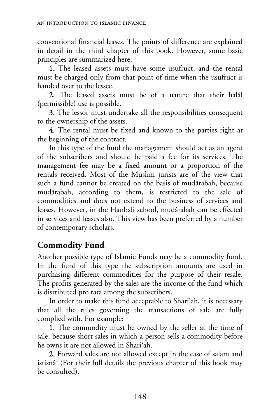conventional financial leases. The points of difference are explained in detail in the third chapter of this book. However, some basic principles are summarized here:

1. The leased assets must have some usufruct, and the rental must be charged only from that point of time when the usufruct is handed over to the lessee.

2. The leased assets must be of a nature that their halâl (permissible) use is possible.

3. The lessor must undertake all the responsibilities consequent to the ownership of the assets.

4. The rental must be fixed and known to the parties right at the beginning of the contract.

In this type of the fund the management should act as an agent of the subscribers and should be paid a fee for its services. The management fee may be a fixed amount or a proportion of the rentals received. Most of the Muslim jurists are of the view that such a fund cannot be created on the basis of mudârabah, because mudârabah, according to them, is restricted to the sale of commodities and does not extend to the business of services and leases. However, in the Hanbali school, mudârabah can be effected in services and leases also. This view has been preferred by a number of contemporary scholars.

#### **Commodity Fund**

Another possible type of Islamic Funds may be a commodity fund. In the fund of this type the subscription amounts are used in purchasing different commodities for the purpose of their resale. The profits generated by the sales are the income of the fund which is distributed pro rata among the subscribers.

In order to make this fund acceptable to Shari'ah, it is necessary that all the rules governing the transactions of sale are fully complied with. For example:

1. The commodity must be owned by the seller at the time of sale, because short sales in which a person sells a commodity before he owns it are not allowed in Shari'ah.

2. Forward sales are not allowed except in the case of salam and istisnâ' (For their full details the previous chapter of this book may be consulted).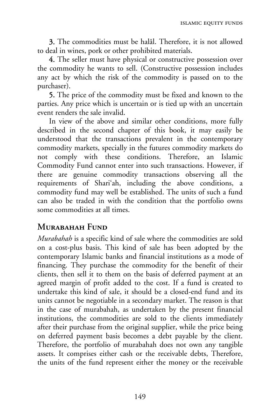3. The commodities must be halâl. Therefore, it is not allowed to deal in wines, pork or other prohibited materials.

4. The seller must have physical or constructive possession over the commodity he wants to sell. (Constructive possession includes any act by which the risk of the commodity is passed on to the purchaser).

5. The price of the commodity must be fixed and known to the parties. Any price which is uncertain or is tied up with an uncertain event renders the sale invalid.

In view of the above and similar other conditions, more fully described in the second chapter of this book, it may easily be understood that the transactions prevalent in the contemporary commodity markets, specially in the futures commodity markets do not comply with these conditions. Therefore, an Islamic Commodity Fund cannot enter into such transactions. However, if there are genuine commodity transactions observing all the requirements of Shari'ah, including the above conditions, a commodity fund may well be established. The units of such a fund can also be traded in with the condition that the portfolio owns some commodities at all times.

#### **MURABAHAH FUND**

*Murabahah* is a specific kind of sale where the commodities are sold on a cost-plus basis. This kind of sale has been adopted by the contemporary Islamic banks and financial institutions as a mode of financing. They purchase the commodity for the benefit of their clients, then sell it to them on the basis of deferred payment at an agreed margin of profit added to the cost. If a fund is created to undertake this kind of sale, it should be a closed-end fund and its units cannot be negotiable in a secondary market. The reason is that in the case of murabahah, as undertaken by the present financial institutions, the commodities are sold to the clients immediately after their purchase from the original supplier, while the price being on deferred payment basis becomes a debt payable by the client. Therefore, the portfolio of murabahah does not own any tangible assets. It comprises either cash or the receivable debts, Therefore, the units of the fund represent either the money or the receivable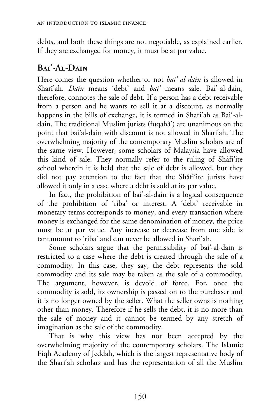debts, and both these things are not negotiable, as explained earlier. If they are exchanged for money, it must be at par value.

#### Bat<sup>3</sup>-Al-Dain

Here comes the question whether or not *bai'-al-dain* is allowed in Sharî'ah. *Dain* means 'debt' and *bai'* means sale. Bai'-al-dain, therefore, connotes the sale of debt. If a person has a debt receivable from a person and he wants to sell it at a discount, as normally happens in the bills of exchange, it is termed in Sharî'ah as Bai'-aldain. The traditional Muslim jurists (fuqahâ') are unanimous on the point that bai'al-dain with discount is not allowed in Shari'ah. The overwhelming majority of the contemporary Muslim scholars are of the same view. However, some scholars of Malaysia have allowed this kind of sale. They normally refer to the ruling of Shâfi'ite school wherein it is held that the sale of debt is allowed, but they did not pay attention to the fact that the Shâfi'ite jurists have allowed it only in a case where a debt is sold at its par value.

In fact, the prohibition of bai'-al-dain is a logical consequence of the prohibition of 'riba' or interest. A 'debt' receivable in monetary terms corresponds to money, and every transaction where money is exchanged for the same denomination of money, the price must be at par value. Any increase or decrease from one side is tantamount to 'riba' and can never be allowed in Shari'ah.

Some scholars argue that the permissibility of bai'-al-dain is restricted to a case where the debt is created through the sale of a commodity. In this case, they say, the debt represents the sold commodity and its sale may be taken as the sale of a commodity. The argument, however, is devoid of force. For, once the commodity is sold, its ownership is passed on to the purchaser and it is no longer owned by the seller. What the seller owns is nothing other than money. Therefore if he sells the debt, it is no more than the sale of money and it cannot be termed by any stretch of imagination as the sale of the commodity.

That is why this view has not been accepted by the overwhelming majority of the contemporary scholars. The Islamic Fiqh Academy of Jeddah, which is the largest representative body of the Shari'ah scholars and has the representation of all the Muslim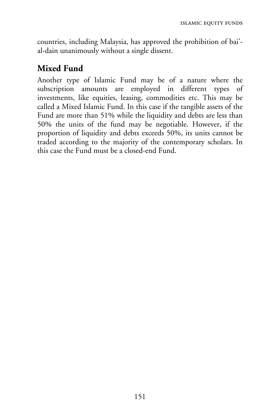countries, including Malaysia, has approved the prohibition of bai' al-dain unanimously without a single dissent.

#### **Mixed Fund**

Another type of Islamic Fund may be of a nature where the subscription amounts are employed in different types of investments, like equities, leasing, commodities etc. This may be called a Mixed Islamic Fund. In this case if the tangible assets of the Fund are more than 51% while the liquidity and debts are less than 50% the units of the fund may be negotiable. However, if the proportion of liquidity and debts exceeds 50%, its units cannot be traded according to the majority of the contemporary scholars. In this case the Fund must be a closed-end Fund.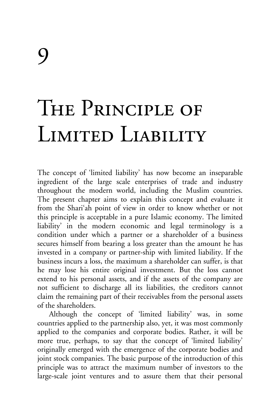# THE PRINCIPLE OF LIMITED LIABILITY

The concept of 'limited liability' has now become an inseparable ingredient of the large scale enterprises of trade and industry throughout the modern world, including the Muslim countries. The present chapter aims to explain this concept and evaluate it from the Shari'ah point of view in order to know whether or not this principle is acceptable in a pure Islamic economy. The limited liability' in the modern economic and legal terminology is a condition under which a partner or a shareholder of a business secures himself from bearing a loss greater than the amount he has invested in a company or partner-ship with limited liability. If the business incurs a loss, the maximum a shareholder can suffer, is that he may lose his entire original investment. But the loss cannot extend to his personal assets, and if the assets of the company are not sufficient to discharge all its liabilities, the creditors cannot claim the remaining part of their receivables from the personal assets of the shareholders.

Although the concept of 'limited liability' was, in some countries applied to the partnership also, yet, it was most commonly applied to the companies and corporate bodies. Rather, it will be more true, perhaps, to say that the concept of 'limited liability' originally emerged with the emergence of the corporate bodies and joint stock companies. The basic purpose of the introduction of this principle was to attract the maximum number of investors to the large-scale joint ventures and to assure them that their personal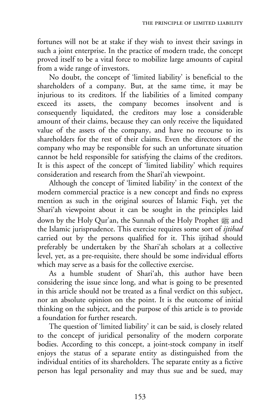fortunes will not be at stake if they wish to invest their savings in such a joint enterprise. In the practice of modern trade, the concept proved itself to be a vital force to mobilize large amounts of capital from a wide range of investors.

No doubt, the concept of 'limited liability' is beneficial to the shareholders of a company. But, at the same time, it may be injurious to its creditors. If the liabilities of a limited company exceed its assets, the company becomes insolvent and is consequently liquidated, the creditors may lose a considerable amount of their claims, because they can only receive the liquidated value of the assets of the company, and have no recourse to its shareholders for the rest of their claims. Even the directors of the company who may be responsible for such an unfortunate situation cannot be held responsible for satisfying the claims of the creditors. It is this aspect of the concept of 'limited liability' which requires consideration and research from the Shari'ah viewpoint.

Although the concept of 'limited liability' in the context of the modern commercial practice is a new concept and finds no express mention as such in the original sources of Islamic Fiqh, yet the Shari'ah viewpoint about it can be sought in the principles laid down by the Holy Qur'an, the Sunnah of the Holy Prophet  $\frac{160}{25}$  and the Islamic jurisprudence. This exercise requires some sort of *ijtihad* carried out by the persons qualified for it. This ijtihad should preferably be undertaken by the Shari'ah scholars at a collective level, yet, as a pre-requisite, there should be some individual efforts which may serve as a basis for the collective exercise.

As a humble student of Shari'ah, this author have been considering the issue since long, and what is going to be presented in this article should not be treated as a final verdict on this subject, nor an absolute opinion on the point. It is the outcome of initial thinking on the subject, and the purpose of this article is to provide a foundation for further research.

The question of 'limited liability' it can be said, is closely related to the concept of juridical personality of the modern corporate bodies. According to this concept, a joint-stock company in itself enjoys the status of a separate entity as distinguished from the individual entities of its shareholders. The separate entity as a fictive person has legal personality and may thus sue and be sued, may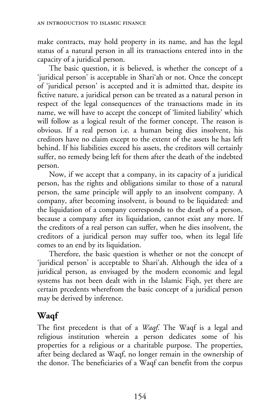make contracts, may hold property in its name, and has the legal status of a natural person in all its transactions entered into in the capacity of a juridical person.

The basic question, it is believed, is whether the concept of a 'juridical person' is acceptable in Shari'ah or not. Once the concept of 'juridical person' is accepted and it is admitted that, despite its fictive nature, a juridical person can be treated as a natural person in respect of the legal consequences of the transactions made in its name, we will have to accept the concept of 'limited liability' which will follow as a logical result of the former concept. The reason is obvious. If a real person i.e. a human being dies insolvent, his creditors have no claim except to the extent of the assets he has left behind. If his liabilities exceed his assets, the creditors will certainly suffer, no remedy being left for them after the death of the indebted person.

Now, if we accept that a company, in its capacity of a juridical person, has the rights and obligations similar to those of a natural person, the same principle will apply to an insolvent company. A company, after becoming insolvent, is bound to be liquidated: and the liquidation of a company corresponds to the death of a person, because a company after its liquidation, cannot exist any more. If the creditors of a real person can suffer, when he dies insolvent, the creditors of a juridical person may suffer too, when its legal life comes to an end by its liquidation.

Therefore, the basic question is whether or not the concept of 'juridical person' is acceptable to Shari'ah. Although the idea of a juridical person, as envisaged by the modern economic and legal systems has not been dealt with in the Islamic Fiqh, yet there are certain prcedents wherefrom the basic concept of a juridical person may be derived by inference.

### **Waqf**

The first precedent is that of a *Waqf*. The Waqf is a legal and religious institution wherein a person dedicates some of his properties for a religious or a charitable purpose. The properties, after being declared as Waqf, no longer remain in the ownership of the donor. The beneficiaries of a Waqf can benefit from the corpus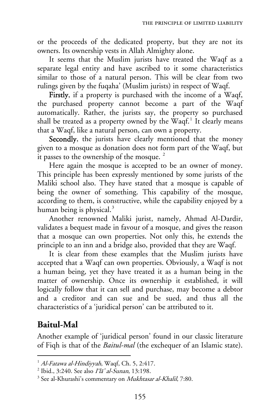<span id="page-154-0"></span>or the proceeds of the dedicated property, but they are not its owners. Its ownership vests in Allah Almighty alone.

It seems that the Muslim jurists have treated the Waqf as a separate legal entity and have ascribed to it some characteristics similar to those of a natural person. This will be clear from two rulings given by the fuqaha' (Muslim jurists) in respect of Waqf.

Firstly, if a property is purchased with the income of a Waqf, the purchased property cannot become a part of the Waqf automatically. Rather, the jurists say, the property so purchased shall be treated as a property owned by the  $W a q f.$ <sup>[1](#page-154-0)</sup> It clearly means that a Waqf, like a natural person, can own a property.

Secondly, the jurists have clearly mentioned that the money given to a mosque as donation does not form part of the Waqf, but it passes to the ownership of the mosque.<sup>[2](#page-154-0)</sup>

Here again the mosque is accepted to be an owner of money. This principle has been expressly mentioned by some jurists of the Maliki school also. They have stated that a mosque is capable of being the owner of something. This capability of the mosque, according to them, is constructive, while the capability enjoyed by a human being is physical. $3$ 

Another renowned Maliki jurist, namely, Ahmad Al-Dardir, validates a bequest made in favour of a mosque, and gives the reason that a mosque can own properties. Not only this, he extends the principle to an inn and a bridge also, provided that they are Waqf.

It is clear from these examples that the Muslim jurists have accepted that a Waqf can own properties. Obviously, a Waqf is not a human being, yet they have treated it as a human being in the matter of ownership. Once its ownership it established, it will logically follow that it can sell and purchase, may become a debtor and a creditor and can sue and be sued, and thus all the characteristics of a 'juridical person' can be attributed to it.

#### **Baitul-Mal**

 $\overline{a}$ 

Another example of 'juridical person' found in our classic literature of Fiqh is that of the *Baitul-mal* (the exchequer of an Islamic state).

 $1$  Al-Fatawa al-Hindiyyah, Waqf, Ch. 5, 2:417.

<sup>&</sup>lt;sup>2</sup> Ibid., 3:240. See also  $I'$ lã' al-Sunan, 13:198.

<sup>&</sup>lt;sup>3</sup> See al-Khurashi's commentary on *Mukhtasar al-Khalil*, 7:80.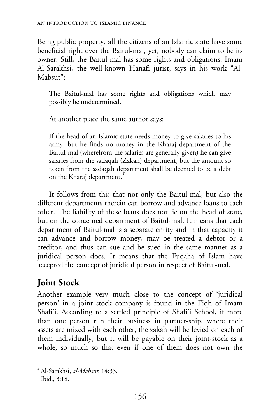<span id="page-155-0"></span>Being public property, all the citizens of an Islamic state have some beneficial right over the Baitul-mal, yet, nobody can claim to be its owner. Still, the Baitul-mal has some rights and obligations. Imam Al-Sarakhsi, the well-known Hanafi jurist, says in his work "Al-Mabsut":

The Baitul-mal has some rights and obligations which may possibly be undetermined.[4](#page-155-0)

At another place the same author says:

If the head of an Islamic state needs money to give salaries to his army, but he finds no money in the Kharaj department of the Baitul-mal (wherefrom the salaries are generally given) he can give salaries from the sadaqah (Zakah) department, but the amount so taken from the sadaqah department shall be deemed to be a debt on the Kharaj department.<sup>[5](#page-155-0)</sup>

It follows from this that not only the Baitul-mal, but also the different departments therein can borrow and advance loans to each other. The liability of these loans does not lie on the head of state, but on the concerned department of Baitul-mal. It means that each department of Baitul-mal is a separate entity and in that capacity it can advance and borrow money, may be treated a debtor or a creditor, and thus can sue and be sued in the same manner as a juridical person does. It means that the Fuqaha of Islam have accepted the concept of juridical person in respect of Baitul-mal.

### **Joint Stock**

Another example very much close to the concept of 'juridical person' in a joint stock company is found in the Fiqh of Imam Shafi'i. According to a settled principle of Shafi'i School, if more than one person run their business in partner-ship, where their assets are mixed with each other, the zakah will be levied on each of them individually, but it will be payable on their joint-stock as a whole, so much so that even if one of them does not own the

 $\overline{a}$ 

<sup>&</sup>lt;sup>4</sup> Al-Sarakhsi, *al-Mabsut*, 14:33.<br><sup>5</sup> Ibid - 3:18

 $<sup>5</sup>$  Ibid., 3:18.</sup>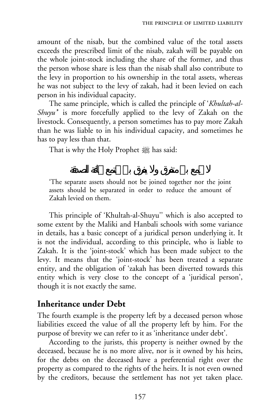amount of the nisab, but the combined value of the total assets exceeds the prescribed limit of the nisab, zakah will be payable on the whole joint-stock including the share of the former, and thus the person whose share is less than the nisab shall also contribute to the levy in proportion to his ownership in the total assets, whereas he was not subject to the levy of zakah, had it been levied on each person in his individual capacity.

The same principle, which is called the principle of '*Khultah-al-Shuyu'*' is more forcefully applied to the levy of Zakah on the livestock. Consequently, a person sometimes has to pay more Zakah than he was liable to in his individual capacity, and sometimes he has to pay less than that.

That is why the Holy Prophet  $\frac{100}{25}$  has said:

'The separate assets should not be joined together nor the joint assets should be separated in order to reduce the amount of Zakah levied on them.

This principle of 'Khultah-al-Shuyu'' which is also accepted to some extent by the Maliki and Hanbali schools with some variance in details, has a basic concept of a juridical person underlying it. It is not the individual, according to this principle, who is liable to Zakah. It is the 'joint-stock' which has been made subject to the levy. It means that the 'joint-stock' has been treated a separate entity, and the obligation of 'zakah has been diverted towards this entity which is very close to the concept of a 'juridical person', though it is not exactly the same.

#### **Inheritance under Debt**

The fourth example is the property left by a deceased person whose liabilities exceed the value of all the property left by him. For the purpose of brevity we can refer to it as 'inheritance under debt'.

According to the jurists, this property is neither owned by the deceased, because he is no more alive, nor is it owned by his heirs, for the debts on the deceased have a preferential right over the property as compared to the rights of the heirs. It is not even owned by the creditors, because the settlement has not yet taken place.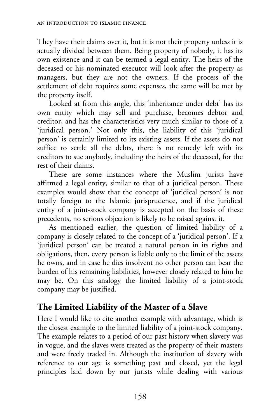They have their claims over it, but it is not their property unless it is actually divided between them. Being property of nobody, it has its own existence and it can be termed a legal entity. The heirs of the deceased or his nominated executor will look after the property as managers, but they are not the owners. If the process of the settlement of debt requires some expenses, the same will be met by the property itself.

Looked at from this angle, this 'inheritance under debt' has its own entity which may sell and purchase, becomes debtor and creditor, and has the characteristics very much similar to those of a 'juridical person.' Not only this, the liability of this 'juridical person' is certainly limited to its existing assets. If the assets do not suffice to settle all the debts, there is no remedy left with its creditors to sue anybody, including the heirs of the deceased, for the rest of their claims.

These are some instances where the Muslim jurists have affirmed a legal entity, similar to that of a juridical person. These examples would show that the concept of 'juridical person' is not totally foreign to the Islamic jurisprudence, and if the juridical entity of a joint-stock company is accepted on the basis of these precedents, no serious objection is likely to be raised against it.

As mentioned earlier, the question of limited liability of a company is closely related to the concept of a 'juridical person'. If a 'juridical person' can be treated a natural person in its rights and obligations, then, every person is liable only to the limit of the assets he owns, and in case he dies insolvent no other person can bear the burden of his remaining liabilities, however closely related to him he may be. On this analogy the limited liability of a joint-stock company may be justified.

#### **The Limited Liability of the Master of a Slave**

Here I would like to cite another example with advantage, which is the closest example to the limited liability of a joint-stock company. The example relates to a period of our past history when slavery was in vogue, and the slaves were treated as the property of their masters and were freely traded in. Although the institution of slavery with reference to our age is something past and closed, yet the legal principles laid down by our jurists while dealing with various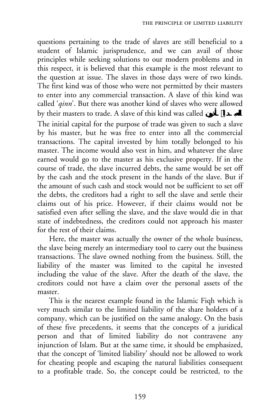questions pertaining to the trade of slaves are still beneficial to a student of Islamic jurisprudence, and we can avail of those principles while seeking solutions to our modern problems and in this respect, it is believed that this example is the most relevant to the question at issue. The slaves in those days were of two kinds. The first kind was of those who were not permitted by their masters to enter into any commercial transaction. A slave of this kind was called '*qinn*'. But there was another kind of slaves who were allowed by their masters to trade. A slave of this kind was called

The initial capital for the purpose of trade was given to such a slave by his master, but he was free to enter into all the commercial transactions. The capital invested by him totally belonged to his master. The income would also vest in him, and whatever the slave earned would go to the master as his exclusive property. If in the course of trade, the slave incurred debts, the same would be set off by the cash and the stock present in the hands of the slave. But if the amount of such cash and stock would not be sufficient to set off the debts, the creditors had a right to sell the slave and settle their claims out of his price. However, if their claims would not be satisfied even after selling the slave, and the slave would die in that state of indebtedness, the creditors could not approach his master for the rest of their claims.

Here, the master was actually the owner of the whole business, the slave being merely an intermediary tool to carry out the business transactions. The slave owned nothing from the business. Still, the liability of the master was limited to the capital he invested including the value of the slave. After the death of the slave, the creditors could not have a claim over the personal assets of the master.

This is the nearest example found in the Islamic Fiqh which is very much similar to the limited liability of the share holders of a company, which can be justified on the same analogy. On the basis of these five precedents, it seems that the concepts of a juridical person and that of limited liability do not contravene any injunction of Islam. But at the same time, it should be emphasized, that the concept of 'limited liability' should not be allowed to work for cheating people and escaping the natural liabilities consequent to a profitable trade. So, the concept could be restricted, to the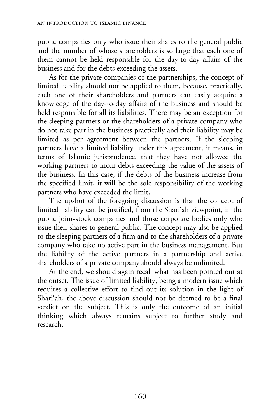public companies only who issue their shares to the general public and the number of whose shareholders is so large that each one of them cannot be held responsible for the day-to-day affairs of the business and for the debts exceeding the assets.

As for the private companies or the partnerships, the concept of limited liability should not be applied to them, because, practically, each one of their shareholders and partners can easily acquire a knowledge of the day-to-day affairs of the business and should be held responsible for all its liabilities. There may be an exception for the sleeping partners or the shareholders of a private company who do not take part in the business practically and their liability may be limited as per agreement between the partners. If the sleeping partners have a limited liability under this agreement, it means, in terms of Islamic jurisprudence, that they have not allowed the working partners to incur debts exceeding the value of the assets of the business. In this case, if the debts of the business increase from the specified limit, it will be the sole responsibility of the working partners who have exceeded the limit.

The upshot of the foregoing discussion is that the concept of limited liability can be justified, from the Shari'ah viewpoint, in the public joint-stock companies and those corporate bodies only who issue their shares to general public. The concept may also be applied to the sleeping partners of a firm and to the shareholders of a private company who take no active part in the business management. But the liability of the active partners in a partnership and active shareholders of a private company should always be unlimited.

At the end, we should again recall what has been pointed out at the outset. The issue of limited liability, being a modern issue which requires a collective effort to find out its solution in the light of Shari'ah, the above discussion should not be deemed to be a final verdict on the subject. This is only the outcome of an initial thinking which always remains subject to further study and research.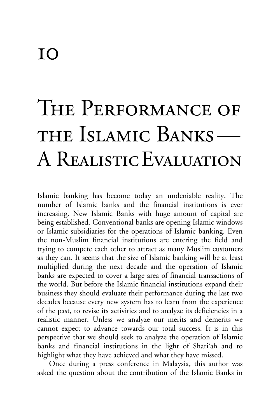## $1^{\circ}$

# THE PERFORMANCE OF THE ISLAMIC BANKS-A REALISTIC EVALUATION

Islamic banking has become today an undeniable reality. The number of Islamic banks and the financial institutions is ever increasing. New Islamic Banks with huge amount of capital are being established. Conventional banks are opening Islamic windows or Islamic subsidiaries for the operations of Islamic banking. Even the non-Muslim financial institutions are entering the field and trying to compete each other to attract as many Muslim customers as they can. It seems that the size of Islamic banking will be at least multiplied during the next decade and the operation of Islamic banks are expected to cover a large area of financial transactions of the world. But before the Islamic financial institutions expand their business they should evaluate their performance during the last two decades because every new system has to learn from the experience of the past, to revise its activities and to analyze its deficiencies in a realistic manner. Unless we analyze our merits and demerits we cannot expect to advance towards our total success. It is in this perspective that we should seek to analyze the operation of Islamic banks and financial institutions in the light of Shari'ah and to highlight what they have achieved and what they have missed.

Once during a press conference in Malaysia, this author was asked the question about the contribution of the Islamic Banks in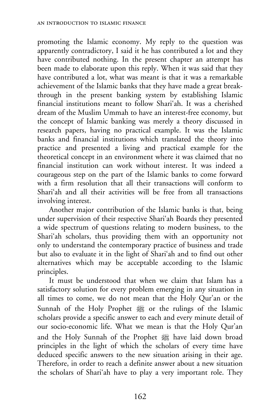promoting the Islamic economy. My reply to the question was apparently contradictory, I said it he has contributed a lot and they have contributed nothing. In the present chapter an attempt has been made to elaborate upon this reply. When it was said that they have contributed a lot, what was meant is that it was a remarkable achievement of the Islamic banks that they have made a great breakthrough in the present banking system by establishing Islamic financial institutions meant to follow Shari'ah. It was a cherished dream of the Muslim Ummah to have an interest-free economy, but the concept of Islamic banking was merely a theory discussed in research papers, having no practical example. It was the Islamic banks and financial institutions which translated the theory into practice and presented a living and practical example for the theoretical concept in an environment where it was claimed that no financial institution can work without interest. It was indeed a courageous step on the part of the Islamic banks to come forward with a firm resolution that all their transactions will conform to Shari'ah and all their activities will be free from all transactions involving interest.

Another major contribution of the Islamic banks is that, being under supervision of their respective Shari'ah Boards they presented a wide spectrum of questions relating to modern business, to the Shari'ah scholars, thus providing them with an opportunity not only to understand the contemporary practice of business and trade but also to evaluate it in the light of Shari'ah and to find out other alternatives which may be acceptable according to the Islamic principles.

It must be understood that when we claim that Islam has a satisfactory solution for every problem emerging in any situation in all times to come, we do not mean that the Holy Qur'an or the Sunnah of the Holy Prophet صلى الله عليه وسلم or the rulings of the Islamic scholars provide a specific answer to each and every minute detail of our socio-economic life. What we mean is that the Holy Qur'an and the Holy Sunnah of the Prophet صلى الله عليه وسلم have laid down broad principles in the light of which the scholars of every time have deduced specific answers to the new situation arising in their age. Therefore, in order to reach a definite answer about a new situation the scholars of Shari'ah have to play a very important role. They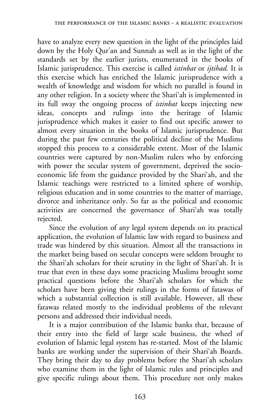have to analyze every new question in the light of the principles laid down by the Holy Qur'an and Sunnah as well as in the light of the standards set by the earlier jurists, enumerated in the books of Islamic jurisprudence. This exercise is called *istinbat* or *ijtihad*. It is this exercise which has enriched the Islamic jurisprudence with a wealth of knowledge and wisdom for which no parallel is found in any other religion. In a society where the Shari'ah is implemented in its full sway the ongoing process of *istinbat* keeps injecting new ideas, concepts and rulings into the heritage of Islamic jurisprudence which makes it easier to find out specific answer to almost every situation in the books of Islamic jurisprudence. But during the past few centuries the political decline of the Muslims stopped this process to a considerable extent. Most of the Islamic countries were captured by non-Muslim rulers who by enforcing with power the secular system of government, deprived the socioeconomic life from the guidance provided by the Shari'ah, and the Islamic teachings were restricted to a limited sphere of worship, religious education and in some countries to the matter of marriage, divorce and inheritance only. So far as the political and economic activities are concerned the governance of Shari'ah was totally rejected.

Since the evolution of any legal system depends on its practical application, the evolution of Islamic law with regard to business and trade was hindered by this situation. Almost all the transactions in the market being based on secular concepts were seldom brought to the Shari'ah scholars for their scrutiny in the light of Shari'ah. It is true that even in these days some practicing Muslims brought some practical questions before the Shari'ah scholars for which the scholars have been giving their rulings in the forms of fatawas of which a substantial collection is still available. However, all these fatawas related mostly to the individual problems of the relevant persons and addressed their individual needs.

It is a major contribution of the Islamic banks that, because of their entry into the field of large scale business, the wheel of evolution of Islamic legal system has re-started. Most of the Islamic banks are working under the supervision of their Shari'ah Boards. They bring their day to day problems before the Shari'ah scholars who examine them in the light of Islamic rules and principles and give specific rulings about them. This procedure not only makes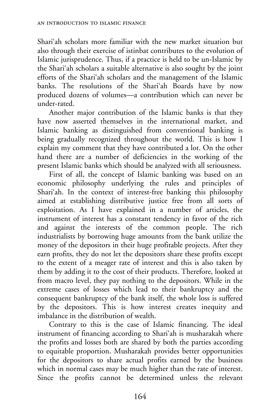Shari'ah scholars more familiar with the new market situation but also through their exercise of istinbat contributes to the evolution of Islamic jurisprudence. Thus, if a practice is held to be un-Islamic by the Shari'ah scholars a suitable alternative is also sought by the joint efforts of the Shari'ah scholars and the management of the Islamic banks. The resolutions of the Shari'ah Boards have by now produced dozens of volumes—a contribution which can never be under-rated.

Another major contribution of the Islamic banks is that they have now asserted themselves in the international market, and Islamic banking as distinguished from conventional banking is being gradually recognized throughout the world. This is how I explain my comment that they have contributed a lot. On the other hand there are a number of deficiencies in the working of the present Islamic banks which should be analyzed with all seriousness.

First of all, the concept of Islamic banking was based on an economic philosophy underlying the rules and principles of Shari'ah. In the context of interest-free banking this philosophy aimed at establishing distributive justice free from all sorts of exploitation. As I have explained in a number of articles, the instrument of interest has a constant tendency in favor of the rich and against the interests of the common people. The rich industrialists by borrowing huge amounts from the bank utilize the money of the depositors in their huge profitable projects. After they earn profits, they do not let the depositors share these profits except to the extent of a meager rate of interest and this is also taken by them by adding it to the cost of their products. Therefore, looked at from macro level, they pay nothing to the depositors. While in the extreme cases of losses which lead to their bankruptcy and the consequent bankruptcy of the bank itself, the whole loss is suffered by the depositors. This is how interest creates inequity and imbalance in the distribution of wealth.

Contrary to this is the case of Islamic financing. The ideal instrument of financing according to Shari'ah is musharakah where the profits and losses both are shared by both the parties according to equitable proportion. Musharakah provides better opportunities for the depositors to share actual profits earned by the business which in normal cases may be much higher than the rate of interest. Since the profits cannot be determined unless the relevant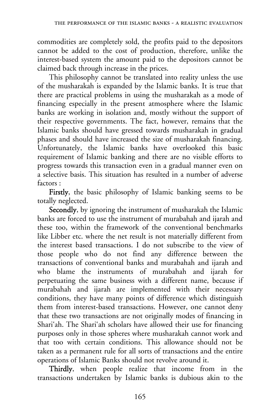commodities are completely sold, the profits paid to the depositors cannot be added to the cost of production, therefore, unlike the interest-based system the amount paid to the depositors cannot be claimed back through increase in the prices.

This philosophy cannot be translated into reality unless the use of the musharakah is expanded by the Islamic banks. It is true that there are practical problems in using the musharakah as a mode of financing especially in the present atmosphere where the Islamic banks are working in isolation and, mostly without the support of their respective governments. The fact, however, remains that the Islamic banks should have gressed towards musharakah in gradual phases and should have increased the size of musharakah financing. Unfortunately, the Islamic banks have overlooked this basic requirement of Islamic banking and there are no visible efforts to progress towards this transaction even in a gradual manner even on a selective basis. This situation has resulted in a number of adverse factors :

Firstly, the basic philosophy of Islamic banking seems to be totally neglected.

Secondly, by ignoring the instrument of musharakah the Islamic banks are forced to use the instrument of murabahah and ijarah and these too, within the framework of the conventional benchmarks like Libber etc. where the net result is not materially different from the interest based transactions. I do not subscribe to the view of those people who do not find any difference between the transactions of conventional banks and murabahah and ijarah and who blame the instruments of murabahah and ijarah for perpetuating the same business with a different name, because if murabahah and ijarah are implemented with their necessary conditions, they have many points of difference which distinguish them from interest-based transactions. However, one cannot deny that these two transactions are not originally modes of financing in Shari'ah. The Shari'ah scholars have allowed their use for financing purposes only in those spheres where musharakah cannot work and that too with certain conditions. This allowance should not be taken as a permanent rule for all sorts of transactions and the entire operations of Islamic Banks should not revolve around it.

Thirdly, when people realize that income from in the transactions undertaken by Islamic banks is dubious akin to the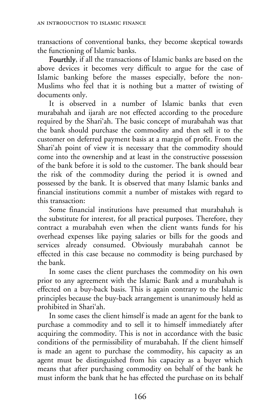transactions of conventional banks, they become skeptical towards the functioning of Islamic banks.

Fourthly, if all the transactions of Islamic banks are based on the above devices it becomes very difficult to argue for the case of Islamic banking before the masses especially, before the non-Muslims who feel that it is nothing but a matter of twisting of documents only.

It is observed in a number of Islamic banks that even murabahah and ijarah are not effected according to the procedure required by the Shari'ah. The basic concept of murabahah was that the bank should purchase the commodity and then sell it to the customer on deferred payment basis at a margin of profit. From the Shari'ah point of view it is necessary that the commodity should come into the ownership and at least in the constructive possession of the bank before it is sold to the customer. The bank should bear the risk of the commodity during the period it is owned and possessed by the bank. It is observed that many Islamic banks and financial institutions commit a number of mistakes with regard to this transaction:

Some financial institutions have presumed that murabahah is the substitute for interest, for all practical purposes. Therefore, they contract a murabahah even when the client wants funds for his overhead expenses like paying salaries or bills for the goods and services already consumed. Obviously murabahah cannot be effected in this case because no commodity is being purchased by the bank.

In some cases the client purchases the commodity on his own prior to any agreement with the Islamic Bank and a murabahah is effected on a buy-back basis. This is again contrary to the Islamic principles because the buy-back arrangement is unanimously held as prohibited in Shari'ah.

In some cases the client himself is made an agent for the bank to purchase a commodity and to sell it to himself immediately after acquiring the commodity. This is not in accordance with the basic conditions of the permissibility of murabahah. If the client himself is made an agent to purchase the commodity, his capacity as an agent must be distinguished from his capacity as a buyer which means that after purchasing commodity on behalf of the bank he must inform the bank that he has effected the purchase on its behalf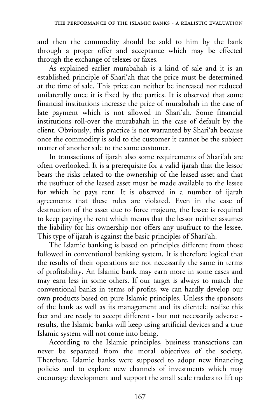and then the commodity should be sold to him by the bank through a proper offer and acceptance which may be effected through the exchange of telexes or faxes.

As explained earlier murabahah is a kind of sale and it is an established principle of Shari'ah that the price must be determined at the time of sale. This price can neither be increased nor reduced unilaterally once it is fixed by the parties. It is observed that some financial institutions increase the price of murabahah in the case of late payment which is not allowed in Shari'ah. Some financial institutions roll-over the murabahah in the case of default by the client. Obviously, this practice is not warranted by Shari'ah because once the commodity is sold to the customer it cannot be the subject matter of another sale to the same customer.

In transactions of ijarah also some requirements of Shari'ah are often overlooked. It is a prerequisite for a valid ijarah that the lessor bears the risks related to the ownership of the leased asset and that the usufruct of the leased asset must be made available to the lessee for which he pays rent. It is observed in a number of ijarah agreements that these rules are violated. Even in the case of destruction of the asset due to force majeure, the lessee is required to keep paying the rent which means that the lessor neither assumes the liability for his ownership nor offers any usufruct to the lessee. This type of ijarah is against the basic principles of Shari'ah.

The Islamic banking is based on principles different from those followed in conventional banking system. It is therefore logical that the results of their operations are not necessarily the same in terms of profitability. An Islamic bank may earn more in some cases and may earn less in some others. If our target is always to match the conventional banks in terms of profits, we can hardly develop our own products based on pure Islamic principles. Unless the sponsors of the bank as well as its management and its clientele realize this fact and are ready to accept different - but not necessarily adverse results, the Islamic banks will keep using artificial devices and a true Islamic system will not come into being.

According to the Islamic principles, business transactions can never be separated from the moral objectives of the society. Therefore, Islamic banks were supposed to adopt new financing policies and to explore new channels of investments which may encourage development and support the small scale traders to lift up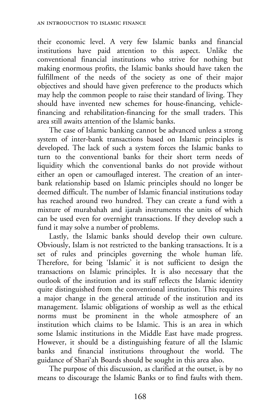their economic level. A very few Islamic banks and financial institutions have paid attention to this aspect. Unlike the conventional financial institutions who strive for nothing but making enormous profits, the Islamic banks should have taken the fulfillment of the needs of the society as one of their major objectives and should have given preference to the products which may help the common people to raise their standard of living. They should have invented new schemes for house-financing, vehiclefinancing and rehabilitation-financing for the small traders. This area still awaits attention of the Islamic banks.

The case of Islamic banking cannot be advanced unless a strong system of inter-bank transactions based on Islamic principles is developed. The lack of such a system forces the Islamic banks to turn to the conventional banks for their short term needs of liquidity which the conventional banks do not provide without either an open or camouflaged interest. The creation of an interbank relationship based on Islamic principles should no longer be deemed difficult. The number of Islamic financial institutions today has reached around two hundred. They can create a fund with a mixture of murabahah and ijarah instruments the units of which can be used even for overnight transactions. If they develop such a fund it may solve a number of problems.

Lastly, the Islamic banks should develop their own culture. Obviously, Islam is not restricted to the banking transactions. It is a set of rules and principles governing the whole human life. Therefore, for being 'Islamic' it is not sufficient to design the transactions on Islamic principles. It is also necessary that the outlook of the institution and its staff reflects the Islamic identity quite distinguished from the conventional institution. This requires a major change in the general attitude of the institution and its management. Islamic obligations of worship as well as the ethical norms must be prominent in the whole atmosphere of an institution which claims to be Islamic. This is an area in which some Islamic institutions in the Middle East have made progress. However, it should be a distinguishing feature of all the Islamic banks and financial institutions throughout the world. The guidance of Shari'ah Boards should be sought in this area also.

The purpose of this discussion, as clarified at the outset, is by no means to discourage the Islamic Banks or to find faults with them.